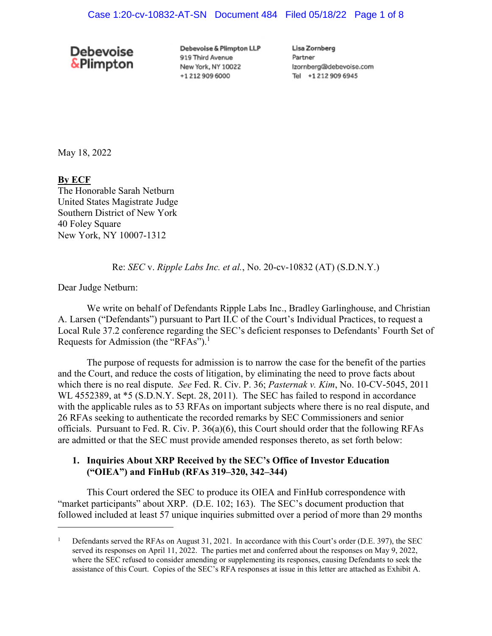# **Debevoise &Plimpton**

Debevoise & Plimpton LLP 919 Third Avenue New York, NY 10022 +1 212 909 6000

Lisa Zornberg Partner Izornberg@debevoise.com Tel +12129096945

May 18, 2022

# **By ECF**

The Honorable Sarah Netburn United States Magistrate Judge Southern District of New York 40 Foley Square New York, NY 10007-1312

# Re: *SEC* v. *Ripple Labs Inc. et al.*, No. 20-cv-10832 (AT) (S.D.N.Y.)

Dear Judge Netburn:

We write on behalf of Defendants Ripple Labs Inc., Bradley Garlinghouse, and Christian A. Larsen ("Defendants") pursuant to Part II.C of the Court's Individual Practices, to request a Local Rule 37.2 conference regarding the SEC's deficient responses to Defendants' Fourth Set of Requests for Admission (the "RFAs").<sup>1</sup>

The purpose of requests for admission is to narrow the case for the benefit of the parties and the Court, and reduce the costs of litigation, by eliminating the need to prove facts about which there is no real dispute. *See* Fed. R. Civ. P. 36; *Pasternak v. Kim*, No. 10-CV-5045, 2011 WL 4552389, at  $*$ 5 (S.D.N.Y. Sept. 28, 2011). The SEC has failed to respond in accordance with the applicable rules as to 53 RFAs on important subjects where there is no real dispute, and 26 RFAs seeking to authenticate the recorded remarks by SEC Commissioners and senior officials. Pursuant to Fed. R. Civ. P. 36(a)(6), this Court should order that the following RFAs are admitted or that the SEC must provide amended responses thereto, as set forth below:

# **1. Inquiries About XRP Received by the SEC's Office of Investor Education ("OIEA") and FinHub (RFAs 319–320, 342–344)**

This Court ordered the SEC to produce its OIEA and FinHub correspondence with "market participants" about XRP. (D.E. 102; 163). The SEC's document production that followed included at least 57 unique inquiries submitted over a period of more than 29 months

<sup>1</sup> Defendants served the RFAs on August 31, 2021. In accordance with this Court's order (D.E. 397), the SEC served its responses on April 11, 2022. The parties met and conferred about the responses on May 9, 2022, where the SEC refused to consider amending or supplementing its responses, causing Defendants to seek the assistance of this Court. Copies of the SEC's RFA responses at issue in this letter are attached as Exhibit A.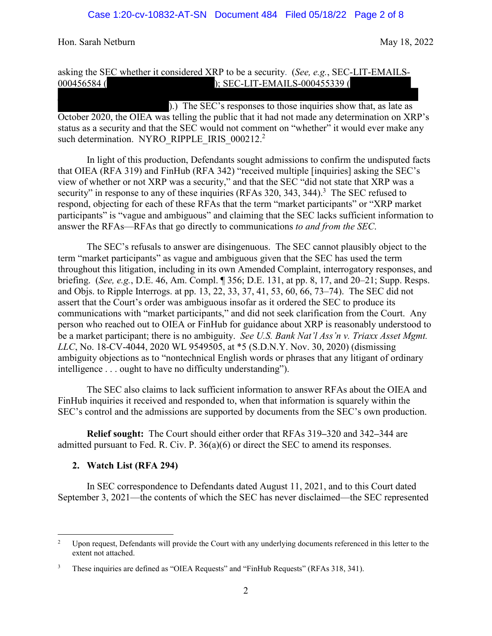# asking the SEC whether it considered XRP to be a security. (*See, e.g.*, SEC-LIT-EMAILS-000456584 ( ); SEC-LIT-EMAILS-000455339 (

).) The SEC's responses to those inquiries show that, as late as October 2020, the OIEA was telling the public that it had not made any determination on XRP's status as a security and that the SEC would not comment on "whether" it would ever make any such determination. NYRO\_RIPPLE\_IRIS\_000212.<sup>2</sup>

In light of this production, Defendants sought admissions to confirm the undisputed facts that OIEA (RFA 319) and FinHub (RFA 342) "received multiple [inquiries] asking the SEC's view of whether or not XRP was a security," and that the SEC "did not state that XRP was a security" in response to any of these inquiries (RFAs 320, 343, 344).<sup>3</sup> The SEC refused to respond, objecting for each of these RFAs that the term "market participants" or "XRP market participants" is "vague and ambiguous" and claiming that the SEC lacks sufficient information to answer the RFAs—RFAs that go directly to communications *to and from the SEC*.

The SEC's refusals to answer are disingenuous. The SEC cannot plausibly object to the term "market participants" as vague and ambiguous given that the SEC has used the term throughout this litigation, including in its own Amended Complaint, interrogatory responses, and briefing. (*See, e.g.*, D.E. 46, Am. Compl. ¶ 356; D.E. 131, at pp. 8, 17, and 20–21; Supp. Resps. and Objs. to Ripple Interrogs. at pp. 13, 22, 33, 37, 41, 53, 60, 66, 73–74). The SEC did not assert that the Court's order was ambiguous insofar as it ordered the SEC to produce its communications with "market participants," and did not seek clarification from the Court. Any person who reached out to OIEA or FinHub for guidance about XRP is reasonably understood to be a market participant; there is no ambiguity. *See U.S. Bank Nat'l Ass'n v. Triaxx Asset Mgmt. LLC*, No. 18-CV-4044, 2020 WL 9549505, at \*5 (S.D.N.Y. Nov. 30, 2020) (dismissing ambiguity objections as to "nontechnical English words or phrases that any litigant of ordinary intelligence . . . ought to have no difficulty understanding").

The SEC also claims to lack sufficient information to answer RFAs about the OIEA and FinHub inquiries it received and responded to, when that information is squarely within the SEC's control and the admissions are supported by documents from the SEC's own production.

**Relief sought:** The Court should either order that RFAs 319**–**320 and 342**–**344 are admitted pursuant to Fed. R. Civ. P. 36(a)(6) or direct the SEC to amend its responses.

# **2. Watch List (RFA 294)**

In SEC correspondence to Defendants dated August 11, 2021, and to this Court dated September 3, 2021—the contents of which the SEC has never disclaimed—the SEC represented

<sup>2</sup> Upon request, Defendants will provide the Court with any underlying documents referenced in this letter to the extent not attached.

<sup>3</sup> These inquiries are defined as "OIEA Requests" and "FinHub Requests" (RFAs 318, 341).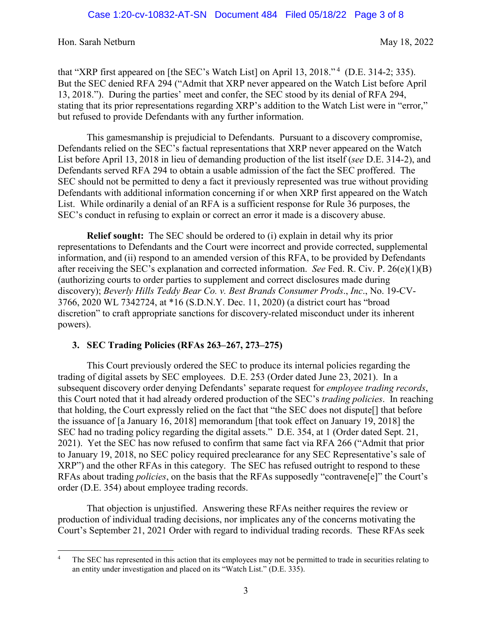that "XRP first appeared on [the SEC's Watch List] on April 13, 2018."<sup>4</sup> (D.E. 314-2; 335). But the SEC denied RFA 294 ("Admit that XRP never appeared on the Watch List before April 13, 2018."). During the parties' meet and confer, the SEC stood by its denial of RFA 294, stating that its prior representations regarding XRP's addition to the Watch List were in "error," but refused to provide Defendants with any further information.

This gamesmanship is prejudicial to Defendants. Pursuant to a discovery compromise, Defendants relied on the SEC's factual representations that XRP never appeared on the Watch List before April 13, 2018 in lieu of demanding production of the list itself (*see* D.E. 314-2), and Defendants served RFA 294 to obtain a usable admission of the fact the SEC proffered. The SEC should not be permitted to deny a fact it previously represented was true without providing Defendants with additional information concerning if or when XRP first appeared on the Watch List. While ordinarily a denial of an RFA is a sufficient response for Rule 36 purposes, the SEC's conduct in refusing to explain or correct an error it made is a discovery abuse.

**Relief sought:** The SEC should be ordered to (i) explain in detail why its prior representations to Defendants and the Court were incorrect and provide corrected, supplemental information, and (ii) respond to an amended version of this RFA, to be provided by Defendants after receiving the SEC's explanation and corrected information. *See* Fed. R. Civ. P. 26(e)(1)(B) (authorizing courts to order parties to supplement and correct disclosures made during discovery); *Beverly Hills Teddy Bear Co. v. Best Brands Consumer Prods*., *Inc*., No. 19-CV-3766, 2020 WL 7342724, at \*16 (S.D.N.Y. Dec. 11, 2020) (a district court has "broad discretion" to craft appropriate sanctions for discovery-related misconduct under its inherent powers).

# **3. SEC Trading Policies (RFAs 263–267, 273–275)**

This Court previously ordered the SEC to produce its internal policies regarding the trading of digital assets by SEC employees. D.E. 253 (Order dated June 23, 2021). In a subsequent discovery order denying Defendants' separate request for *employee trading records*, this Court noted that it had already ordered production of the SEC's *trading policies*. In reaching that holding, the Court expressly relied on the fact that "the SEC does not dispute[] that before the issuance of [a January 16, 2018] memorandum [that took effect on January 19, 2018] the SEC had no trading policy regarding the digital assets." D.E. 354, at 1 (Order dated Sept. 21, 2021). Yet the SEC has now refused to confirm that same fact via RFA 266 ("Admit that prior to January 19, 2018, no SEC policy required preclearance for any SEC Representative's sale of XRP") and the other RFAs in this category. The SEC has refused outright to respond to these RFAs about trading *policies*, on the basis that the RFAs supposedly "contravene[e]" the Court's order (D.E. 354) about employee trading records.

That objection is unjustified. Answering these RFAs neither requires the review or production of individual trading decisions, nor implicates any of the concerns motivating the Court's September 21, 2021 Order with regard to individual trading records. These RFAs seek

<sup>4</sup> The SEC has represented in this action that its employees may not be permitted to trade in securities relating to an entity under investigation and placed on its "Watch List." (D.E. 335).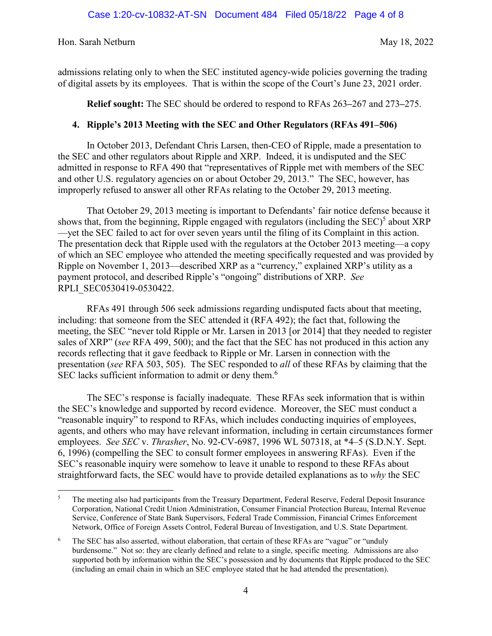admissions relating only to when the SEC instituted agency-wide policies governing the trading of digital assets by its employees. That is within the scope of the Court's June 23, 2021 order.

**Relief sought:** The SEC should be ordered to respond to RFAs 263**–**267 and 273**–**275.

# **4. Ripple's 2013 Meeting with the SEC and Other Regulators (RFAs 491–506)**

In October 2013, Defendant Chris Larsen, then-CEO of Ripple, made a presentation to the SEC and other regulators about Ripple and XRP. Indeed, it is undisputed and the SEC admitted in response to RFA 490 that "representatives of Ripple met with members of the SEC and other U.S. regulatory agencies on or about October 29, 2013." The SEC, however, has improperly refused to answer all other RFAs relating to the October 29, 2013 meeting.

That October 29, 2013 meeting is important to Defendants' fair notice defense because it shows that, from the beginning, Ripple engaged with regulators (including the  $SEC$ )<sup>5</sup> about  $XRP$ —yet the SEC failed to act for over seven years until the filing of its Complaint in this action. The presentation deck that Ripple used with the regulators at the October 2013 meeting—a copy of which an SEC employee who attended the meeting specifically requested and was provided by Ripple on November 1, 2013—described XRP as a "currency," explained XRP's utility as a payment protocol, and described Ripple's "ongoing" distributions of XRP. *See* RPLI\_SEC0530419-0530422.

RFAs 491 through 506 seek admissions regarding undisputed facts about that meeting, including: that someone from the SEC attended it (RFA 492); the fact that, following the meeting, the SEC "never told Ripple or Mr. Larsen in 2013 [or 2014] that they needed to register sales of XRP" (*see* RFA 499, 500); and the fact that the SEC has not produced in this action any records reflecting that it gave feedback to Ripple or Mr. Larsen in connection with the presentation (*see* RFA 503, 505). The SEC responded to *all* of these RFAs by claiming that the SEC lacks sufficient information to admit or deny them.<sup>6</sup>

The SEC's response is facially inadequate. These RFAs seek information that is within the SEC's knowledge and supported by record evidence. Moreover, the SEC must conduct a "reasonable inquiry" to respond to RFAs, which includes conducting inquiries of employees, agents, and others who may have relevant information, including in certain circumstances former employees. *See SEC* v. *Thrasher*, No. 92-CV-6987, 1996 WL 507318, at \*4–5 (S.D.N.Y. Sept. 6, 1996) (compelling the SEC to consult former employees in answering RFAs). Even if the SEC's reasonable inquiry were somehow to leave it unable to respond to these RFAs about straightforward facts, the SEC would have to provide detailed explanations as to *why* the SEC

<sup>5</sup> The meeting also had participants from the Treasury Department, Federal Reserve, Federal Deposit Insurance Corporation, National Credit Union Administration, Consumer Financial Protection Bureau, Internal Revenue Service, Conference of State Bank Supervisors, Federal Trade Commission, Financial Crimes Enforcement Network, Office of Foreign Assets Control, Federal Bureau of Investigation, and U.S. State Department.

<sup>6</sup> The SEC has also asserted, without elaboration, that certain of these RFAs are "vague" or "unduly burdensome." Not so: they are clearly defined and relate to a single, specific meeting. Admissions are also supported both by information within the SEC's possession and by documents that Ripple produced to the SEC (including an email chain in which an SEC employee stated that he had attended the presentation).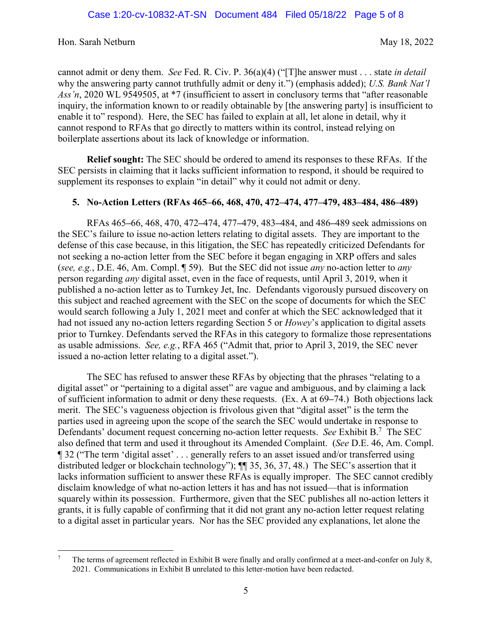cannot admit or deny them. *See* Fed. R. Civ. P. 36(a)(4) ("[T]he answer must . . . state *in detail* why the answering party cannot truthfully admit or deny it.") (emphasis added); *U.S. Bank Nat'l Ass'n*, 2020 WL 9549505, at \*7 (insufficient to assert in conclusory terms that "after reasonable inquiry, the information known to or readily obtainable by [the answering party] is insufficient to enable it to" respond). Here, the SEC has failed to explain at all, let alone in detail, why it cannot respond to RFAs that go directly to matters within its control, instead relying on boilerplate assertions about its lack of knowledge or information.

**Relief sought:** The SEC should be ordered to amend its responses to these RFAs. If the SEC persists in claiming that it lacks sufficient information to respond, it should be required to supplement its responses to explain "in detail" why it could not admit or deny.

# **5. No-Action Letters (RFAs 465–66, 468, 470, 472–474, 477–479, 483–484, 486–489)**

RFAs 465**–**66, 468, 470, 472**–**474, 477**–**479, 483**–**484, and 486**–**489 seek admissions on the SEC's failure to issue no-action letters relating to digital assets. They are important to the defense of this case because, in this litigation, the SEC has repeatedly criticized Defendants for not seeking a no-action letter from the SEC before it began engaging in XRP offers and sales (*see, e.g.*, D.E. 46, Am. Compl. ¶ 59). But the SEC did not issue *any* no-action letter to *any* person regarding *any* digital asset, even in the face of requests, until April 3, 2019, when it published a no-action letter as to Turnkey Jet, Inc. Defendants vigorously pursued discovery on this subject and reached agreement with the SEC on the scope of documents for which the SEC would search following a July 1, 2021 meet and confer at which the SEC acknowledged that it had not issued any no-action letters regarding Section 5 or *Howey*'s application to digital assets prior to Turnkey. Defendants served the RFAs in this category to formalize those representations as usable admissions. *See, e.g.*, RFA 465 ("Admit that, prior to April 3, 2019, the SEC never issued a no-action letter relating to a digital asset.").

The SEC has refused to answer these RFAs by objecting that the phrases "relating to a digital asset" or "pertaining to a digital asset" are vague and ambiguous, and by claiming a lack of sufficient information to admit or deny these requests. (Ex. A at 69**–**74.) Both objections lack merit. The SEC's vagueness objection is frivolous given that "digital asset" is the term the parties used in agreeing upon the scope of the search the SEC would undertake in response to Defendants' document request concerning no-action letter requests. *See* Exhibit B.<sup>7</sup> The SEC also defined that term and used it throughout its Amended Complaint. (*See* D.E. 46, Am. Compl. ¶ 32 ("The term 'digital asset' . . . generally refers to an asset issued and/or transferred using distributed ledger or blockchain technology"); ¶¶ 35, 36, 37, 48.) The SEC's assertion that it lacks information sufficient to answer these RFAs is equally improper. The SEC cannot credibly disclaim knowledge of what no-action letters it has and has not issued—that is information squarely within its possession. Furthermore, given that the SEC publishes all no-action letters it grants, it is fully capable of confirming that it did not grant any no-action letter request relating to a digital asset in particular years. Nor has the SEC provided any explanations, let alone the

<sup>7</sup> The terms of agreement reflected in Exhibit B were finally and orally confirmed at a meet-and-confer on July 8, 2021. Communications in Exhibit B unrelated to this letter-motion have been redacted.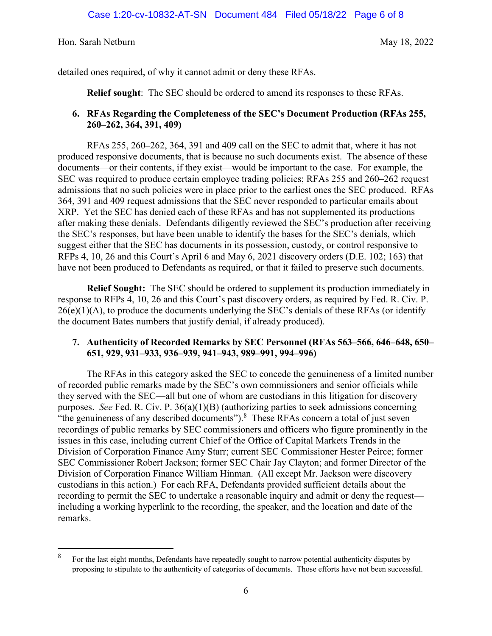detailed ones required, of why it cannot admit or deny these RFAs.

**Relief sought**: The SEC should be ordered to amend its responses to these RFAs.

# **6. RFAs Regarding the Completeness of the SEC's Document Production (RFAs 255, 260–262, 364, 391, 409)**

RFAs 255, 260**–**262, 364, 391 and 409 call on the SEC to admit that, where it has not produced responsive documents, that is because no such documents exist. The absence of these documents—or their contents, if they exist—would be important to the case. For example, the SEC was required to produce certain employee trading policies; RFAs 255 and 260**–**262 request admissions that no such policies were in place prior to the earliest ones the SEC produced. RFAs 364, 391 and 409 request admissions that the SEC never responded to particular emails about XRP. Yet the SEC has denied each of these RFAs and has not supplemented its productions after making these denials. Defendants diligently reviewed the SEC's production after receiving the SEC's responses, but have been unable to identify the bases for the SEC's denials, which suggest either that the SEC has documents in its possession, custody, or control responsive to RFPs 4, 10, 26 and this Court's April 6 and May 6, 2021 discovery orders (D.E. 102; 163) that have not been produced to Defendants as required, or that it failed to preserve such documents.

**Relief Sought:** The SEC should be ordered to supplement its production immediately in response to RFPs 4, 10, 26 and this Court's past discovery orders, as required by Fed. R. Civ. P.  $26(e)(1)(A)$ , to produce the documents underlying the SEC's denials of these RFAs (or identify the document Bates numbers that justify denial, if already produced).

# **7. Authenticity of Recorded Remarks by SEC Personnel (RFAs 563–566, 646–648, 650– 651, 929, 931–933, 936–939, 941–943, 989–991, 994–996)**

The RFAs in this category asked the SEC to concede the genuineness of a limited number of recorded public remarks made by the SEC's own commissioners and senior officials while they served with the SEC—all but one of whom are custodians in this litigation for discovery purposes. *See* Fed. R. Civ. P. 36(a)(1)(B) (authorizing parties to seek admissions concerning "the genuineness of any described documents"). $8$  These RFAs concern a total of just seven recordings of public remarks by SEC commissioners and officers who figure prominently in the issues in this case, including current Chief of the Office of Capital Markets Trends in the Division of Corporation Finance Amy Starr; current SEC Commissioner Hester Peirce; former SEC Commissioner Robert Jackson; former SEC Chair Jay Clayton; and former Director of the Division of Corporation Finance William Hinman. (All except Mr. Jackson were discovery custodians in this action.) For each RFA, Defendants provided sufficient details about the recording to permit the SEC to undertake a reasonable inquiry and admit or deny the request including a working hyperlink to the recording, the speaker, and the location and date of the remarks.

<sup>8</sup> For the last eight months, Defendants have repeatedly sought to narrow potential authenticity disputes by proposing to stipulate to the authenticity of categories of documents. Those efforts have not been successful.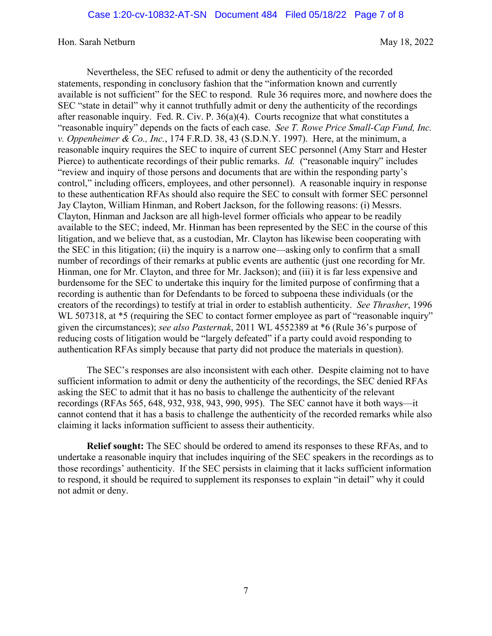Nevertheless, the SEC refused to admit or deny the authenticity of the recorded statements, responding in conclusory fashion that the "information known and currently available is not sufficient" for the SEC to respond. Rule 36 requires more, and nowhere does the SEC "state in detail" why it cannot truthfully admit or deny the authenticity of the recordings after reasonable inquiry. Fed. R. Civ. P. 36(a)(4). Courts recognize that what constitutes a "reasonable inquiry" depends on the facts of each case. *See T. Rowe Price Small-Cap Fund, Inc. v. Oppenheimer & Co., Inc.*, 174 F.R.D. 38, 43 (S.D.N.Y. 1997). Here, at the minimum, a reasonable inquiry requires the SEC to inquire of current SEC personnel (Amy Starr and Hester Pierce) to authenticate recordings of their public remarks. *Id.* ("reasonable inquiry" includes "review and inquiry of those persons and documents that are within the responding party's control," including officers, employees, and other personnel). A reasonable inquiry in response to these authentication RFAs should also require the SEC to consult with former SEC personnel Jay Clayton, William Hinman, and Robert Jackson, for the following reasons: (i) Messrs. Clayton, Hinman and Jackson are all high-level former officials who appear to be readily available to the SEC; indeed, Mr. Hinman has been represented by the SEC in the course of this litigation, and we believe that, as a custodian, Mr. Clayton has likewise been cooperating with the SEC in this litigation; (ii) the inquiry is a narrow one—asking only to confirm that a small number of recordings of their remarks at public events are authentic (just one recording for Mr. Hinman, one for Mr. Clayton, and three for Mr. Jackson); and (iii) it is far less expensive and burdensome for the SEC to undertake this inquiry for the limited purpose of confirming that a recording is authentic than for Defendants to be forced to subpoena these individuals (or the creators of the recordings) to testify at trial in order to establish authenticity. *See Thrasher*, 1996 WL 507318, at  $*5$  (requiring the SEC to contact former employee as part of "reasonable inquiry" given the circumstances); *see also Pasternak*, 2011 WL 4552389 at \*6 (Rule 36's purpose of reducing costs of litigation would be "largely defeated" if a party could avoid responding to authentication RFAs simply because that party did not produce the materials in question).

The SEC's responses are also inconsistent with each other. Despite claiming not to have sufficient information to admit or deny the authenticity of the recordings, the SEC denied RFAs asking the SEC to admit that it has no basis to challenge the authenticity of the relevant recordings (RFAs 565, 648, 932, 938, 943, 990, 995). The SEC cannot have it both ways—it cannot contend that it has a basis to challenge the authenticity of the recorded remarks while also claiming it lacks information sufficient to assess their authenticity.

**Relief sought:** The SEC should be ordered to amend its responses to these RFAs, and to undertake a reasonable inquiry that includes inquiring of the SEC speakers in the recordings as to those recordings' authenticity. If the SEC persists in claiming that it lacks sufficient information to respond, it should be required to supplement its responses to explain "in detail" why it could not admit or deny.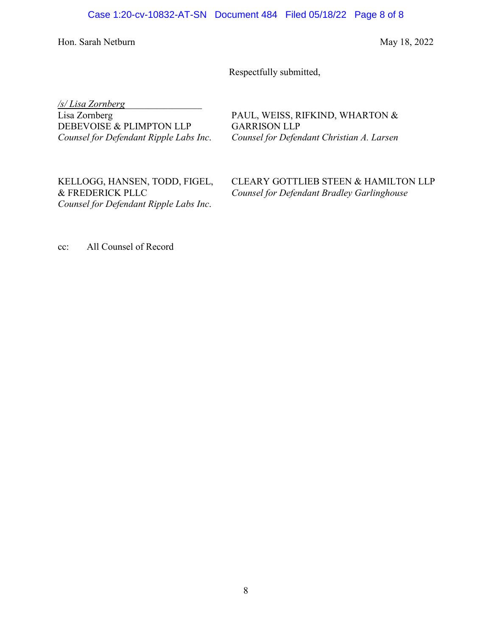Respectfully submitted,

*/s/ Lisa Zornberg*\_\_\_\_\_\_\_\_\_\_\_\_\_\_\_\_

Lisa Zornberg DEBEVOISE & PLIMPTON LLP *Counsel for Defendant Ripple Labs Inc*. PAUL, WEISS, RIFKIND, WHARTON & GARRISON LLP *Counsel for Defendant Christian A. Larsen* 

KELLOGG, HANSEN, TODD, FIGEL, & FREDERICK PLLC *Counsel for Defendant Ripple Labs Inc*. CLEARY GOTTLIEB STEEN & HAMILTON LLP *Counsel for Defendant Bradley Garlinghouse* 

cc: All Counsel of Record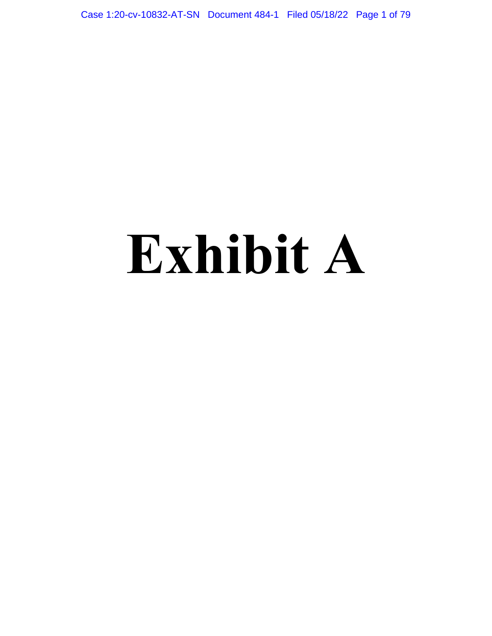Case 1:20-cv-10832-AT-SN Document 484-1 Filed 05/18/22 Page 1 of 79

# **Exhibit A**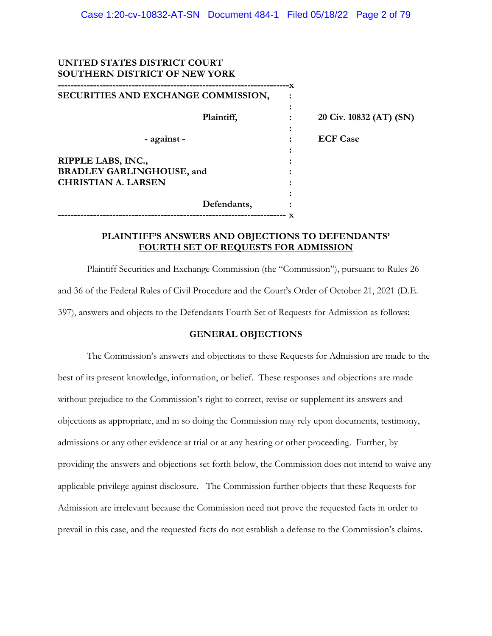# **UNITED STATES DISTRICT COURT SOUTHERN DISTRICT OF NEW YORK**

**------------------------------------------------------------------------x SECURITIES AND EXCHANGE COMMISSION, :**   *:*   $\frac{1}{2}$  **:**  $\frac{1}{2}$  **:**  $\frac{1}{2}$  **:**  $\frac{1}{2}$  **:**  $\frac{1}{2}$  **:**  $\frac{1}{2}$  **:**  $\frac{1}{2}$  **:**  $\frac{1}{2}$  **:**  $\frac{1}{2}$  **:**  $\frac{1}{2}$  **:**  $\frac{1}{2}$  **:**  $\frac{1}{2}$  **:**  $\frac{1}{2}$  **:**  $\frac{1}{2}$  **:**  $\frac{1}{2}$  **:**  $\frac{$ **Plaintiff,** : 20 Civ. 10832 (AT) (SN)  *:*   $\frac{1}{2}$  **:**  $\frac{1}{2}$  **:**  $\frac{1}{2}$  **:**  $\frac{1}{2}$  **:**  $\frac{1}{2}$  **:**  $\frac{1}{2}$  **:**  $\frac{1}{2}$  **:**  $\frac{1}{2}$  **:**  $\frac{1}{2}$  **:**  $\frac{1}{2}$  **:**  $\frac{1}{2}$  **:**  $\frac{1}{2}$  **:**  $\frac{1}{2}$  **:**  $\frac{1}{2}$  **:**  $\frac{1}{2}$  **:**  $\frac{$  **- against - : ECF Case**   *:*   $\frac{1}{2}$  **:**  $\frac{1}{2}$  **:**  $\frac{1}{2}$  **:**  $\frac{1}{2}$  **:**  $\frac{1}{2}$  **:**  $\frac{1}{2}$  **:**  $\frac{1}{2}$  **:**  $\frac{1}{2}$  **:**  $\frac{1}{2}$  **:**  $\frac{1}{2}$  **:**  $\frac{1}{2}$  **:**  $\frac{1}{2}$  **:**  $\frac{1}{2}$  **:**  $\frac{1}{2}$  **:**  $\frac{1}{2}$  **:**  $\frac{$ **RIPPLE LABS, INC., BRADLEY GARLINGHOUSE, and : CHRISTIAN A. LARSEN :**   *:*   $\frac{1}{2}$  **:**  $\frac{1}{2}$  **:**  $\frac{1}{2}$  **:**  $\frac{1}{2}$  **:**  $\frac{1}{2}$  **:**  $\frac{1}{2}$  **:**  $\frac{1}{2}$  **:**  $\frac{1}{2}$  **:**  $\frac{1}{2}$  **:**  $\frac{1}{2}$  **:**  $\frac{1}{2}$  **:**  $\frac{1}{2}$  **:**  $\frac{1}{2}$  **:**  $\frac{1}{2}$  **:**  $\frac{1}{2}$  **:**  $\frac{$  **Defendants, : ----------------------------------------------------------------------- x** 

### **PLAINTIFF'S ANSWERS AND OBJECTIONS TO DEFENDANTS' FOURTH SET OF REQUESTS FOR ADMISSION**

 Plaintiff Securities and Exchange Commission (the "Commission"), pursuant to Rules 26 and 36 of the Federal Rules of Civil Procedure and the Court's Order of October 21, 2021 (D.E. 397), answers and objects to the Defendants Fourth Set of Requests for Admission as follows:

### **GENERAL OBJECTIONS**

The Commission's answers and objections to these Requests for Admission are made to the best of its present knowledge, information, or belief. These responses and objections are made without prejudice to the Commission's right to correct, revise or supplement its answers and objections as appropriate, and in so doing the Commission may rely upon documents, testimony, admissions or any other evidence at trial or at any hearing or other proceeding. Further, by providing the answers and objections set forth below, the Commission does not intend to waive any applicable privilege against disclosure. The Commission further objects that these Requests for Admission are irrelevant because the Commission need not prove the requested facts in order to prevail in this case, and the requested facts do not establish a defense to the Commission's claims.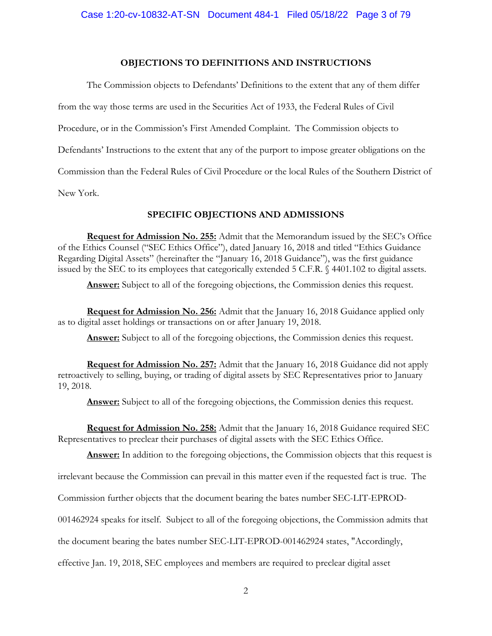### **OBJECTIONS TO DEFINITIONS AND INSTRUCTIONS**

The Commission objects to Defendants' Definitions to the extent that any of them differ from the way those terms are used in the Securities Act of 1933, the Federal Rules of Civil Procedure, or in the Commission's First Amended Complaint. The Commission objects to Defendants' Instructions to the extent that any of the purport to impose greater obligations on the Commission than the Federal Rules of Civil Procedure or the local Rules of the Southern District of New York.

# **SPECIFIC OBJECTIONS AND ADMISSIONS**

**Request for Admission No. 255:** Admit that the Memorandum issued by the SEC's Office of the Ethics Counsel ("SEC Ethics Office"), dated January 16, 2018 and titled "Ethics Guidance Regarding Digital Assets" (hereinafter the "January 16, 2018 Guidance"), was the first guidance issued by the SEC to its employees that categorically extended 5 C.F.R. § 4401.102 to digital assets.

Answer: Subject to all of the foregoing objections, the Commission denies this request.

**Request for Admission No. 256:** Admit that the January 16, 2018 Guidance applied only as to digital asset holdings or transactions on or after January 19, 2018.

**Answer:** Subject to all of the foregoing objections, the Commission denies this request.

**Request for Admission No. 257:** Admit that the January 16, 2018 Guidance did not apply retroactively to selling, buying, or trading of digital assets by SEC Representatives prior to January 19, 2018.

**Answer:** Subject to all of the foregoing objections, the Commission denies this request.

**Request for Admission No. 258:** Admit that the January 16, 2018 Guidance required SEC Representatives to preclear their purchases of digital assets with the SEC Ethics Office.

Answer: In addition to the foregoing objections, the Commission objects that this request is

irrelevant because the Commission can prevail in this matter even if the requested fact is true. The

Commission further objects that the document bearing the bates number SEC-LIT-EPROD-

001462924 speaks for itself. Subject to all of the foregoing objections, the Commission admits that

the document bearing the bates number SEC-LIT-EPROD-001462924 states, "Accordingly,

effective Jan. 19, 2018, SEC employees and members are required to preclear digital asset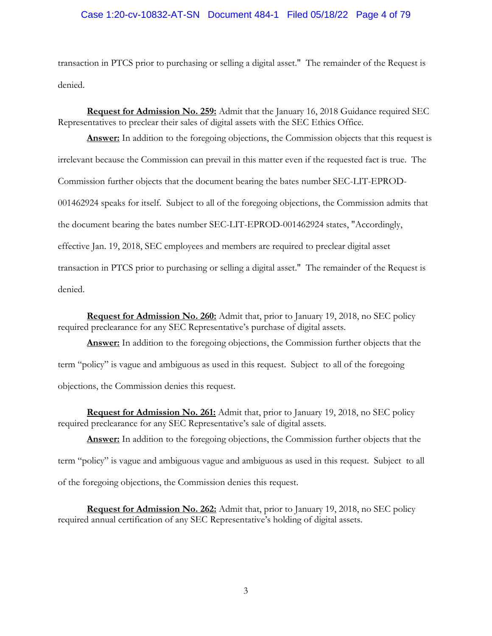### Case 1:20-cv-10832-AT-SN Document 484-1 Filed 05/18/22 Page 4 of 79

transaction in PTCS prior to purchasing or selling a digital asset." The remainder of the Request is denied.

**Request for Admission No. 259:** Admit that the January 16, 2018 Guidance required SEC Representatives to preclear their sales of digital assets with the SEC Ethics Office.

**Answer:** In addition to the foregoing objections, the Commission objects that this request is irrelevant because the Commission can prevail in this matter even if the requested fact is true. The Commission further objects that the document bearing the bates number SEC-LIT-EPROD-001462924 speaks for itself. Subject to all of the foregoing objections, the Commission admits that the document bearing the bates number SEC-LIT-EPROD-001462924 states, "Accordingly, effective Jan. 19, 2018, SEC employees and members are required to preclear digital asset transaction in PTCS prior to purchasing or selling a digital asset." The remainder of the Request is denied.

**Request for Admission No. 260:** Admit that, prior to January 19, 2018, no SEC policy required preclearance for any SEC Representative's purchase of digital assets.

**Answer:** In addition to the foregoing objections, the Commission further objects that the term "policy" is vague and ambiguous as used in this request. Subject to all of the foregoing objections, the Commission denies this request.

**Request for Admission No. 261:** Admit that, prior to January 19, 2018, no SEC policy required preclearance for any SEC Representative's sale of digital assets.

**Answer:** In addition to the foregoing objections, the Commission further objects that the term "policy" is vague and ambiguous vague and ambiguous as used in this request. Subject to all of the foregoing objections, the Commission denies this request.

**Request for Admission No. 262:** Admit that, prior to January 19, 2018, no SEC policy required annual certification of any SEC Representative's holding of digital assets.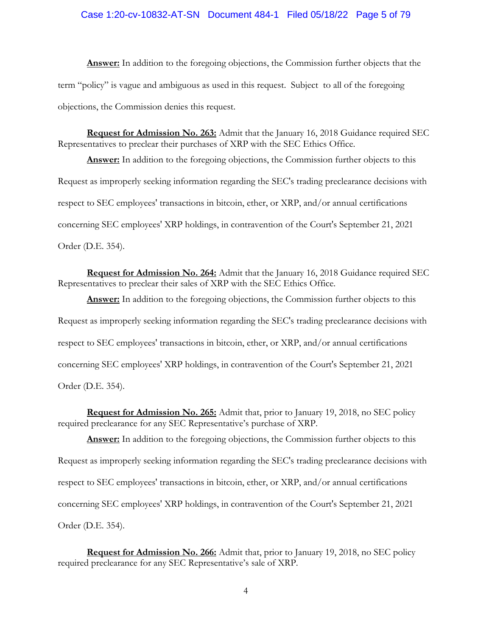### Case 1:20-cv-10832-AT-SN Document 484-1 Filed 05/18/22 Page 5 of 79

**Answer:** In addition to the foregoing objections, the Commission further objects that the term "policy" is vague and ambiguous as used in this request. Subject to all of the foregoing objections, the Commission denies this request.

**Request for Admission No. 263:** Admit that the January 16, 2018 Guidance required SEC Representatives to preclear their purchases of XRP with the SEC Ethics Office.

**Answer:** In addition to the foregoing objections, the Commission further objects to this Request as improperly seeking information regarding the SEC's trading preclearance decisions with respect to SEC employees' transactions in bitcoin, ether, or XRP, and/or annual certifications concerning SEC employees' XRP holdings, in contravention of the Court's September 21, 2021 Order (D.E. 354).

**Request for Admission No. 264:** Admit that the January 16, 2018 Guidance required SEC Representatives to preclear their sales of XRP with the SEC Ethics Office.

**Answer:** In addition to the foregoing objections, the Commission further objects to this Request as improperly seeking information regarding the SEC's trading preclearance decisions with respect to SEC employees' transactions in bitcoin, ether, or XRP, and/or annual certifications concerning SEC employees' XRP holdings, in contravention of the Court's September 21, 2021 Order (D.E. 354).

**Request for Admission No. 265:** Admit that, prior to January 19, 2018, no SEC policy required preclearance for any SEC Representative's purchase of XRP.

**Answer:** In addition to the foregoing objections, the Commission further objects to this Request as improperly seeking information regarding the SEC's trading preclearance decisions with respect to SEC employees' transactions in bitcoin, ether, or XRP, and/or annual certifications concerning SEC employees' XRP holdings, in contravention of the Court's September 21, 2021 Order (D.E. 354).

**Request for Admission No. 266:** Admit that, prior to January 19, 2018, no SEC policy required preclearance for any SEC Representative's sale of XRP.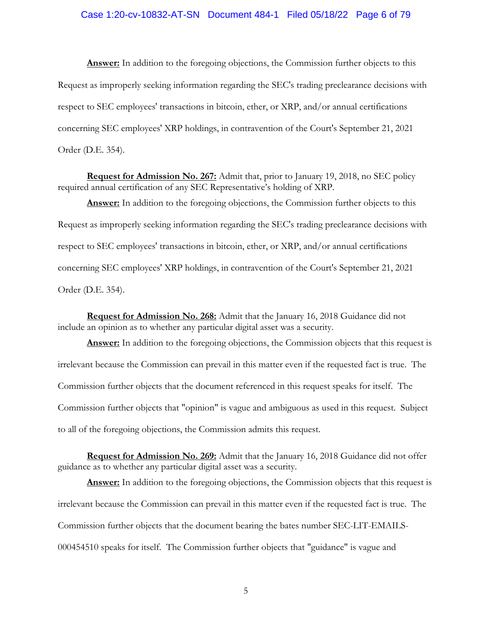### Case 1:20-cv-10832-AT-SN Document 484-1 Filed 05/18/22 Page 6 of 79

**Answer:** In addition to the foregoing objections, the Commission further objects to this Request as improperly seeking information regarding the SEC's trading preclearance decisions with respect to SEC employees' transactions in bitcoin, ether, or XRP, and/or annual certifications concerning SEC employees' XRP holdings, in contravention of the Court's September 21, 2021 Order (D.E. 354).

**Request for Admission No. 267:** Admit that, prior to January 19, 2018, no SEC policy required annual certification of any SEC Representative's holding of XRP.

**Answer:** In addition to the foregoing objections, the Commission further objects to this Request as improperly seeking information regarding the SEC's trading preclearance decisions with respect to SEC employees' transactions in bitcoin, ether, or XRP, and/or annual certifications concerning SEC employees' XRP holdings, in contravention of the Court's September 21, 2021 Order (D.E. 354).

**Request for Admission No. 268:** Admit that the January 16, 2018 Guidance did not include an opinion as to whether any particular digital asset was a security.

**Answer:** In addition to the foregoing objections, the Commission objects that this request is irrelevant because the Commission can prevail in this matter even if the requested fact is true. The Commission further objects that the document referenced in this request speaks for itself. The Commission further objects that "opinion" is vague and ambiguous as used in this request. Subject to all of the foregoing objections, the Commission admits this request.

**Request for Admission No. 269:** Admit that the January 16, 2018 Guidance did not offer guidance as to whether any particular digital asset was a security.

**Answer:** In addition to the foregoing objections, the Commission objects that this request is irrelevant because the Commission can prevail in this matter even if the requested fact is true. The Commission further objects that the document bearing the bates number SEC-LIT-EMAILS-000454510 speaks for itself. The Commission further objects that "guidance" is vague and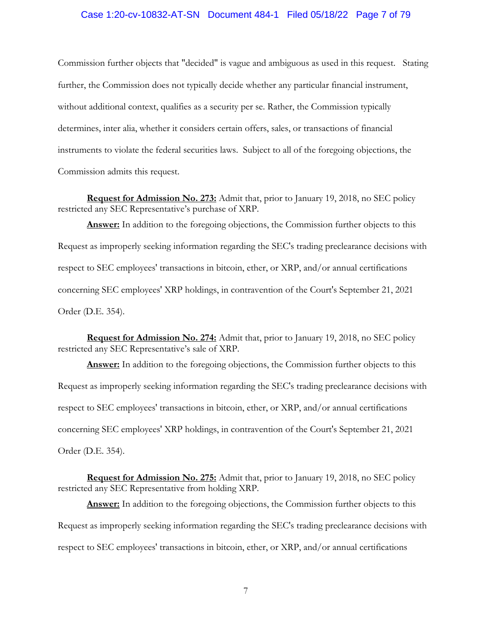### Case 1:20-cv-10832-AT-SN Document 484-1 Filed 05/18/22 Page 7 of 79

Commission further objects that "decided" is vague and ambiguous as used in this request. Stating further, the Commission does not typically decide whether any particular financial instrument, without additional context, qualifies as a security per se. Rather, the Commission typically determines, inter alia, whether it considers certain offers, sales, or transactions of financial instruments to violate the federal securities laws. Subject to all of the foregoing objections, the Commission admits this request.

**Request for Admission No. 273:** Admit that, prior to January 19, 2018, no SEC policy restricted any SEC Representative's purchase of XRP.

**Answer:** In addition to the foregoing objections, the Commission further objects to this Request as improperly seeking information regarding the SEC's trading preclearance decisions with respect to SEC employees' transactions in bitcoin, ether, or XRP, and/or annual certifications concerning SEC employees' XRP holdings, in contravention of the Court's September 21, 2021 Order (D.E. 354).

**Request for Admission No. 274:** Admit that, prior to January 19, 2018, no SEC policy restricted any SEC Representative's sale of XRP.

**Answer:** In addition to the foregoing objections, the Commission further objects to this Request as improperly seeking information regarding the SEC's trading preclearance decisions with respect to SEC employees' transactions in bitcoin, ether, or XRP, and/or annual certifications concerning SEC employees' XRP holdings, in contravention of the Court's September 21, 2021 Order (D.E. 354).

**Request for Admission No. 275:** Admit that, prior to January 19, 2018, no SEC policy restricted any SEC Representative from holding XRP.

**Answer:** In addition to the foregoing objections, the Commission further objects to this Request as improperly seeking information regarding the SEC's trading preclearance decisions with respect to SEC employees' transactions in bitcoin, ether, or XRP, and/or annual certifications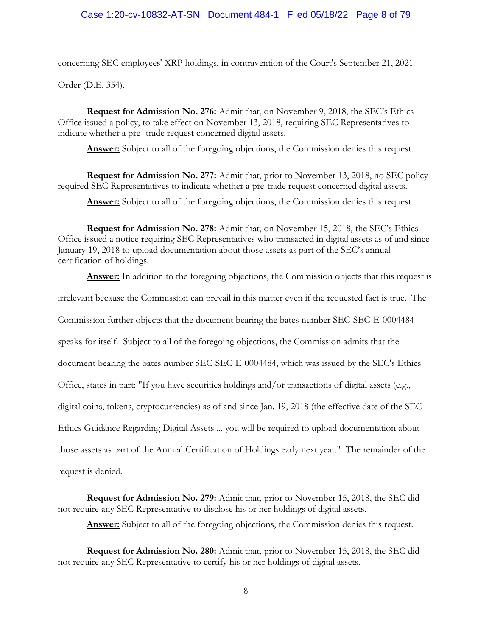concerning SEC employees' XRP holdings, in contravention of the Court's September 21, 2021

Order (D.E. 354).

**Request for Admission No. 276:** Admit that, on November 9, 2018, the SEC's Ethics Office issued a policy, to take effect on November 13, 2018, requiring SEC Representatives to indicate whether a pre- trade request concerned digital assets.

**Answer:** Subject to all of the foregoing objections, the Commission denies this request.

**Request for Admission No. 277:** Admit that, prior to November 13, 2018, no SEC policy required SEC Representatives to indicate whether a pre-trade request concerned digital assets.

**Answer:** Subject to all of the foregoing objections, the Commission denies this request.

**Request for Admission No. 278:** Admit that, on November 15, 2018, the SEC's Ethics Office issued a notice requiring SEC Representatives who transacted in digital assets as of and since January 19, 2018 to upload documentation about those assets as part of the SEC's annual certification of holdings.

**Answer:** In addition to the foregoing objections, the Commission objects that this request is

irrelevant because the Commission can prevail in this matter even if the requested fact is true. The

Commission further objects that the document bearing the bates number SEC-SEC-E-0004484

speaks for itself. Subject to all of the foregoing objections, the Commission admits that the

document bearing the bates number SEC-SEC-E-0004484, which was issued by the SEC's Ethics

Office, states in part: "If you have securities holdings and/or transactions of digital assets (e.g.,

digital coins, tokens, cryptocurrencies) as of and since Jan. 19, 2018 (the effective date of the SEC

Ethics Guidance Regarding Digital Assets ... you will be required to upload documentation about

those assets as part of the Annual Certification of Holdings early next year." The remainder of the

request is denied.

**Request for Admission No. 279:** Admit that, prior to November 15, 2018, the SEC did not require any SEC Representative to disclose his or her holdings of digital assets.

Answer: Subject to all of the foregoing objections, the Commission denies this request.

**Request for Admission No. 280:** Admit that, prior to November 15, 2018, the SEC did not require any SEC Representative to certify his or her holdings of digital assets.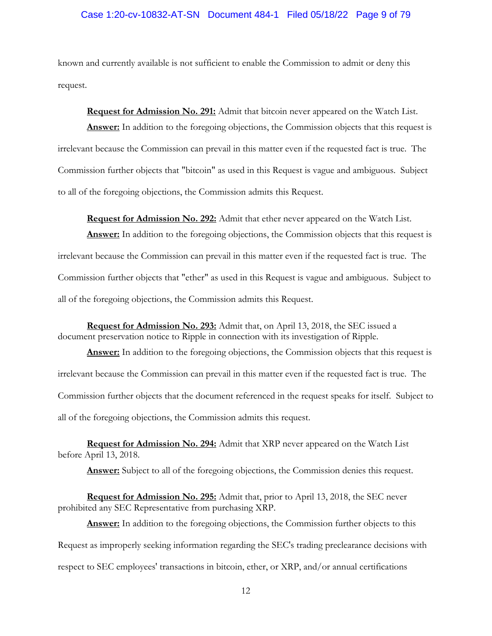### Case 1:20-cv-10832-AT-SN Document 484-1 Filed 05/18/22 Page 9 of 79

known and currently available is not sufficient to enable the Commission to admit or deny this request.

**Request for Admission No. 291:** Admit that bitcoin never appeared on the Watch List. **Answer:** In addition to the foregoing objections, the Commission objects that this request is irrelevant because the Commission can prevail in this matter even if the requested fact is true. The Commission further objects that "bitcoin" as used in this Request is vague and ambiguous. Subject to all of the foregoing objections, the Commission admits this Request.

**Request for Admission No. 292:** Admit that ether never appeared on the Watch List. Answer: In addition to the foregoing objections, the Commission objects that this request is irrelevant because the Commission can prevail in this matter even if the requested fact is true. The Commission further objects that "ether" as used in this Request is vague and ambiguous. Subject to all of the foregoing objections, the Commission admits this Request.

**Request for Admission No. 293:** Admit that, on April 13, 2018, the SEC issued a document preservation notice to Ripple in connection with its investigation of Ripple.

**Answer:** In addition to the foregoing objections, the Commission objects that this request is irrelevant because the Commission can prevail in this matter even if the requested fact is true. The Commission further objects that the document referenced in the request speaks for itself. Subject to all of the foregoing objections, the Commission admits this request.

**Request for Admission No. 294:** Admit that XRP never appeared on the Watch List before April 13, 2018.

**Answer:** Subject to all of the foregoing objections, the Commission denies this request.

**Request for Admission No. 295:** Admit that, prior to April 13, 2018, the SEC never prohibited any SEC Representative from purchasing XRP.

**Answer:** In addition to the foregoing objections, the Commission further objects to this Request as improperly seeking information regarding the SEC's trading preclearance decisions with respect to SEC employees' transactions in bitcoin, ether, or XRP, and/or annual certifications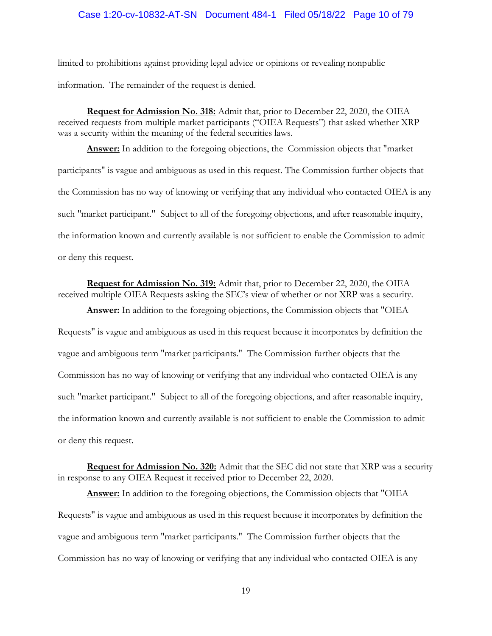### Case 1:20-cv-10832-AT-SN Document 484-1 Filed 05/18/22 Page 10 of 79

limited to prohibitions against providing legal advice or opinions or revealing nonpublic information. The remainder of the request is denied.

**Request for Admission No. 318:** Admit that, prior to December 22, 2020, the OIEA received requests from multiple market participants ("OIEA Requests") that asked whether XRP was a security within the meaning of the federal securities laws.

**Answer:** In addition to the foregoing objections, the Commission objects that "market participants" is vague and ambiguous as used in this request. The Commission further objects that the Commission has no way of knowing or verifying that any individual who contacted OIEA is any such "market participant." Subject to all of the foregoing objections, and after reasonable inquiry, the information known and currently available is not sufficient to enable the Commission to admit or deny this request.

**Request for Admission No. 319:** Admit that, prior to December 22, 2020, the OIEA received multiple OIEA Requests asking the SEC's view of whether or not XRP was a security.

**Answer:** In addition to the foregoing objections, the Commission objects that "OIEA Requests" is vague and ambiguous as used in this request because it incorporates by definition the vague and ambiguous term "market participants." The Commission further objects that the Commission has no way of knowing or verifying that any individual who contacted OIEA is any such "market participant." Subject to all of the foregoing objections, and after reasonable inquiry, the information known and currently available is not sufficient to enable the Commission to admit or deny this request.

**Request for Admission No. 320:** Admit that the SEC did not state that XRP was a security in response to any OIEA Request it received prior to December 22, 2020.

**Answer:** In addition to the foregoing objections, the Commission objects that "OIEA Requests" is vague and ambiguous as used in this request because it incorporates by definition the vague and ambiguous term "market participants." The Commission further objects that the Commission has no way of knowing or verifying that any individual who contacted OIEA is any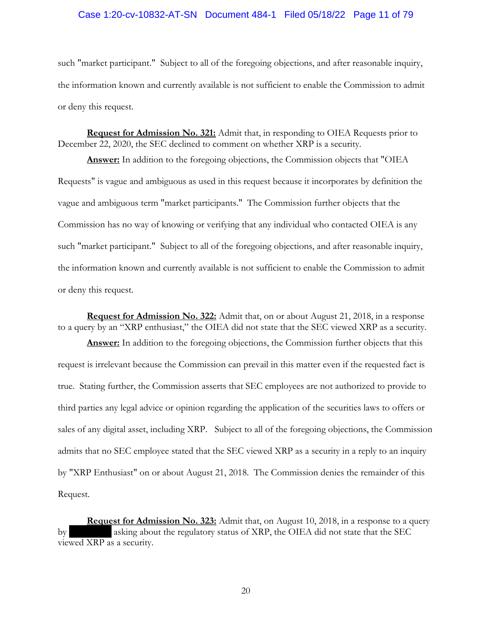### Case 1:20-cv-10832-AT-SN Document 484-1 Filed 05/18/22 Page 11 of 79

such "market participant." Subject to all of the foregoing objections, and after reasonable inquiry, the information known and currently available is not sufficient to enable the Commission to admit or deny this request.

**Request for Admission No. 321:** Admit that, in responding to OIEA Requests prior to December 22, 2020, the SEC declined to comment on whether XRP is a security.

**Answer:** In addition to the foregoing objections, the Commission objects that "OIEA Requests" is vague and ambiguous as used in this request because it incorporates by definition the vague and ambiguous term "market participants." The Commission further objects that the Commission has no way of knowing or verifying that any individual who contacted OIEA is any such "market participant." Subject to all of the foregoing objections, and after reasonable inquiry, the information known and currently available is not sufficient to enable the Commission to admit or deny this request.

**Request for Admission No. 322:** Admit that, on or about August 21, 2018, in a response to a query by an "XRP enthusiast," the OIEA did not state that the SEC viewed XRP as a security.

**Answer:** In addition to the foregoing objections, the Commission further objects that this request is irrelevant because the Commission can prevail in this matter even if the requested fact is true. Stating further, the Commission asserts that SEC employees are not authorized to provide to third parties any legal advice or opinion regarding the application of the securities laws to offers or sales of any digital asset, including XRP. Subject to all of the foregoing objections, the Commission admits that no SEC employee stated that the SEC viewed XRP as a security in a reply to an inquiry by "XRP Enthusiast" on or about August 21, 2018. The Commission denies the remainder of this Request.

**Request for Admission No. 323:** Admit that, on August 10, 2018, in a response to a query by asking about the regulatory status of XRP, the OIEA did not state that the SEC viewed XRP as a security.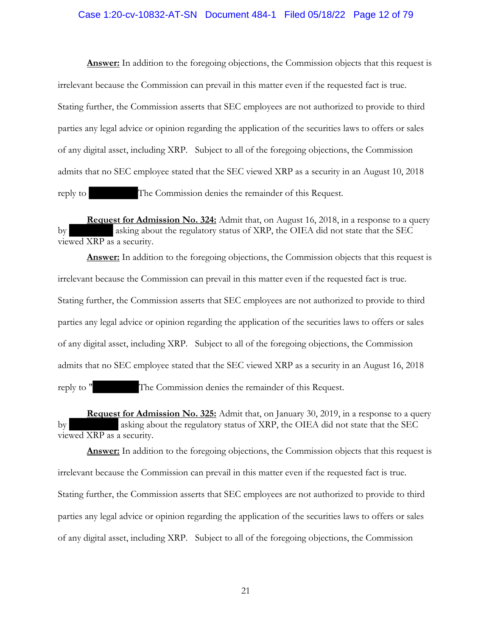### Case 1:20-cv-10832-AT-SN Document 484-1 Filed 05/18/22 Page 12 of 79

**Answer:** In addition to the foregoing objections, the Commission objects that this request is irrelevant because the Commission can prevail in this matter even if the requested fact is true. Stating further, the Commission asserts that SEC employees are not authorized to provide to third parties any legal advice or opinion regarding the application of the securities laws to offers or sales of any digital asset, including XRP. Subject to all of the foregoing objections, the Commission admits that no SEC employee stated that the SEC viewed XRP as a security in an August 10, 2018 reply to The Commission denies the remainder of this Request.

**Request for Admission No. 324:** Admit that, on August 16, 2018, in a response to a query by asking about the regulatory status of XRP, the OIEA did not state that the SEC viewed XRP as a security.

**Answer:** In addition to the foregoing objections, the Commission objects that this request is irrelevant because the Commission can prevail in this matter even if the requested fact is true. Stating further, the Commission asserts that SEC employees are not authorized to provide to third parties any legal advice or opinion regarding the application of the securities laws to offers or sales of any digital asset, including XRP. Subject to all of the foregoing objections, the Commission admits that no SEC employee stated that the SEC viewed XRP as a security in an August 16, 2018 reply to " The Commission denies the remainder of this Request.

**Request for Admission No. 325:** Admit that, on January 30, 2019, in a response to a query by asking about the regulatory status of XRP, the OIEA did not state that the SEC viewed XRP as a security.

**Answer:** In addition to the foregoing objections, the Commission objects that this request is irrelevant because the Commission can prevail in this matter even if the requested fact is true. Stating further, the Commission asserts that SEC employees are not authorized to provide to third parties any legal advice or opinion regarding the application of the securities laws to offers or sales of any digital asset, including XRP. Subject to all of the foregoing objections, the Commission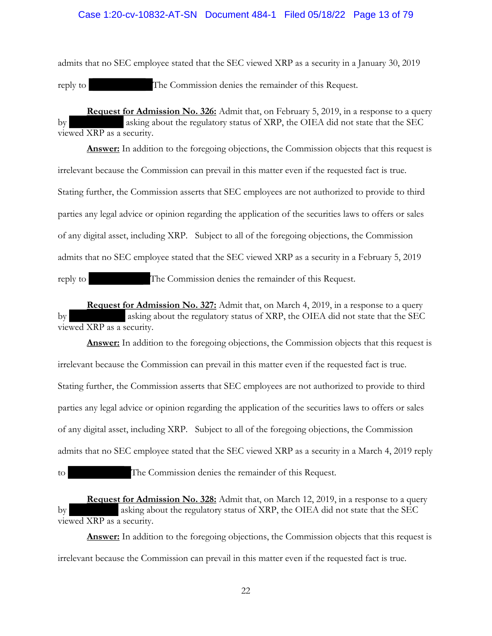### Case 1:20-cv-10832-AT-SN Document 484-1 Filed 05/18/22 Page 13 of 79

admits that no SEC employee stated that the SEC viewed XRP as a security in a January 30, 2019 reply to The Commission denies the remainder of this Request.

**Request for Admission No. 326:** Admit that, on February 5, 2019, in a response to a query by asking about the regulatory status of XRP, the OIEA did not state that the SEC viewed XRP as a security.

**Answer:** In addition to the foregoing objections, the Commission objects that this request is irrelevant because the Commission can prevail in this matter even if the requested fact is true. Stating further, the Commission asserts that SEC employees are not authorized to provide to third parties any legal advice or opinion regarding the application of the securities laws to offers or sales of any digital asset, including XRP. Subject to all of the foregoing objections, the Commission admits that no SEC employee stated that the SEC viewed XRP as a security in a February 5, 2019 reply to The Commission denies the remainder of this Request.

**Request for Admission No. 327:** Admit that, on March 4, 2019, in a response to a query by asking about the regulatory status of XRP, the OIEA did not state that the SEC viewed XRP as a security.

**Answer:** In addition to the foregoing objections, the Commission objects that this request is irrelevant because the Commission can prevail in this matter even if the requested fact is true. Stating further, the Commission asserts that SEC employees are not authorized to provide to third parties any legal advice or opinion regarding the application of the securities laws to offers or sales of any digital asset, including XRP. Subject to all of the foregoing objections, the Commission admits that no SEC employee stated that the SEC viewed XRP as a security in a March 4, 2019 reply

to The Commission denies the remainder of this Request.

**Request for Admission No. 328:** Admit that, on March 12, 2019, in a response to a query by asking about the regulatory status of XRP, the OIEA did not state that the SEC viewed XRP as a security.

**Answer:** In addition to the foregoing objections, the Commission objects that this request is irrelevant because the Commission can prevail in this matter even if the requested fact is true.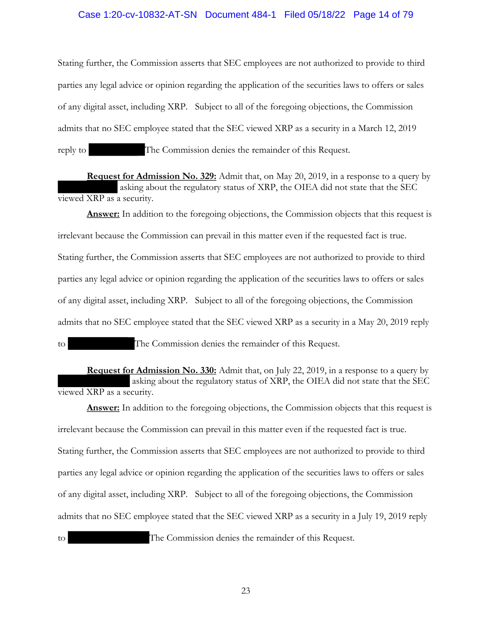### Case 1:20-cv-10832-AT-SN Document 484-1 Filed 05/18/22 Page 14 of 79

Stating further, the Commission asserts that SEC employees are not authorized to provide to third parties any legal advice or opinion regarding the application of the securities laws to offers or sales of any digital asset, including XRP. Subject to all of the foregoing objections, the Commission admits that no SEC employee stated that the SEC viewed XRP as a security in a March 12, 2019 reply to The Commission denies the remainder of this Request.

**Request for Admission No. 329:** Admit that, on May 20, 2019, in a response to a query by asking about the regulatory status of XRP, the OIEA did not state that the SEC viewed XRP as a security.

**Answer:** In addition to the foregoing objections, the Commission objects that this request is irrelevant because the Commission can prevail in this matter even if the requested fact is true. Stating further, the Commission asserts that SEC employees are not authorized to provide to third parties any legal advice or opinion regarding the application of the securities laws to offers or sales of any digital asset, including XRP. Subject to all of the foregoing objections, the Commission admits that no SEC employee stated that the SEC viewed XRP as a security in a May 20, 2019 reply

**Request for Admission No. 330:** Admit that, on July 22, 2019, in a response to a query by asking about the regulatory status of XRP, the OIEA did not state that the SEC viewed XRP as a security.

**Answer:** In addition to the foregoing objections, the Commission objects that this request is irrelevant because the Commission can prevail in this matter even if the requested fact is true. Stating further, the Commission asserts that SEC employees are not authorized to provide to third parties any legal advice or opinion regarding the application of the securities laws to offers or sales of any digital asset, including XRP. Subject to all of the foregoing objections, the Commission admits that no SEC employee stated that the SEC viewed XRP as a security in a July 19, 2019 reply to The Commission denies the remainder of this Request.

to The Commission denies the remainder of this Request.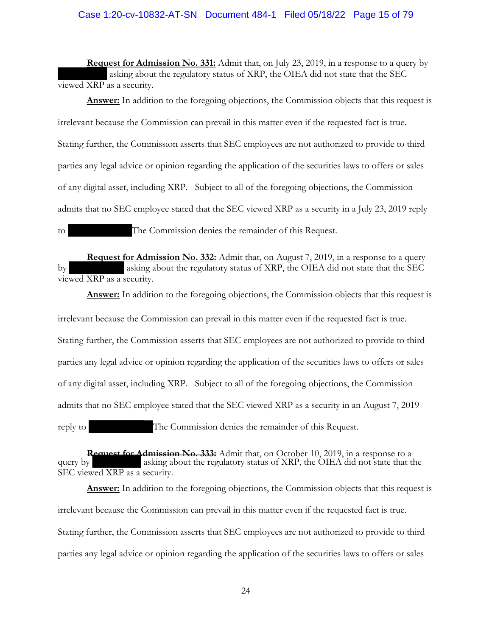## Case 1:20-cv-10832-AT-SN Document 484-1 Filed 05/18/22 Page 15 of 79

**Request for Admission No. 331:** Admit that, on July 23, 2019, in a response to a query by asking about the regulatory status of XRP, the OIEA did not state that the SEC viewed XRP as a security.

**Answer:** In addition to the foregoing objections, the Commission objects that this request is irrelevant because the Commission can prevail in this matter even if the requested fact is true. Stating further, the Commission asserts that SEC employees are not authorized to provide to third parties any legal advice or opinion regarding the application of the securities laws to offers or sales of any digital asset, including XRP. Subject to all of the foregoing objections, the Commission admits that no SEC employee stated that the SEC viewed XRP as a security in a July 23, 2019 reply

to The Commission denies the remainder of this Request.

**Request for Admission No. 332:** Admit that, on August 7, 2019, in a response to a query by asking about the regulatory status of XRP, the OIEA did not state that the SEC viewed XRP as a security.

**Answer:** In addition to the foregoing objections, the Commission objects that this request is

irrelevant because the Commission can prevail in this matter even if the requested fact is true. Stating further, the Commission asserts that SEC employees are not authorized to provide to third parties any legal advice or opinion regarding the application of the securities laws to offers or sales of any digital asset, including XRP. Subject to all of the foregoing objections, the Commission admits that no SEC employee stated that the SEC viewed XRP as a security in an August 7, 2019 reply to The Commission denies the remainder of this Request.

**Request for Admission No. 333:** Admit that, on October 10, 2019, in a response to a query by asking about the regulatory status of XRP, the OIEA did not state that the SEC viewed XRP as a security.

**Answer:** In addition to the foregoing objections, the Commission objects that this request is irrelevant because the Commission can prevail in this matter even if the requested fact is true. Stating further, the Commission asserts that SEC employees are not authorized to provide to third parties any legal advice or opinion regarding the application of the securities laws to offers or sales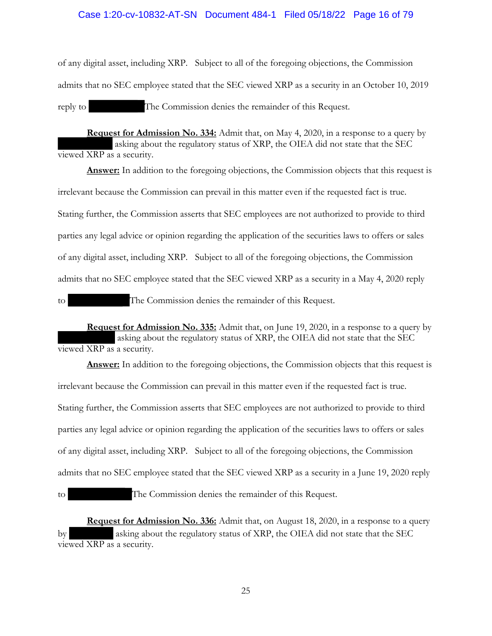### Case 1:20-cv-10832-AT-SN Document 484-1 Filed 05/18/22 Page 16 of 79

of any digital asset, including XRP. Subject to all of the foregoing objections, the Commission admits that no SEC employee stated that the SEC viewed XRP as a security in an October 10, 2019 reply to The Commission denies the remainder of this Request.

**Request for Admission No. 334:** Admit that, on May 4, 2020, in a response to a query by asking about the regulatory status of XRP, the OIEA did not state that the SEC viewed XRP as a security.

**Answer:** In addition to the foregoing objections, the Commission objects that this request is irrelevant because the Commission can prevail in this matter even if the requested fact is true. Stating further, the Commission asserts that SEC employees are not authorized to provide to third parties any legal advice or opinion regarding the application of the securities laws to offers or sales of any digital asset, including XRP. Subject to all of the foregoing objections, the Commission admits that no SEC employee stated that the SEC viewed XRP as a security in a May 4, 2020 reply to The Commission denies the remainder of this Request.

**Request for Admission No. 335:** Admit that, on June 19, 2020, in a response to a query by asking about the regulatory status of XRP, the OIEA did not state that the SEC viewed XRP as a security.

**Answer:** In addition to the foregoing objections, the Commission objects that this request is irrelevant because the Commission can prevail in this matter even if the requested fact is true. Stating further, the Commission asserts that SEC employees are not authorized to provide to third parties any legal advice or opinion regarding the application of the securities laws to offers or sales of any digital asset, including XRP. Subject to all of the foregoing objections, the Commission admits that no SEC employee stated that the SEC viewed XRP as a security in a June 19, 2020 reply

to The Commission denies the remainder of this Request.

**Request for Admission No. 336:** Admit that, on August 18, 2020, in a response to a query by asking about the regulatory status of XRP, the OIEA did not state that the SEC viewed XRP as a security.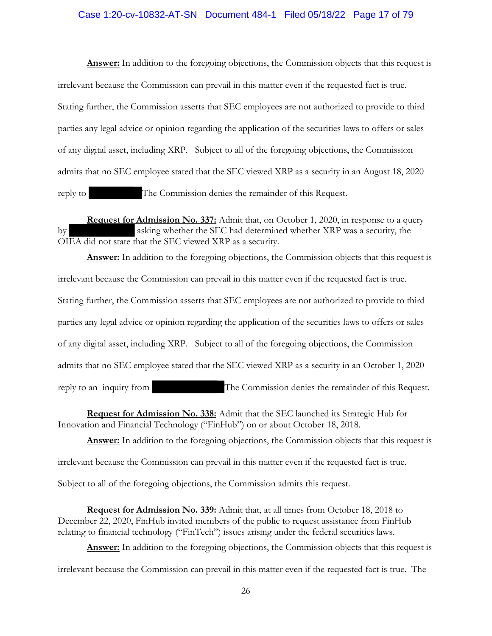### Case 1:20-cv-10832-AT-SN Document 484-1 Filed 05/18/22 Page 17 of 79

**Answer:** In addition to the foregoing objections, the Commission objects that this request is irrelevant because the Commission can prevail in this matter even if the requested fact is true. Stating further, the Commission asserts that SEC employees are not authorized to provide to third parties any legal advice or opinion regarding the application of the securities laws to offers or sales of any digital asset, including XRP. Subject to all of the foregoing objections, the Commission admits that no SEC employee stated that the SEC viewed XRP as a security in an August 18, 2020 reply to The Commission denies the remainder of this Request.

**Request for Admission No. 337:** Admit that, on October 1, 2020, in response to a query by asking whether the SEC had determined whether XRP was a security, the OIEA did not state that the SEC viewed XRP as a security.

**Answer:** In addition to the foregoing objections, the Commission objects that this request is irrelevant because the Commission can prevail in this matter even if the requested fact is true. Stating further, the Commission asserts that SEC employees are not authorized to provide to third parties any legal advice or opinion regarding the application of the securities laws to offers or sales of any digital asset, including XRP. Subject to all of the foregoing objections, the Commission admits that no SEC employee stated that the SEC viewed XRP as a security in an October 1, 2020 reply to an inquiry from The Commission denies the remainder of this Request.

**Request for Admission No. 338:** Admit that the SEC launched its Strategic Hub for Innovation and Financial Technology ("FinHub") on or about October 18, 2018.

**Answer:** In addition to the foregoing objections, the Commission objects that this request is

irrelevant because the Commission can prevail in this matter even if the requested fact is true.

Subject to all of the foregoing objections, the Commission admits this request.

**Request for Admission No. 339:** Admit that, at all times from October 18, 2018 to December 22, 2020, FinHub invited members of the public to request assistance from FinHub relating to financial technology ("FinTech") issues arising under the federal securities laws.

Answer: In addition to the foregoing objections, the Commission objects that this request is

irrelevant because the Commission can prevail in this matter even if the requested fact is true. The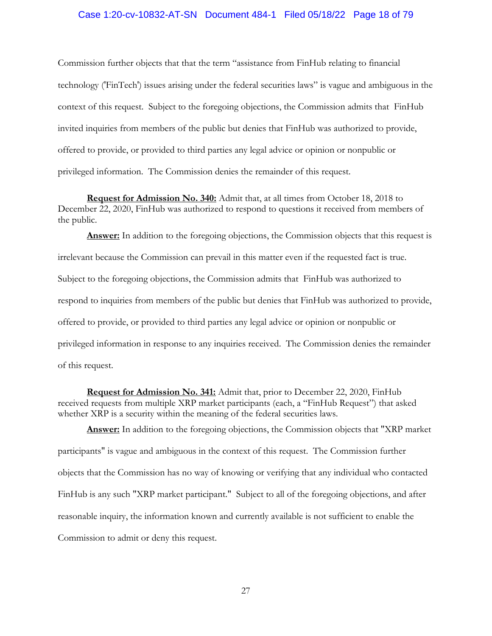### Case 1:20-cv-10832-AT-SN Document 484-1 Filed 05/18/22 Page 18 of 79

Commission further objects that that the term "assistance from FinHub relating to financial technology ('FinTech') issues arising under the federal securities laws" is vague and ambiguous in the context of this request. Subject to the foregoing objections, the Commission admits that FinHub invited inquiries from members of the public but denies that FinHub was authorized to provide, offered to provide, or provided to third parties any legal advice or opinion or nonpublic or privileged information. The Commission denies the remainder of this request.

**Request for Admission No. 340:** Admit that, at all times from October 18, 2018 to December 22, 2020, FinHub was authorized to respond to questions it received from members of the public.

Answer: In addition to the foregoing objections, the Commission objects that this request is irrelevant because the Commission can prevail in this matter even if the requested fact is true. Subject to the foregoing objections, the Commission admits that FinHub was authorized to respond to inquiries from members of the public but denies that FinHub was authorized to provide, offered to provide, or provided to third parties any legal advice or opinion or nonpublic or privileged information in response to any inquiries received. The Commission denies the remainder of this request.

**Request for Admission No. 341:** Admit that, prior to December 22, 2020, FinHub received requests from multiple XRP market participants (each, a "FinHub Request") that asked whether XRP is a security within the meaning of the federal securities laws.

**Answer:** In addition to the foregoing objections, the Commission objects that "XRP market participants" is vague and ambiguous in the context of this request. The Commission further objects that the Commission has no way of knowing or verifying that any individual who contacted FinHub is any such "XRP market participant." Subject to all of the foregoing objections, and after reasonable inquiry, the information known and currently available is not sufficient to enable the Commission to admit or deny this request.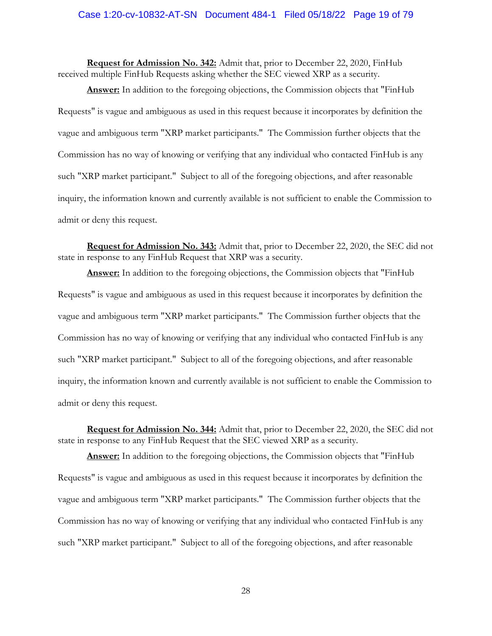### Case 1:20-cv-10832-AT-SN Document 484-1 Filed 05/18/22 Page 19 of 79

**Request for Admission No. 342:** Admit that, prior to December 22, 2020, FinHub received multiple FinHub Requests asking whether the SEC viewed XRP as a security.

**Answer:** In addition to the foregoing objections, the Commission objects that "FinHub Requests" is vague and ambiguous as used in this request because it incorporates by definition the vague and ambiguous term "XRP market participants." The Commission further objects that the Commission has no way of knowing or verifying that any individual who contacted FinHub is any such "XRP market participant." Subject to all of the foregoing objections, and after reasonable inquiry, the information known and currently available is not sufficient to enable the Commission to admit or deny this request.

**Request for Admission No. 343:** Admit that, prior to December 22, 2020, the SEC did not state in response to any FinHub Request that XRP was a security.

**Answer:** In addition to the foregoing objections, the Commission objects that "FinHub Requests" is vague and ambiguous as used in this request because it incorporates by definition the vague and ambiguous term "XRP market participants." The Commission further objects that the Commission has no way of knowing or verifying that any individual who contacted FinHub is any such "XRP market participant." Subject to all of the foregoing objections, and after reasonable inquiry, the information known and currently available is not sufficient to enable the Commission to admit or deny this request.

**Request for Admission No. 344:** Admit that, prior to December 22, 2020, the SEC did not state in response to any FinHub Request that the SEC viewed XRP as a security.

**Answer:** In addition to the foregoing objections, the Commission objects that "FinHub Requests" is vague and ambiguous as used in this request because it incorporates by definition the vague and ambiguous term "XRP market participants." The Commission further objects that the Commission has no way of knowing or verifying that any individual who contacted FinHub is any such "XRP market participant." Subject to all of the foregoing objections, and after reasonable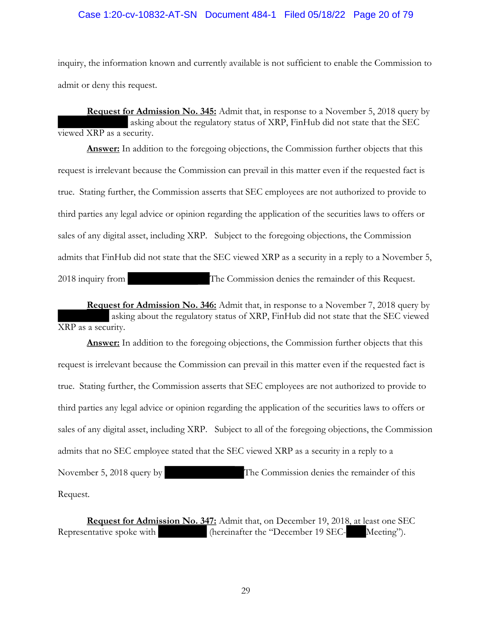### Case 1:20-cv-10832-AT-SN Document 484-1 Filed 05/18/22 Page 20 of 79

inquiry, the information known and currently available is not sufficient to enable the Commission to admit or deny this request.

**Request for Admission No. 345:** Admit that, in response to a November 5, 2018 query by asking about the regulatory status of XRP, FinHub did not state that the SEC viewed XRP as a security.

**Answer:** In addition to the foregoing objections, the Commission further objects that this request is irrelevant because the Commission can prevail in this matter even if the requested fact is true. Stating further, the Commission asserts that SEC employees are not authorized to provide to third parties any legal advice or opinion regarding the application of the securities laws to offers or sales of any digital asset, including XRP. Subject to the foregoing objections, the Commission admits that FinHub did not state that the SEC viewed XRP as a security in a reply to a November 5, 2018 inquiry from The Commission denies the remainder of this Request.

**Request for Admission No. 346:** Admit that, in response to a November 7, 2018 query by asking about the regulatory status of XRP, FinHub did not state that the SEC viewed XRP as a security.

**Answer:** In addition to the foregoing objections, the Commission further objects that this request is irrelevant because the Commission can prevail in this matter even if the requested fact is true. Stating further, the Commission asserts that SEC employees are not authorized to provide to third parties any legal advice or opinion regarding the application of the securities laws to offers or sales of any digital asset, including XRP. Subject to all of the foregoing objections, the Commission admits that no SEC employee stated that the SEC viewed XRP as a security in a reply to a November 5, 2018 query by The Commission denies the remainder of this Request.

**Request for Admission No. 347:** Admit that, on December 19, 2018, at least one SEC Representative spoke with (hereinafter the "December 19 SEC- Meeting").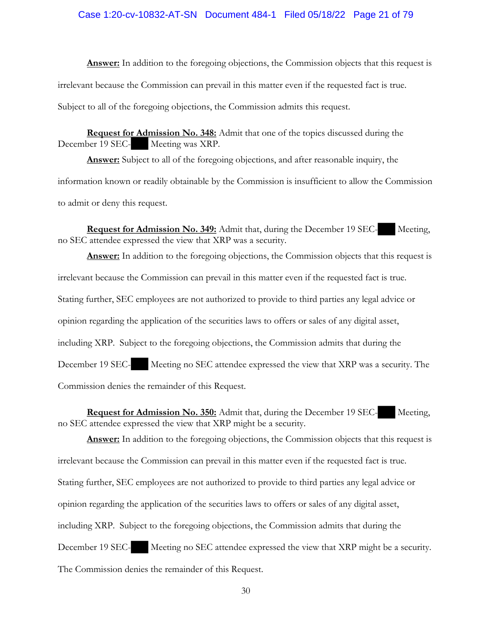### Case 1:20-cv-10832-AT-SN Document 484-1 Filed 05/18/22 Page 21 of 79

**Answer:** In addition to the foregoing objections, the Commission objects that this request is irrelevant because the Commission can prevail in this matter even if the requested fact is true. Subject to all of the foregoing objections, the Commission admits this request.

**Request for Admission No. 348:** Admit that one of the topics discussed during the December 19 SEC-<br>Meeting was XRP.

**Answer:** Subject to all of the foregoing objections, and after reasonable inquiry, the information known or readily obtainable by the Commission is insufficient to allow the Commission to admit or deny this request.

**Request for Admission No. 349:** Admit that, during the December 19 SEC-**Remarkation** Meeting, no SEC attendee expressed the view that XRP was a security.

Answer: In addition to the foregoing objections, the Commission objects that this request is irrelevant because the Commission can prevail in this matter even if the requested fact is true. Stating further, SEC employees are not authorized to provide to third parties any legal advice or opinion regarding the application of the securities laws to offers or sales of any digital asset, including XRP. Subject to the foregoing objections, the Commission admits that during the December 19 SEC- Meeting no SEC attendee expressed the view that XRP was a security. The Commission denies the remainder of this Request.

**Request for Admission No. 350:** Admit that, during the December 19 SEC- Meeting, no SEC attendee expressed the view that XRP might be a security.

Answer: In addition to the foregoing objections, the Commission objects that this request is irrelevant because the Commission can prevail in this matter even if the requested fact is true. Stating further, SEC employees are not authorized to provide to third parties any legal advice or opinion regarding the application of the securities laws to offers or sales of any digital asset, including XRP. Subject to the foregoing objections, the Commission admits that during the December 19 SEC- Meeting no SEC attendee expressed the view that XRP might be a security. The Commission denies the remainder of this Request.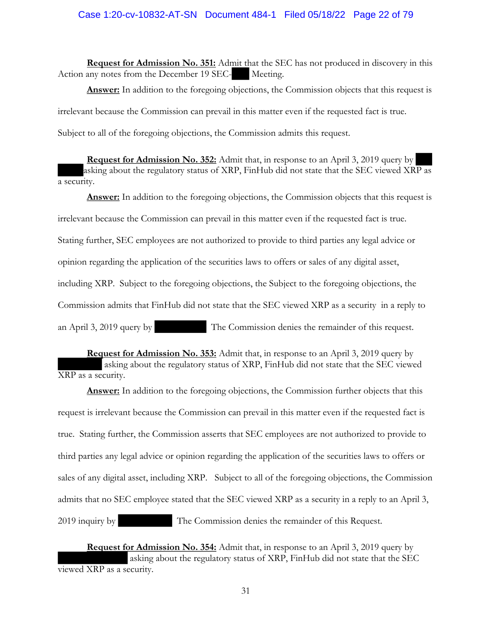**Request for Admission No. 351:** Admit that the SEC has not produced in discovery in this Action any notes from the December 19 SEC- Meeting.

Answer: In addition to the foregoing objections, the Commission objects that this request is irrelevant because the Commission can prevail in this matter even if the requested fact is true. Subject to all of the foregoing objections, the Commission admits this request.

**Request for Admission No. 352:** Admit that, in response to an April 3, 2019 query by asking about the regulatory status of XRP, FinHub did not state that the SEC viewed XRP as a security.

**Answer:** In addition to the foregoing objections, the Commission objects that this request is irrelevant because the Commission can prevail in this matter even if the requested fact is true. Stating further, SEC employees are not authorized to provide to third parties any legal advice or opinion regarding the application of the securities laws to offers or sales of any digital asset, including XRP. Subject to the foregoing objections, the Subject to the foregoing objections, the Commission admits that FinHub did not state that the SEC viewed XRP as a security in a reply to an April 3, 2019 query by The Commission denies the remainder of this request.

**Request for Admission No. 353:** Admit that, in response to an April 3, 2019 query by asking about the regulatory status of XRP, FinHub did not state that the SEC viewed XRP as a security.

**Answer:** In addition to the foregoing objections, the Commission further objects that this request is irrelevant because the Commission can prevail in this matter even if the requested fact is true. Stating further, the Commission asserts that SEC employees are not authorized to provide to third parties any legal advice or opinion regarding the application of the securities laws to offers or sales of any digital asset, including XRP. Subject to all of the foregoing objections, the Commission admits that no SEC employee stated that the SEC viewed XRP as a security in a reply to an April 3, 2019 inquiry by The Commission denies the remainder of this Request.

**Request for Admission No. 354:** Admit that, in response to an April 3, 2019 query by asking about the regulatory status of XRP, FinHub did not state that the SEC viewed XRP as a security.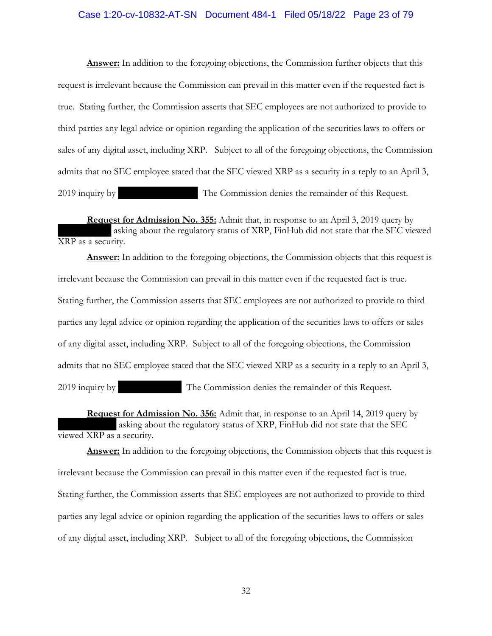### Case 1:20-cv-10832-AT-SN Document 484-1 Filed 05/18/22 Page 23 of 79

**Answer:** In addition to the foregoing objections, the Commission further objects that this request is irrelevant because the Commission can prevail in this matter even if the requested fact is true. Stating further, the Commission asserts that SEC employees are not authorized to provide to third parties any legal advice or opinion regarding the application of the securities laws to offers or sales of any digital asset, including XRP. Subject to all of the foregoing objections, the Commission admits that no SEC employee stated that the SEC viewed XRP as a security in a reply to an April 3, 2019 inquiry by The Commission denies the remainder of this Request.

**Request for Admission No. 355:** Admit that, in response to an April 3, 2019 query by asking about the regulatory status of XRP, FinHub did not state that the SEC viewed XRP as a security.

**Answer:** In addition to the foregoing objections, the Commission objects that this request is irrelevant because the Commission can prevail in this matter even if the requested fact is true. Stating further, the Commission asserts that SEC employees are not authorized to provide to third parties any legal advice or opinion regarding the application of the securities laws to offers or sales of any digital asset, including XRP. Subject to all of the foregoing objections, the Commission admits that no SEC employee stated that the SEC viewed XRP as a security in a reply to an April 3, 2019 inquiry by The Commission denies the remainder of this Request.

**Request for Admission No. 356:** Admit that, in response to an April 14, 2019 query by asking about the regulatory status of XRP, FinHub did not state that the SEC viewed XRP as a security.

**Answer:** In addition to the foregoing objections, the Commission objects that this request is irrelevant because the Commission can prevail in this matter even if the requested fact is true. Stating further, the Commission asserts that SEC employees are not authorized to provide to third parties any legal advice or opinion regarding the application of the securities laws to offers or sales of any digital asset, including XRP. Subject to all of the foregoing objections, the Commission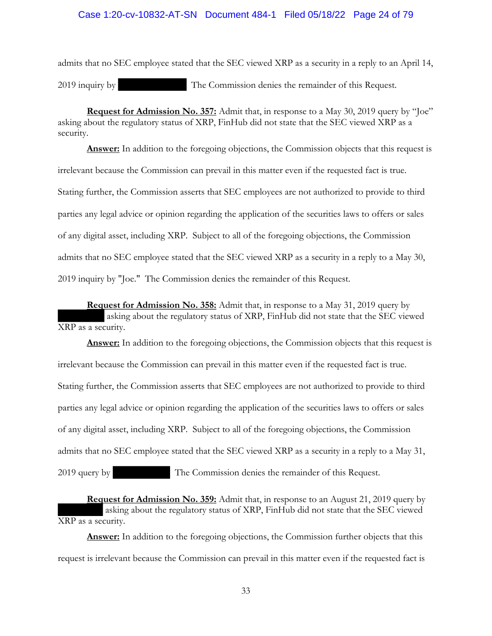admits that no SEC employee stated that the SEC viewed XRP as a security in a reply to an April 14, 2019 inquiry by The Commission denies the remainder of this Request.

**Request for Admission No. 357:** Admit that, in response to a May 30, 2019 query by "Joe" asking about the regulatory status of XRP, FinHub did not state that the SEC viewed XRP as a security.

**Answer:** In addition to the foregoing objections, the Commission objects that this request is irrelevant because the Commission can prevail in this matter even if the requested fact is true. Stating further, the Commission asserts that SEC employees are not authorized to provide to third parties any legal advice or opinion regarding the application of the securities laws to offers or sales of any digital asset, including XRP. Subject to all of the foregoing objections, the Commission admits that no SEC employee stated that the SEC viewed XRP as a security in a reply to a May 30, 2019 inquiry by "Joe." The Commission denies the remainder of this Request.

**Request for Admission No. 358:** Admit that, in response to a May 31, 2019 query by asking about the regulatory status of XRP, FinHub did not state that the SEC viewed XRP as a security.

**Answer:** In addition to the foregoing objections, the Commission objects that this request is irrelevant because the Commission can prevail in this matter even if the requested fact is true. Stating further, the Commission asserts that SEC employees are not authorized to provide to third parties any legal advice or opinion regarding the application of the securities laws to offers or sales of any digital asset, including XRP. Subject to all of the foregoing objections, the Commission admits that no SEC employee stated that the SEC viewed XRP as a security in a reply to a May 31, 2019 query by The Commission denies the remainder of this Request.

**Request for Admission No. 359:** Admit that, in response to an August 21, 2019 query by asking about the regulatory status of XRP, FinHub did not state that the SEC viewed XRP as a security.

**Answer:** In addition to the foregoing objections, the Commission further objects that this request is irrelevant because the Commission can prevail in this matter even if the requested fact is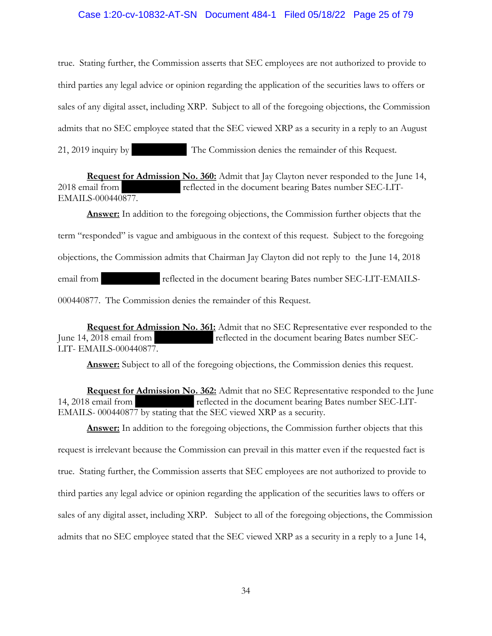### Case 1:20-cv-10832-AT-SN Document 484-1 Filed 05/18/22 Page 25 of 79

true. Stating further, the Commission asserts that SEC employees are not authorized to provide to third parties any legal advice or opinion regarding the application of the securities laws to offers or sales of any digital asset, including XRP. Subject to all of the foregoing objections, the Commission admits that no SEC employee stated that the SEC viewed XRP as a security in a reply to an August 21, 2019 inquiry by The Commission denies the remainder of this Request.

**Request for Admission No. 360:** Admit that Jay Clayton never responded to the June 14, 2018 email from reflected in the document bearing Bates number SEC-LIT-EMAILS-000440877.

**Answer:** In addition to the foregoing objections, the Commission further objects that the term "responded" is vague and ambiguous in the context of this request. Subject to the foregoing objections, the Commission admits that Chairman Jay Clayton did not reply to the June 14, 2018 email from reflected in the document bearing Bates number SEC-LIT-EMAILS-000440877. The Commission denies the remainder of this Request.

**Request for Admission No. 361:** Admit that no SEC Representative ever responded to the June 14, 2018 email from reflected in the document bearing Bates number SEC-LIT- EMAILS-000440877.

**Answer:** Subject to all of the foregoing objections, the Commission denies this request.

**Request for Admission No. 362:** Admit that no SEC Representative responded to the June 14, 2018 email from reflected in the document bearing Bates number SEC-LIT-EMAILS- 000440877 by stating that the SEC viewed XRP as a security.

**Answer:** In addition to the foregoing objections, the Commission further objects that this request is irrelevant because the Commission can prevail in this matter even if the requested fact is true. Stating further, the Commission asserts that SEC employees are not authorized to provide to third parties any legal advice or opinion regarding the application of the securities laws to offers or sales of any digital asset, including XRP. Subject to all of the foregoing objections, the Commission admits that no SEC employee stated that the SEC viewed XRP as a security in a reply to a June 14,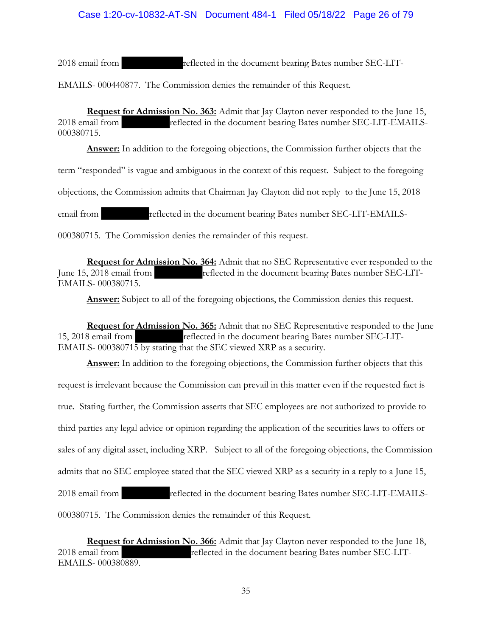# Case 1:20-cv-10832-AT-SN Document 484-1 Filed 05/18/22 Page 26 of 79

2018 email from reflected in the document bearing Bates number SEC-LIT-

EMAILS- 000440877. The Commission denies the remainder of this Request.

**Request for Admission No. 363:** Admit that Jay Clayton never responded to the June 15, 2018 email from reflected in the document bearing Bates number SEC-LIT-EMAILS-000380715.

**Answer:** In addition to the foregoing objections, the Commission further objects that the

term "responded" is vague and ambiguous in the context of this request. Subject to the foregoing

objections, the Commission admits that Chairman Jay Clayton did not reply to the June 15, 2018

email from reflected in the document bearing Bates number SEC-LIT-EMAILS-

000380715. The Commission denies the remainder of this request.

**Request for Admission No. 364:** Admit that no SEC Representative ever responded to the June 15, 2018 email from reflected in the document bearing Bates number SEC-LIT-EMAILS- 000380715.

**Answer:** Subject to all of the foregoing objections, the Commission denies this request.

**Request for Admission No. 365:** Admit that no SEC Representative responded to the June 15, 2018 email from reflected in the document bearing Bates number SEC-LIT-EMAILS- 000380715 by stating that the SEC viewed XRP as a security.

**Answer:** In addition to the foregoing objections, the Commission further objects that this request is irrelevant because the Commission can prevail in this matter even if the requested fact is true. Stating further, the Commission asserts that SEC employees are not authorized to provide to third parties any legal advice or opinion regarding the application of the securities laws to offers or sales of any digital asset, including XRP. Subject to all of the foregoing objections, the Commission admits that no SEC employee stated that the SEC viewed XRP as a security in a reply to a June 15, 2018 email from reflected in the document bearing Bates number SEC-LIT-EMAILS-000380715. The Commission denies the remainder of this Request.

**Request for Admission No. 366:** Admit that Jay Clayton never responded to the June 18, 2018 email from reflected in the document bearing Bates number SEC-LIT-EMAILS- 000380889.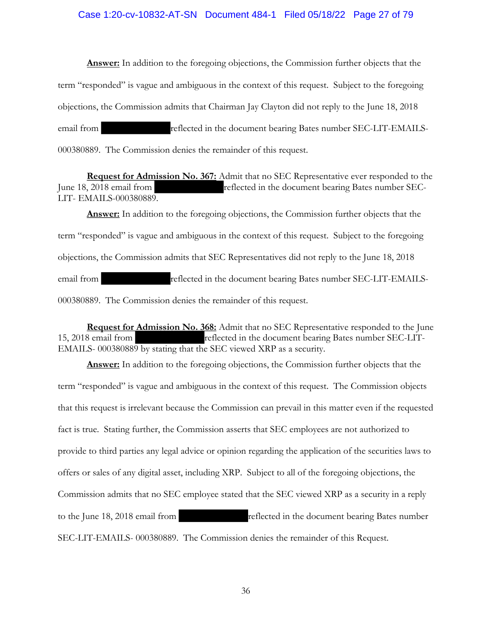### Case 1:20-cv-10832-AT-SN Document 484-1 Filed 05/18/22 Page 27 of 79

**Answer:** In addition to the foregoing objections, the Commission further objects that the term "responded" is vague and ambiguous in the context of this request. Subject to the foregoing objections, the Commission admits that Chairman Jay Clayton did not reply to the June 18, 2018 email from reflected in the document bearing Bates number SEC-LIT-EMAILS-000380889. The Commission denies the remainder of this request.

**Request for Admission No. 367:** Admit that no SEC Representative ever responded to the June 18, 2018 email from reflected in the document bearing Bates number SEC-LIT- EMAILS-000380889.

**Answer:** In addition to the foregoing objections, the Commission further objects that the term "responded" is vague and ambiguous in the context of this request. Subject to the foregoing objections, the Commission admits that SEC Representatives did not reply to the June 18, 2018 email from reflected in the document bearing Bates number SEC-LIT-EMAILS-000380889. The Commission denies the remainder of this request.

**Request for Admission No. 368:** Admit that no SEC Representative responded to the June 15, 2018 email from reflected in the document bearing Bates number SEC-LIT-EMAILS- 000380889 by stating that the SEC viewed XRP as a security.

**Answer:** In addition to the foregoing objections, the Commission further objects that the term "responded" is vague and ambiguous in the context of this request. The Commission objects that this request is irrelevant because the Commission can prevail in this matter even if the requested fact is true. Stating further, the Commission asserts that SEC employees are not authorized to provide to third parties any legal advice or opinion regarding the application of the securities laws to offers or sales of any digital asset, including XRP. Subject to all of the foregoing objections, the Commission admits that no SEC employee stated that the SEC viewed XRP as a security in a reply to the June 18, 2018 email from reflected in the document bearing Bates number SEC-LIT-EMAILS- 000380889. The Commission denies the remainder of this Request.

36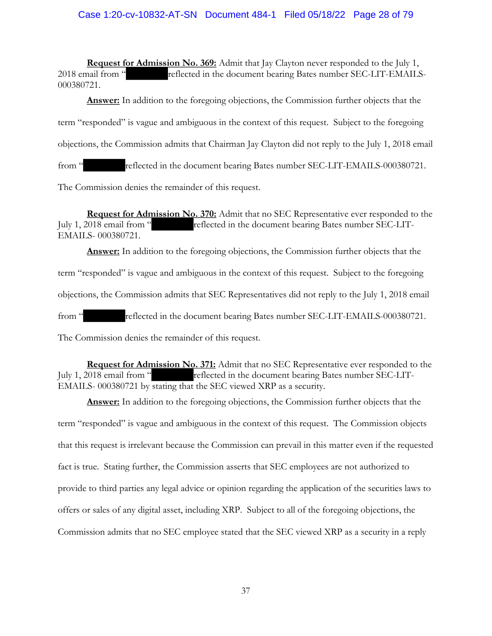### Case 1:20-cv-10832-AT-SN Document 484-1 Filed 05/18/22 Page 28 of 79

**Request for Admission No. 369:** Admit that Jay Clayton never responded to the July 1, 2018 email from " reflected in the document bearing Bates number SEC-LIT-EMAILS-000380721.

**Answer:** In addition to the foregoing objections, the Commission further objects that the term "responded" is vague and ambiguous in the context of this request. Subject to the foregoing objections, the Commission admits that Chairman Jay Clayton did not reply to the July 1, 2018 email from "
reflected in the document bearing Bates number SEC-LIT-EMAILS-000380721.

The Commission denies the remainder of this request.

**Request for Admission No. 370:** Admit that no SEC Representative ever responded to the July 1, 2018 email from " reflected in the document bearing Bates number SEC-LIT-EMAILS- 000380721.

**Answer:** In addition to the foregoing objections, the Commission further objects that the term "responded" is vague and ambiguous in the context of this request. Subject to the foregoing objections, the Commission admits that SEC Representatives did not reply to the July 1, 2018 email from " reflected in the document bearing Bates number SEC-LIT-EMAILS-000380721. The Commission denies the remainder of this request.

**Request for Admission No. 371:** Admit that no SEC Representative ever responded to the July 1, 2018 email from " reflected in the document bearing Bates number SEC-LIT-EMAILS- 000380721 by stating that the SEC viewed XRP as a security.

**Answer:** In addition to the foregoing objections, the Commission further objects that the term "responded" is vague and ambiguous in the context of this request. The Commission objects that this request is irrelevant because the Commission can prevail in this matter even if the requested fact is true. Stating further, the Commission asserts that SEC employees are not authorized to provide to third parties any legal advice or opinion regarding the application of the securities laws to offers or sales of any digital asset, including XRP. Subject to all of the foregoing objections, the Commission admits that no SEC employee stated that the SEC viewed XRP as a security in a reply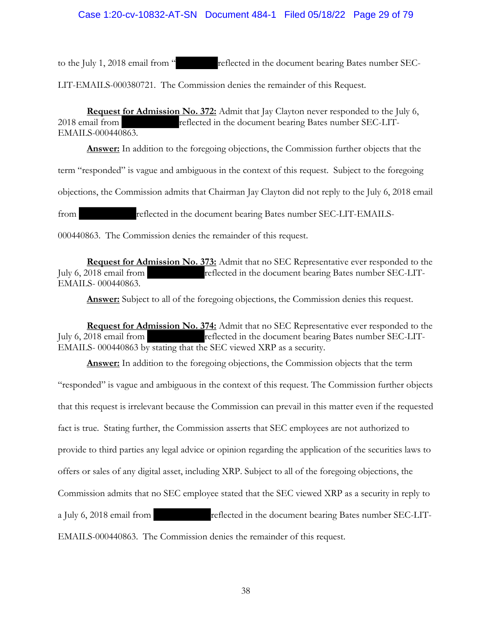## Case 1:20-cv-10832-AT-SN Document 484-1 Filed 05/18/22 Page 29 of 79

to the July 1, 2018 email from " reflected in the document bearing Bates number SEC-

LIT-EMAILS-000380721. The Commission denies the remainder of this Request.

**Request for Admission No. 372:** Admit that Jay Clayton never responded to the July 6, 2018 email from reflected in the document bearing Bates number SEC-LIT-EMAILS-000440863.

**Answer:** In addition to the foregoing objections, the Commission further objects that the

term "responded" is vague and ambiguous in the context of this request. Subject to the foregoing

objections, the Commission admits that Chairman Jay Clayton did not reply to the July 6, 2018 email

from reflected in the document bearing Bates number SEC-LIT-EMAILS-

000440863. The Commission denies the remainder of this request.

**Request for Admission No. 373:** Admit that no SEC Representative ever responded to the July 6, 2018 email from reflected in the document bearing Bates number SEC-LIT-EMAILS- 000440863.

**Answer:** Subject to all of the foregoing objections, the Commission denies this request.

**Request for Admission No. 374:** Admit that no SEC Representative ever responded to the July 6, 2018 email from reflected in the document bearing Bates number SEC-LIT-EMAILS- 000440863 by stating that the SEC viewed XRP as a security.

**Answer:** In addition to the foregoing objections, the Commission objects that the term "responded" is vague and ambiguous in the context of this request. The Commission further objects that this request is irrelevant because the Commission can prevail in this matter even if the requested fact is true. Stating further, the Commission asserts that SEC employees are not authorized to provide to third parties any legal advice or opinion regarding the application of the securities laws to offers or sales of any digital asset, including XRP. Subject to all of the foregoing objections, the Commission admits that no SEC employee stated that the SEC viewed XRP as a security in reply to a July 6, 2018 email from reflected in the document bearing Bates number SEC-LIT-EMAILS-000440863. The Commission denies the remainder of this request.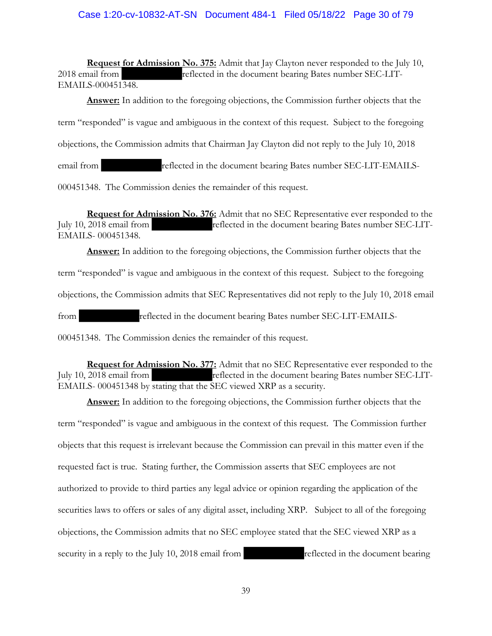### Case 1:20-cv-10832-AT-SN Document 484-1 Filed 05/18/22 Page 30 of 79

**Request for Admission No. 375:** Admit that Jay Clayton never responded to the July 10, 2018 email from reflected in the document bearing Bates number SEC-LIT-EMAILS-000451348.

**Answer:** In addition to the foregoing objections, the Commission further objects that the term "responded" is vague and ambiguous in the context of this request. Subject to the foregoing objections, the Commission admits that Chairman Jay Clayton did not reply to the July 10, 2018 email from reflected in the document bearing Bates number SEC-LIT-EMAILS-000451348. The Commission denies the remainder of this request.

**Request for Admission No. 376:** Admit that no SEC Representative ever responded to the July 10, 2018 email from reflected in the document bearing Bates number SEC-LIT-EMAILS- 000451348.

**Answer:** In addition to the foregoing objections, the Commission further objects that the term "responded" is vague and ambiguous in the context of this request. Subject to the foregoing objections, the Commission admits that SEC Representatives did not reply to the July 10, 2018 email from reflected in the document bearing Bates number SEC-LIT-EMAILS-

000451348. The Commission denies the remainder of this request.

**Request for Admission No. 377:** Admit that no SEC Representative ever responded to the July 10, 2018 email from reflected in the document bearing Bates number SEC-LIT-EMAILS- 000451348 by stating that the SEC viewed XRP as a security.

**Answer:** In addition to the foregoing objections, the Commission further objects that the term "responded" is vague and ambiguous in the context of this request. The Commission further objects that this request is irrelevant because the Commission can prevail in this matter even if the requested fact is true. Stating further, the Commission asserts that SEC employees are not authorized to provide to third parties any legal advice or opinion regarding the application of the securities laws to offers or sales of any digital asset, including XRP. Subject to all of the foregoing objections, the Commission admits that no SEC employee stated that the SEC viewed XRP as a security in a reply to the July 10, 2018 email from reflected in the document bearing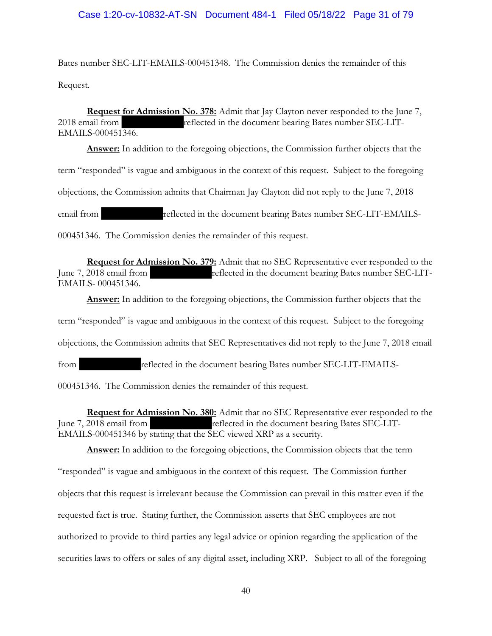### Case 1:20-cv-10832-AT-SN Document 484-1 Filed 05/18/22 Page 31 of 79

Bates number SEC-LIT-EMAILS-000451348. The Commission denies the remainder of this Request.

**Request for Admission No. 378:** Admit that Jay Clayton never responded to the June 7, 2018 email from reflected in the document bearing Bates number SEC-LIT-EMAILS-000451346.

**Answer:** In addition to the foregoing objections, the Commission further objects that the term "responded" is vague and ambiguous in the context of this request. Subject to the foregoing objections, the Commission admits that Chairman Jay Clayton did not reply to the June 7, 2018 email from reflected in the document bearing Bates number SEC-LIT-EMAILS-000451346. The Commission denies the remainder of this request.

**Request for Admission No. 379:** Admit that no SEC Representative ever responded to the June 7, 2018 email from reflected in the document bearing Bates number SEC-LIT-EMAILS- 000451346.

**Answer:** In addition to the foregoing objections, the Commission further objects that the term "responded" is vague and ambiguous in the context of this request. Subject to the foregoing objections, the Commission admits that SEC Representatives did not reply to the June 7, 2018 email from reflected in the document bearing Bates number SEC-LIT-EMAILS-000451346. The Commission denies the remainder of this request.

**Request for Admission No. 380:** Admit that no SEC Representative ever responded to the June 7, 2018 email from reflected in the document bearing Bates SEC-LIT-EMAILS-000451346 by stating that the SEC viewed XRP as a security.

**Answer:** In addition to the foregoing objections, the Commission objects that the term "responded" is vague and ambiguous in the context of this request. The Commission further objects that this request is irrelevant because the Commission can prevail in this matter even if the requested fact is true. Stating further, the Commission asserts that SEC employees are not authorized to provide to third parties any legal advice or opinion regarding the application of the securities laws to offers or sales of any digital asset, including XRP. Subject to all of the foregoing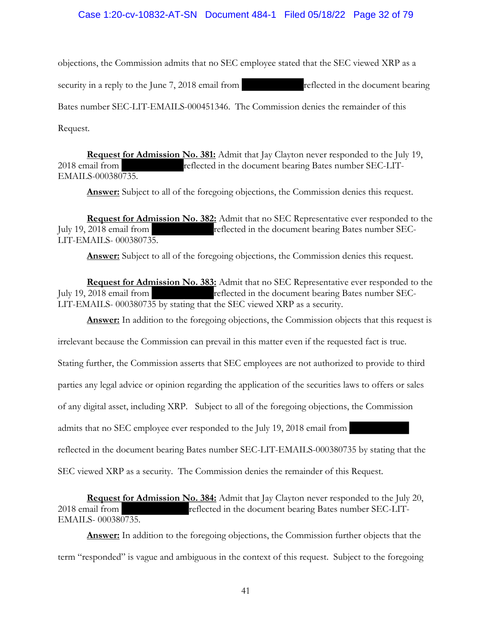## Case 1:20-cv-10832-AT-SN Document 484-1 Filed 05/18/22 Page 32 of 79

objections, the Commission admits that no SEC employee stated that the SEC viewed XRP as a

security in a reply to the June 7, 2018 email from reflected in the document bearing

Bates number SEC-LIT-EMAILS-000451346. The Commission denies the remainder of this

Request.

**Request for Admission No. 381:** Admit that Jay Clayton never responded to the July 19, 2018 email from reflected in the document bearing Bates number SEC-LIT-EMAILS-000380735.

**Answer:** Subject to all of the foregoing objections, the Commission denies this request.

**Request for Admission No. 382:** Admit that no SEC Representative ever responded to the July 19, 2018 email from reflected in the document bearing Bates number SEC-LIT-EMAILS- 000380735.

**Answer:** Subject to all of the foregoing objections, the Commission denies this request.

**Request for Admission No. 383:** Admit that no SEC Representative ever responded to the July 19, 2018 email from reflected in the document bearing Bates number SEC-LIT-EMAILS- 000380735 by stating that the SEC viewed XRP as a security.

**Answer:** In addition to the foregoing objections, the Commission objects that this request is

irrelevant because the Commission can prevail in this matter even if the requested fact is true.

Stating further, the Commission asserts that SEC employees are not authorized to provide to third

parties any legal advice or opinion regarding the application of the securities laws to offers or sales

of any digital asset, including XRP. Subject to all of the foregoing objections, the Commission

admits that no SEC employee ever responded to the July 19, 2018 email from

reflected in the document bearing Bates number SEC-LIT-EMAILS-000380735 by stating that the

SEC viewed XRP as a security. The Commission denies the remainder of this Request.

**Request for Admission No. 384:** Admit that Jay Clayton never responded to the July 20, 2018 email from reflected in the document bearing Bates number SEC-LIT-EMAILS- 000380735.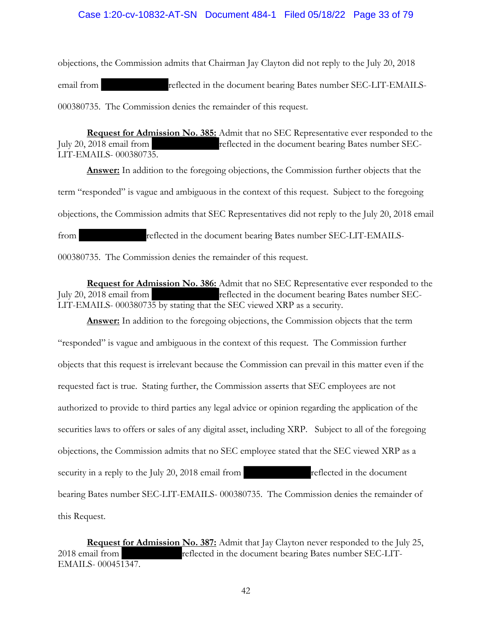### Case 1:20-cv-10832-AT-SN Document 484-1 Filed 05/18/22 Page 33 of 79

objections, the Commission admits that Chairman Jay Clayton did not reply to the July 20, 2018 email from reflected in the document bearing Bates number SEC-LIT-EMAILS-000380735. The Commission denies the remainder of this request.

**Request for Admission No. 385:** Admit that no SEC Representative ever responded to the July 20, 2018 email from reflected in the document bearing Bates number SEC-LIT-EMAILS- 000380735.

**Answer:** In addition to the foregoing objections, the Commission further objects that the term "responded" is vague and ambiguous in the context of this request. Subject to the foregoing objections, the Commission admits that SEC Representatives did not reply to the July 20, 2018 email from reflected in the document bearing Bates number SEC-LIT-EMAILS-

000380735. The Commission denies the remainder of this request.

**Request for Admission No. 386:** Admit that no SEC Representative ever responded to the July 20, 2018 email from reflected in the document bearing Bates number SEC-LIT-EMAILS- 000380735 by stating that the SEC viewed XRP as a security.

**Answer:** In addition to the foregoing objections, the Commission objects that the term "responded" is vague and ambiguous in the context of this request. The Commission further objects that this request is irrelevant because the Commission can prevail in this matter even if the requested fact is true. Stating further, the Commission asserts that SEC employees are not authorized to provide to third parties any legal advice or opinion regarding the application of the securities laws to offers or sales of any digital asset, including XRP. Subject to all of the foregoing objections, the Commission admits that no SEC employee stated that the SEC viewed XRP as a security in a reply to the July 20, 2018 email from reflected in the document bearing Bates number SEC-LIT-EMAILS- 000380735. The Commission denies the remainder of this Request.

**Request for Admission No. 387:** Admit that Jay Clayton never responded to the July 25, 2018 email from reflected in the document bearing Bates number SEC-LIT-EMAILS- 000451347.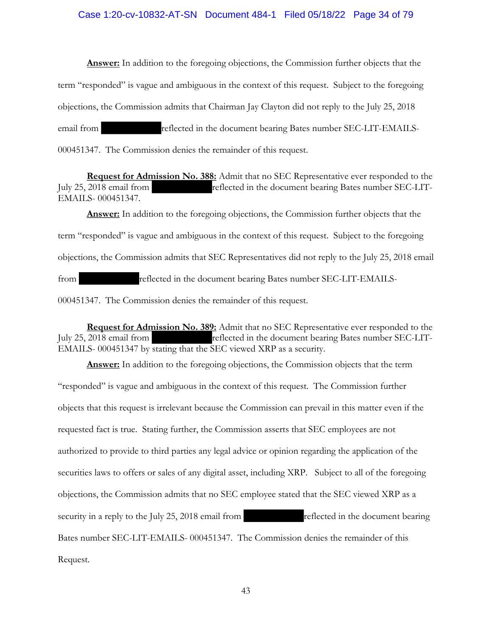#### Case 1:20-cv-10832-AT-SN Document 484-1 Filed 05/18/22 Page 34 of 79

**Answer:** In addition to the foregoing objections, the Commission further objects that the term "responded" is vague and ambiguous in the context of this request. Subject to the foregoing objections, the Commission admits that Chairman Jay Clayton did not reply to the July 25, 2018 email from reflected in the document bearing Bates number SEC-LIT-EMAILS-000451347. The Commission denies the remainder of this request.

**Request for Admission No. 388:** Admit that no SEC Representative ever responded to the July 25, 2018 email from reflected in the document bearing Bates number SEC-LIT-EMAILS- 000451347.

**Answer:** In addition to the foregoing objections, the Commission further objects that the term "responded" is vague and ambiguous in the context of this request. Subject to the foregoing objections, the Commission admits that SEC Representatives did not reply to the July 25, 2018 email from reflected in the document bearing Bates number SEC-LIT-EMAILS-000451347. The Commission denies the remainder of this request.

**Request for Admission No. 389:** Admit that no SEC Representative ever responded to the July 25, 2018 email from reflected in the document bearing Bates number SEC-LIT-EMAILS- 000451347 by stating that the SEC viewed XRP as a security.

**Answer:** In addition to the foregoing objections, the Commission objects that the term "responded" is vague and ambiguous in the context of this request. The Commission further objects that this request is irrelevant because the Commission can prevail in this matter even if the requested fact is true. Stating further, the Commission asserts that SEC employees are not authorized to provide to third parties any legal advice or opinion regarding the application of the securities laws to offers or sales of any digital asset, including XRP. Subject to all of the foregoing objections, the Commission admits that no SEC employee stated that the SEC viewed XRP as a security in a reply to the July 25, 2018 email from reflected in the document bearing Bates number SEC-LIT-EMAILS- 000451347. The Commission denies the remainder of this Request.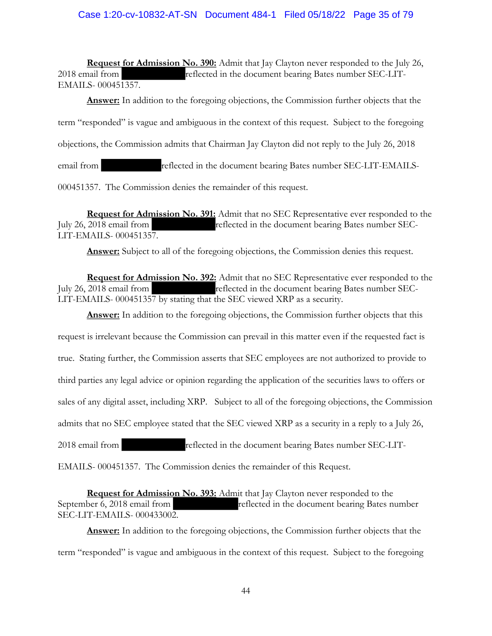## Case 1:20-cv-10832-AT-SN Document 484-1 Filed 05/18/22 Page 35 of 79

**Request for Admission No. 390:** Admit that Jay Clayton never responded to the July 26, 2018 email from reflected in the document bearing Bates number SEC-LIT-EMAILS- 000451357.

**Answer:** In addition to the foregoing objections, the Commission further objects that the term "responded" is vague and ambiguous in the context of this request. Subject to the foregoing objections, the Commission admits that Chairman Jay Clayton did not reply to the July 26, 2018 email from reflected in the document bearing Bates number SEC-LIT-EMAILS-

000451357. The Commission denies the remainder of this request.

**Request for Admission No. 391:** Admit that no SEC Representative ever responded to the July 26, 2018 email from reflected in the document bearing Bates number SEC-LIT-EMAILS- 000451357.

Answer: Subject to all of the foregoing objections, the Commission denies this request.

**Request for Admission No. 392:** Admit that no SEC Representative ever responded to the July 26, 2018 email from reflected in the document bearing Bates number SEC-LIT-EMAILS- 000451357 by stating that the SEC viewed XRP as a security.

**Answer:** In addition to the foregoing objections, the Commission further objects that this request is irrelevant because the Commission can prevail in this matter even if the requested fact is true. Stating further, the Commission asserts that SEC employees are not authorized to provide to third parties any legal advice or opinion regarding the application of the securities laws to offers or sales of any digital asset, including XRP. Subject to all of the foregoing objections, the Commission admits that no SEC employee stated that the SEC viewed XRP as a security in a reply to a July 26, 2018 email from reflected in the document bearing Bates number SEC-LIT-

EMAILS- 000451357. The Commission denies the remainder of this Request.

**Request for Admission No. 393:** Admit that Jay Clayton never responded to the September 6, 2018 email from reflected in the document bearing Bates number SEC-LIT-EMAILS- 000433002.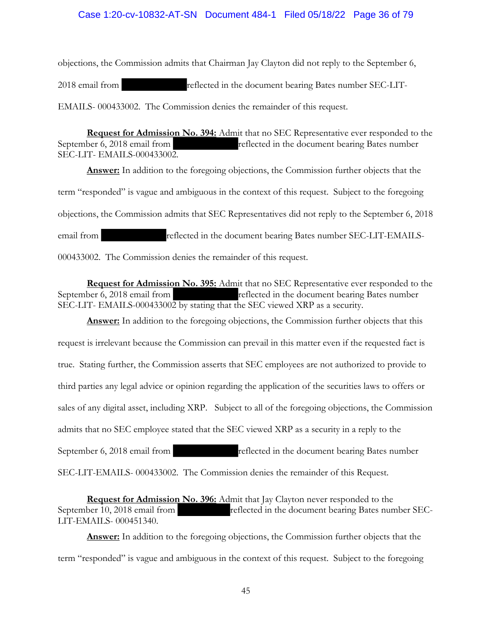#### Case 1:20-cv-10832-AT-SN Document 484-1 Filed 05/18/22 Page 36 of 79

objections, the Commission admits that Chairman Jay Clayton did not reply to the September 6, 2018 email from reflected in the document bearing Bates number SEC-LIT-EMAILS- 000433002. The Commission denies the remainder of this request.

**Request for Admission No. 394:** Admit that no SEC Representative ever responded to the September 6, 2018 email from reflected in the document bearing Bates number SEC-LIT- EMAILS-000433002.

**Answer:** In addition to the foregoing objections, the Commission further objects that the term "responded" is vague and ambiguous in the context of this request. Subject to the foregoing objections, the Commission admits that SEC Representatives did not reply to the September 6, 2018 email from reflected in the document bearing Bates number SEC-LIT-EMAILS-000433002. The Commission denies the remainder of this request.

**Request for Admission No. 395:** Admit that no SEC Representative ever responded to the September 6, 2018 email from reflected in the document bearing Bates number SEC-LIT- EMAILS-000433002 by stating that the SEC viewed XRP as a security.

**Answer:** In addition to the foregoing objections, the Commission further objects that this request is irrelevant because the Commission can prevail in this matter even if the requested fact is true. Stating further, the Commission asserts that SEC employees are not authorized to provide to third parties any legal advice or opinion regarding the application of the securities laws to offers or sales of any digital asset, including XRP. Subject to all of the foregoing objections, the Commission admits that no SEC employee stated that the SEC viewed XRP as a security in a reply to the September 6, 2018 email from reflected in the document bearing Bates number SEC-LIT-EMAILS- 000433002. The Commission denies the remainder of this Request.

**Request for Admission No. 396:** Admit that Jay Clayton never responded to the September 10, 2018 email from reflected in the document bearing Bates number SEC-LIT-EMAILS- 000451340.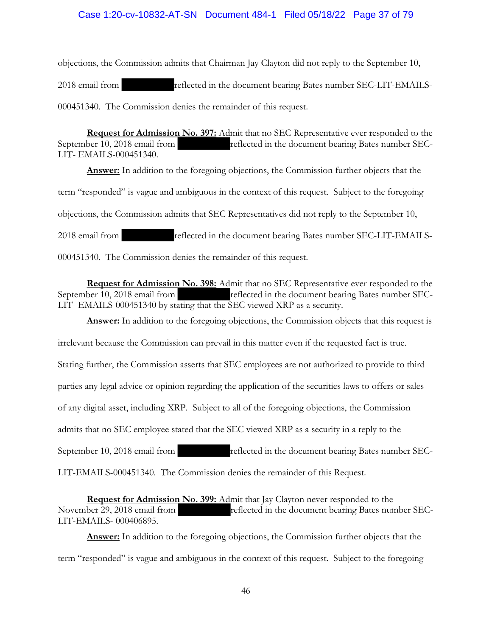### Case 1:20-cv-10832-AT-SN Document 484-1 Filed 05/18/22 Page 37 of 79

objections, the Commission admits that Chairman Jay Clayton did not reply to the September 10, 2018 email from reflected in the document bearing Bates number SEC-LIT-EMAILS-000451340. The Commission denies the remainder of this request.

**Request for Admission No. 397:** Admit that no SEC Representative ever responded to the September 10, 2018 email from reflected in the document bearing Bates number SEC-LIT- EMAILS-000451340.

**Answer:** In addition to the foregoing objections, the Commission further objects that the term "responded" is vague and ambiguous in the context of this request. Subject to the foregoing objections, the Commission admits that SEC Representatives did not reply to the September 10, 2018 email from reflected in the document bearing Bates number SEC-LIT-EMAILS-000451340. The Commission denies the remainder of this request.

**Request for Admission No. 398:** Admit that no SEC Representative ever responded to the September 10, 2018 email from reflected in the document bearing Bates number SEC-LIT- EMAILS-000451340 by stating that the SEC viewed XRP as a security.

**Answer:** In addition to the foregoing objections, the Commission objects that this request is irrelevant because the Commission can prevail in this matter even if the requested fact is true. Stating further, the Commission asserts that SEC employees are not authorized to provide to third parties any legal advice or opinion regarding the application of the securities laws to offers or sales of any digital asset, including XRP. Subject to all of the foregoing objections, the Commission admits that no SEC employee stated that the SEC viewed XRP as a security in a reply to the September 10, 2018 email from reflected in the document bearing Bates number SEC-LIT-EMAILS-000451340. The Commission denies the remainder of this Request.

**Request for Admission No. 399:** Admit that Jay Clayton never responded to the November 29, 2018 email from reflected in the document bearing Bates number SEC-LIT-EMAILS- 000406895.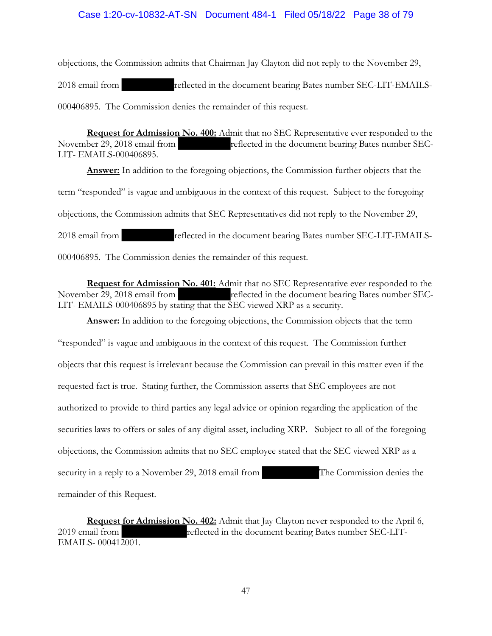### Case 1:20-cv-10832-AT-SN Document 484-1 Filed 05/18/22 Page 38 of 79

objections, the Commission admits that Chairman Jay Clayton did not reply to the November 29, 2018 email from reflected in the document bearing Bates number SEC-LIT-EMAILS-000406895. The Commission denies the remainder of this request.

**Request for Admission No. 400:** Admit that no SEC Representative ever responded to the November 29, 2018 email from reflected in the document bearing Bates number SEC-LIT- EMAILS-000406895.

**Answer:** In addition to the foregoing objections, the Commission further objects that the term "responded" is vague and ambiguous in the context of this request. Subject to the foregoing objections, the Commission admits that SEC Representatives did not reply to the November 29, 2018 email from reflected in the document bearing Bates number SEC-LIT-EMAILS-000406895. The Commission denies the remainder of this request.

**Request for Admission No. 401:** Admit that no SEC Representative ever responded to the November 29, 2018 email from reflected in the document bearing Bates number SEC-LIT- EMAILS-000406895 by stating that the SEC viewed XRP as a security.

**Answer:** In addition to the foregoing objections, the Commission objects that the term "responded" is vague and ambiguous in the context of this request. The Commission further objects that this request is irrelevant because the Commission can prevail in this matter even if the requested fact is true. Stating further, the Commission asserts that SEC employees are not authorized to provide to third parties any legal advice or opinion regarding the application of the securities laws to offers or sales of any digital asset, including XRP. Subject to all of the foregoing objections, the Commission admits that no SEC employee stated that the SEC viewed XRP as a security in a reply to a November 29, 2018 email from The Commission denies the remainder of this Request.

**Request for Admission No. 402:** Admit that Jay Clayton never responded to the April 6, 2019 email from reflected in the document bearing Bates number SEC-LIT-EMAILS- 000412001.

47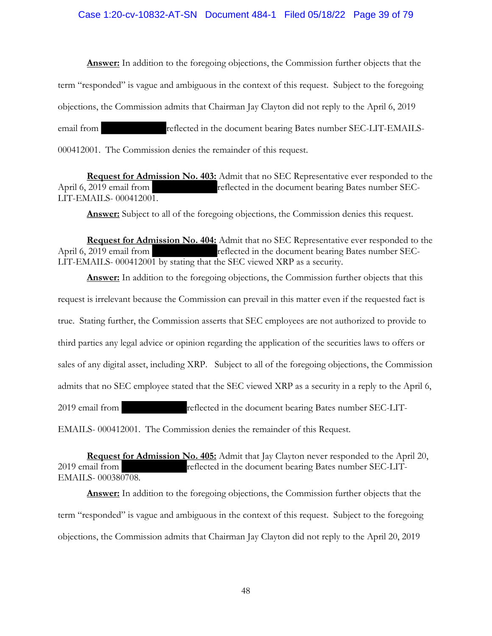#### Case 1:20-cv-10832-AT-SN Document 484-1 Filed 05/18/22 Page 39 of 79

**Answer:** In addition to the foregoing objections, the Commission further objects that the term "responded" is vague and ambiguous in the context of this request. Subject to the foregoing objections, the Commission admits that Chairman Jay Clayton did not reply to the April 6, 2019 email from reflected in the document bearing Bates number SEC-LIT-EMAILS-000412001. The Commission denies the remainder of this request.

**Request for Admission No. 403:** Admit that no SEC Representative ever responded to the April 6, 2019 email from reflected in the document bearing Bates number SEC-LIT-EMAILS- 000412001.

**Answer:** Subject to all of the foregoing objections, the Commission denies this request.

**Request for Admission No. 404:** Admit that no SEC Representative ever responded to the April 6, 2019 email from reflected in the document bearing Bates number SEC-LIT-EMAILS- 000412001 by stating that the SEC viewed XRP as a security.

**Answer:** In addition to the foregoing objections, the Commission further objects that this request is irrelevant because the Commission can prevail in this matter even if the requested fact is true. Stating further, the Commission asserts that SEC employees are not authorized to provide to third parties any legal advice or opinion regarding the application of the securities laws to offers or sales of any digital asset, including XRP. Subject to all of the foregoing objections, the Commission admits that no SEC employee stated that the SEC viewed XRP as a security in a reply to the April 6, 2019 email from reflected in the document bearing Bates number SEC-LIT-EMAILS- 000412001. The Commission denies the remainder of this Request.

**Request for Admission No. 405:** Admit that Jay Clayton never responded to the April 20, 2019 email from reflected in the document bearing Bates number SEC-LIT-EMAILS- 000380708.

**Answer:** In addition to the foregoing objections, the Commission further objects that the term "responded" is vague and ambiguous in the context of this request. Subject to the foregoing objections, the Commission admits that Chairman Jay Clayton did not reply to the April 20, 2019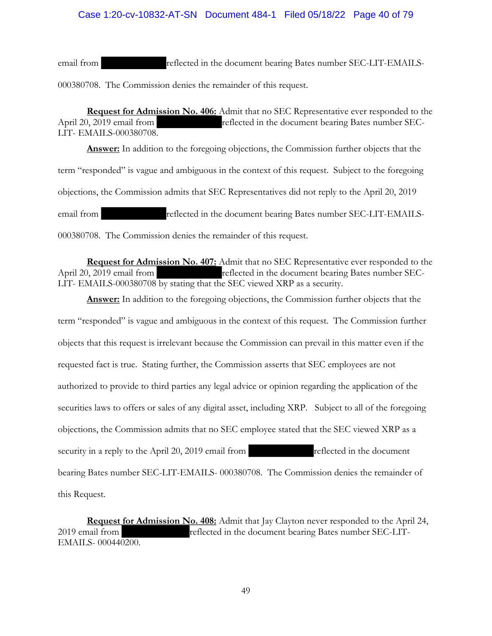## Case 1:20-cv-10832-AT-SN Document 484-1 Filed 05/18/22 Page 40 of 79

email from reflected in the document bearing Bates number SEC-LIT-EMAILS-000380708. The Commission denies the remainder of this request.

**Request for Admission No. 406:** Admit that no SEC Representative ever responded to the April 20, 2019 email from reflected in the document bearing Bates number SEC-LIT- EMAILS-000380708.

**Answer:** In addition to the foregoing objections, the Commission further objects that the term "responded" is vague and ambiguous in the context of this request. Subject to the foregoing objections, the Commission admits that SEC Representatives did not reply to the April 20, 2019 email from reflected in the document bearing Bates number SEC-LIT-EMAILS-000380708. The Commission denies the remainder of this request.

**Request for Admission No. 407:** Admit that no SEC Representative ever responded to the April 20, 2019 email from reflected in the document bearing Bates number SEC-LIT- EMAILS-000380708 by stating that the SEC viewed XRP as a security.

**Answer:** In addition to the foregoing objections, the Commission further objects that the term "responded" is vague and ambiguous in the context of this request. The Commission further objects that this request is irrelevant because the Commission can prevail in this matter even if the requested fact is true. Stating further, the Commission asserts that SEC employees are not authorized to provide to third parties any legal advice or opinion regarding the application of the securities laws to offers or sales of any digital asset, including XRP. Subject to all of the foregoing objections, the Commission admits that no SEC employee stated that the SEC viewed XRP as a security in a reply to the April 20, 2019 email from reflected in the document bearing Bates number SEC-LIT-EMAILS- 000380708. The Commission denies the remainder of this Request.

**Request for Admission No. 408:** Admit that Jay Clayton never responded to the April 24, 2019 email from reflected in the document bearing Bates number SEC-LIT-EMAILS- 000440200.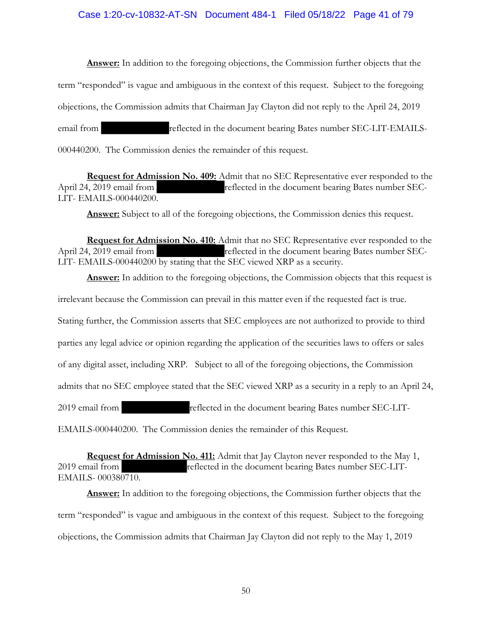#### Case 1:20-cv-10832-AT-SN Document 484-1 Filed 05/18/22 Page 41 of 79

**Answer:** In addition to the foregoing objections, the Commission further objects that the term "responded" is vague and ambiguous in the context of this request. Subject to the foregoing objections, the Commission admits that Chairman Jay Clayton did not reply to the April 24, 2019 email from reflected in the document bearing Bates number SEC-LIT-EMAILS-000440200. The Commission denies the remainder of this request.

**Request for Admission No. 409:** Admit that no SEC Representative ever responded to the April 24, 2019 email from reflected in the document bearing Bates number SEC-LIT- EMAILS-000440200.

**Answer:** Subject to all of the foregoing objections, the Commission denies this request.

**Request for Admission No. 410:** Admit that no SEC Representative ever responded to the April 24, 2019 email from reflected in the document bearing Bates number SEC-LIT- EMAILS-000440200 by stating that the SEC viewed XRP as a security.

**Answer:** In addition to the foregoing objections, the Commission objects that this request is irrelevant because the Commission can prevail in this matter even if the requested fact is true. Stating further, the Commission asserts that SEC employees are not authorized to provide to third parties any legal advice or opinion regarding the application of the securities laws to offers or sales of any digital asset, including XRP. Subject to all of the foregoing objections, the Commission admits that no SEC employee stated that the SEC viewed XRP as a security in a reply to an April 24, 2019 email from reflected in the document bearing Bates number SEC-LIT-EMAILS-000440200. The Commission denies the remainder of this Request.

**Request for Admission No. 411:** Admit that Jay Clayton never responded to the May 1, 2019 email from reflected in the document bearing Bates number SEC-LIT-EMAILS- 000380710.

**Answer:** In addition to the foregoing objections, the Commission further objects that the term "responded" is vague and ambiguous in the context of this request. Subject to the foregoing objections, the Commission admits that Chairman Jay Clayton did not reply to the May 1, 2019

50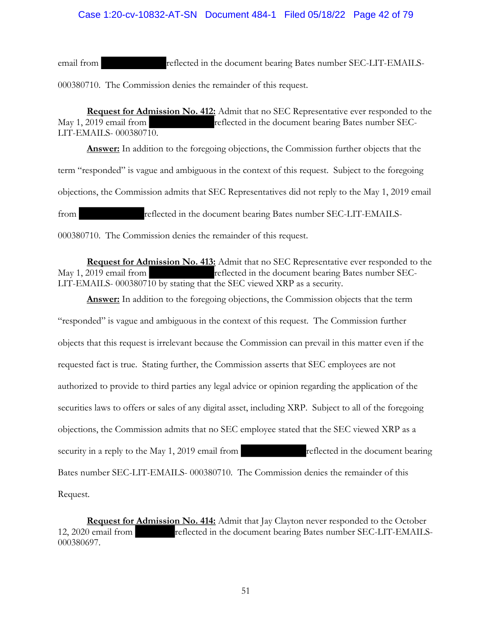## Case 1:20-cv-10832-AT-SN Document 484-1 Filed 05/18/22 Page 42 of 79

email from reflected in the document bearing Bates number SEC-LIT-EMAILS-000380710. The Commission denies the remainder of this request.

**Request for Admission No. 412:** Admit that no SEC Representative ever responded to the May 1, 2019 email from reflected in the document bearing Bates number SEC-LIT-EMAILS- 000380710.

**Answer:** In addition to the foregoing objections, the Commission further objects that the term "responded" is vague and ambiguous in the context of this request. Subject to the foregoing objections, the Commission admits that SEC Representatives did not reply to the May 1, 2019 email from reflected in the document bearing Bates number SEC-LIT-EMAILS-

000380710. The Commission denies the remainder of this request.

**Request for Admission No. 413:** Admit that no SEC Representative ever responded to the May 1, 2019 email from reflected in the document bearing Bates number SEC-LIT-EMAILS- 000380710 by stating that the SEC viewed XRP as a security.

**Answer:** In addition to the foregoing objections, the Commission objects that the term "responded" is vague and ambiguous in the context of this request. The Commission further objects that this request is irrelevant because the Commission can prevail in this matter even if the requested fact is true. Stating further, the Commission asserts that SEC employees are not authorized to provide to third parties any legal advice or opinion regarding the application of the securities laws to offers or sales of any digital asset, including XRP. Subject to all of the foregoing objections, the Commission admits that no SEC employee stated that the SEC viewed XRP as a security in a reply to the May 1, 2019 email from reflected in the document bearing Bates number SEC-LIT-EMAILS- 000380710. The Commission denies the remainder of this Request.

**Request for Admission No. 414:** Admit that Jay Clayton never responded to the October 12, 2020 email from reflected in the document bearing Bates number SEC-LIT-EMAILS-000380697.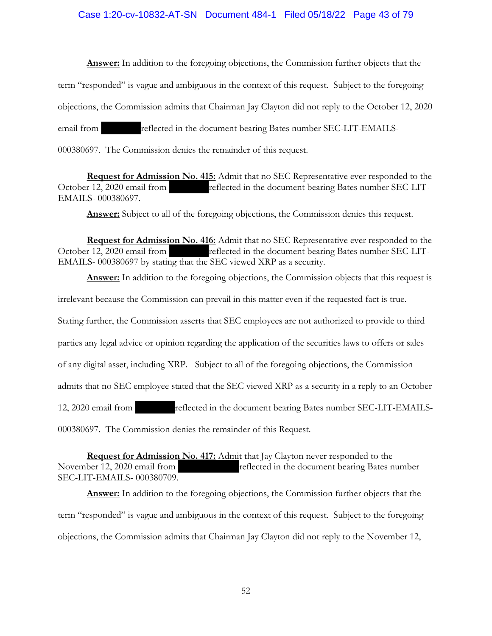### Case 1:20-cv-10832-AT-SN Document 484-1 Filed 05/18/22 Page 43 of 79

**Answer:** In addition to the foregoing objections, the Commission further objects that the

term "responded" is vague and ambiguous in the context of this request. Subject to the foregoing

objections, the Commission admits that Chairman Jay Clayton did not reply to the October 12, 2020

email from reflected in the document bearing Bates number SEC-LIT-EMAILS-

000380697. The Commission denies the remainder of this request.

**Request for Admission No. 415:** Admit that no SEC Representative ever responded to the October 12, 2020 email from reflected in the document bearing Bates number SEC-LIT-EMAILS- 000380697.

**Answer:** Subject to all of the foregoing objections, the Commission denies this request.

**Request for Admission No. 416:** Admit that no SEC Representative ever responded to the October 12, 2020 email from reflected in the document bearing Bates number SEC-LIT-EMAILS- 000380697 by stating that the SEC viewed XRP as a security.

**Answer:** In addition to the foregoing objections, the Commission objects that this request is

irrelevant because the Commission can prevail in this matter even if the requested fact is true.

Stating further, the Commission asserts that SEC employees are not authorized to provide to third

parties any legal advice or opinion regarding the application of the securities laws to offers or sales

of any digital asset, including XRP. Subject to all of the foregoing objections, the Commission

admits that no SEC employee stated that the SEC viewed XRP as a security in a reply to an October

12, 2020 email from reflected in the document bearing Bates number SEC-LIT-EMAILS-

000380697. The Commission denies the remainder of this Request.

**Request for Admission No. 417:** Admit that Jay Clayton never responded to the November 12, 2020 email from reflected in the document bearing Bates number SEC-LIT-EMAILS- 000380709.

**Answer:** In addition to the foregoing objections, the Commission further objects that the term "responded" is vague and ambiguous in the context of this request. Subject to the foregoing objections, the Commission admits that Chairman Jay Clayton did not reply to the November 12,

52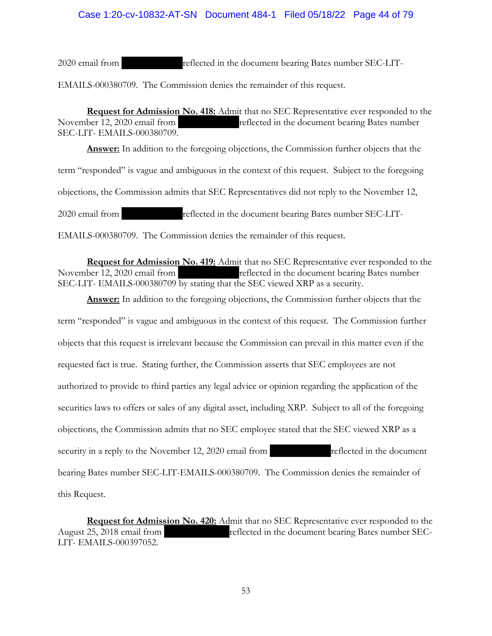2020 email from reflected in the document bearing Bates number SEC-LIT-

EMAILS-000380709. The Commission denies the remainder of this request.

**Request for Admission No. 418:** Admit that no SEC Representative ever responded to the November 12, 2020 email from reflected in the document bearing Bates number SEC-LIT- EMAILS-000380709.

**Answer:** In addition to the foregoing objections, the Commission further objects that the term "responded" is vague and ambiguous in the context of this request. Subject to the foregoing objections, the Commission admits that SEC Representatives did not reply to the November 12, 2020 email from reflected in the document bearing Bates number SEC-LIT-EMAILS-000380709. The Commission denies the remainder of this request.

**Request for Admission No. 419:** Admit that no SEC Representative ever responded to the November 12, 2020 email from reflected in the document bearing Bates number SEC-LIT- EMAILS-000380709 by stating that the SEC viewed XRP as a security.

**Answer:** In addition to the foregoing objections, the Commission further objects that the term "responded" is vague and ambiguous in the context of this request. The Commission further objects that this request is irrelevant because the Commission can prevail in this matter even if the requested fact is true. Stating further, the Commission asserts that SEC employees are not authorized to provide to third parties any legal advice or opinion regarding the application of the securities laws to offers or sales of any digital asset, including XRP. Subject to all of the foregoing objections, the Commission admits that no SEC employee stated that the SEC viewed XRP as a security in a reply to the November 12, 2020 email from reflected in the document bearing Bates number SEC-LIT-EMAILS-000380709. The Commission denies the remainder of this Request.

**Request for Admission No. 420:** Admit that no SEC Representative ever responded to the August 25, 2018 email from reflected in the document bearing Bates number SEC-LIT- EMAILS-000397052.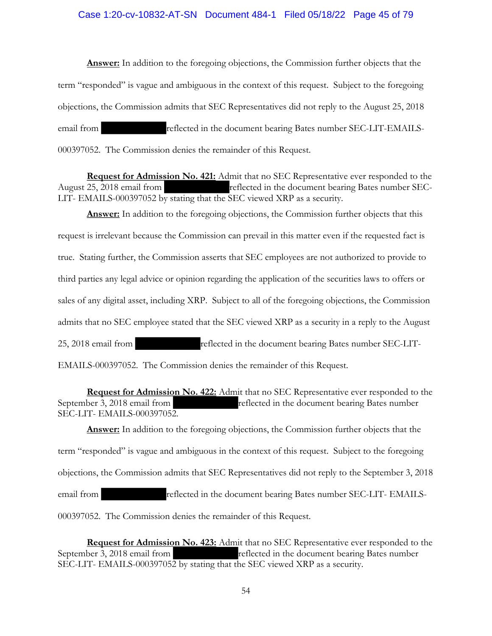#### Case 1:20-cv-10832-AT-SN Document 484-1 Filed 05/18/22 Page 45 of 79

**Answer:** In addition to the foregoing objections, the Commission further objects that the term "responded" is vague and ambiguous in the context of this request. Subject to the foregoing objections, the Commission admits that SEC Representatives did not reply to the August 25, 2018 email from reflected in the document bearing Bates number SEC-LIT-EMAILS-000397052. The Commission denies the remainder of this Request.

**Request for Admission No. 421:** Admit that no SEC Representative ever responded to the August 25, 2018 email from reflected in the document bearing Bates number SEC-LIT- EMAILS-000397052 by stating that the SEC viewed XRP as a security.

**Answer:** In addition to the foregoing objections, the Commission further objects that this request is irrelevant because the Commission can prevail in this matter even if the requested fact is true. Stating further, the Commission asserts that SEC employees are not authorized to provide to third parties any legal advice or opinion regarding the application of the securities laws to offers or sales of any digital asset, including XRP. Subject to all of the foregoing objections, the Commission admits that no SEC employee stated that the SEC viewed XRP as a security in a reply to the August 25, 2018 email from reflected in the document bearing Bates number SEC-LIT-

EMAILS-000397052. The Commission denies the remainder of this Request.

**Request for Admission No. 422:** Admit that no SEC Representative ever responded to the September 3, 2018 email from reflected in the document bearing Bates number SEC-LIT- EMAILS-000397052.

**Answer:** In addition to the foregoing objections, the Commission further objects that the term "responded" is vague and ambiguous in the context of this request. Subject to the foregoing objections, the Commission admits that SEC Representatives did not reply to the September 3, 2018 email from reflected in the document bearing Bates number SEC-LIT- EMAILS-000397052. The Commission denies the remainder of this Request.

**Request for Admission No. 423:** Admit that no SEC Representative ever responded to the September 3, 2018 email from reflected in the document bearing Bates number SEC-LIT- EMAILS-000397052 by stating that the SEC viewed XRP as a security.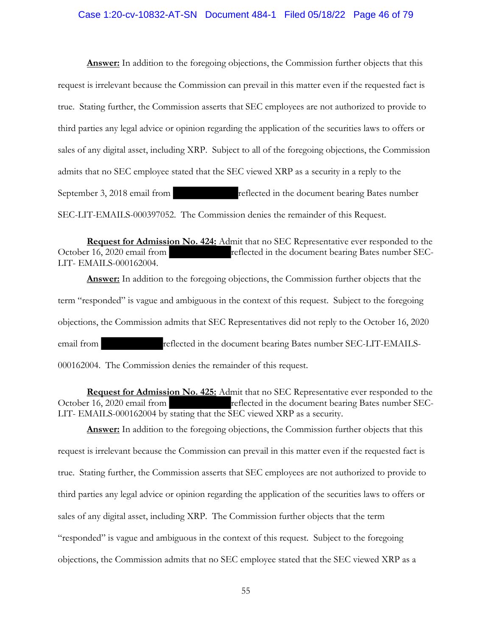#### Case 1:20-cv-10832-AT-SN Document 484-1 Filed 05/18/22 Page 46 of 79

**Answer:** In addition to the foregoing objections, the Commission further objects that this request is irrelevant because the Commission can prevail in this matter even if the requested fact is true. Stating further, the Commission asserts that SEC employees are not authorized to provide to third parties any legal advice or opinion regarding the application of the securities laws to offers or sales of any digital asset, including XRP. Subject to all of the foregoing objections, the Commission admits that no SEC employee stated that the SEC viewed XRP as a security in a reply to the September 3, 2018 email from reflected in the document bearing Bates number SEC-LIT-EMAILS-000397052. The Commission denies the remainder of this Request.

**Request for Admission No. 424:** Admit that no SEC Representative ever responded to the October 16, 2020 email from reflected in the document bearing Bates number SEC-LIT- EMAILS-000162004.

**Answer:** In addition to the foregoing objections, the Commission further objects that the term "responded" is vague and ambiguous in the context of this request. Subject to the foregoing objections, the Commission admits that SEC Representatives did not reply to the October 16, 2020 email from reflected in the document bearing Bates number SEC-LIT-EMAILS-000162004. The Commission denies the remainder of this request.

**Request for Admission No. 425:** Admit that no SEC Representative ever responded to the October 16, 2020 email from reflected in the document bearing Bates number SEC-LIT- EMAILS-000162004 by stating that the SEC viewed XRP as a security.

**Answer:** In addition to the foregoing objections, the Commission further objects that this request is irrelevant because the Commission can prevail in this matter even if the requested fact is true. Stating further, the Commission asserts that SEC employees are not authorized to provide to third parties any legal advice or opinion regarding the application of the securities laws to offers or sales of any digital asset, including XRP. The Commission further objects that the term "responded" is vague and ambiguous in the context of this request. Subject to the foregoing objections, the Commission admits that no SEC employee stated that the SEC viewed XRP as a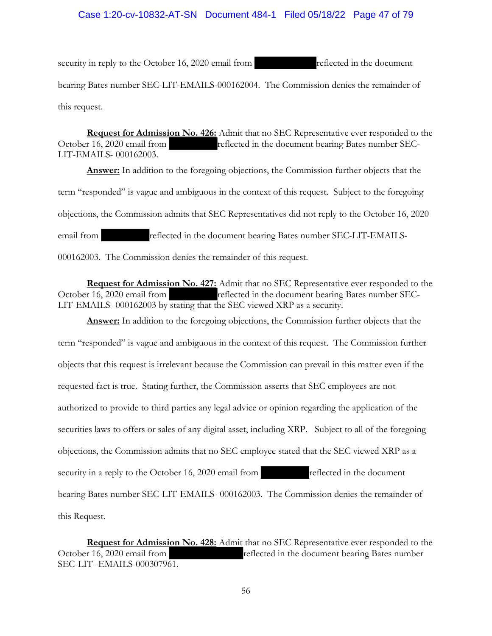### Case 1:20-cv-10832-AT-SN Document 484-1 Filed 05/18/22 Page 47 of 79

security in reply to the October 16, 2020 email from reflected in the document bearing Bates number SEC-LIT-EMAILS-000162004. The Commission denies the remainder of this request.

**Request for Admission No. 426:** Admit that no SEC Representative ever responded to the October 16, 2020 email from reflected in the document bearing Bates number SEC-LIT-EMAILS- 000162003.

**Answer:** In addition to the foregoing objections, the Commission further objects that the term "responded" is vague and ambiguous in the context of this request. Subject to the foregoing objections, the Commission admits that SEC Representatives did not reply to the October 16, 2020 email from reflected in the document bearing Bates number SEC-LIT-EMAILS-000162003. The Commission denies the remainder of this request.

**Request for Admission No. 427:** Admit that no SEC Representative ever responded to the October 16, 2020 email from reflected in the document bearing Bates number SEC-LIT-EMAILS- 000162003 by stating that the SEC viewed XRP as a security.

**Answer:** In addition to the foregoing objections, the Commission further objects that the term "responded" is vague and ambiguous in the context of this request. The Commission further objects that this request is irrelevant because the Commission can prevail in this matter even if the requested fact is true. Stating further, the Commission asserts that SEC employees are not authorized to provide to third parties any legal advice or opinion regarding the application of the securities laws to offers or sales of any digital asset, including XRP. Subject to all of the foregoing objections, the Commission admits that no SEC employee stated that the SEC viewed XRP as a security in a reply to the October 16, 2020 email from reflected in the document bearing Bates number SEC-LIT-EMAILS- 000162003. The Commission denies the remainder of this Request.

**Request for Admission No. 428:** Admit that no SEC Representative ever responded to the October 16, 2020 email from reflected in the document bearing Bates number SEC-LIT- EMAILS-000307961.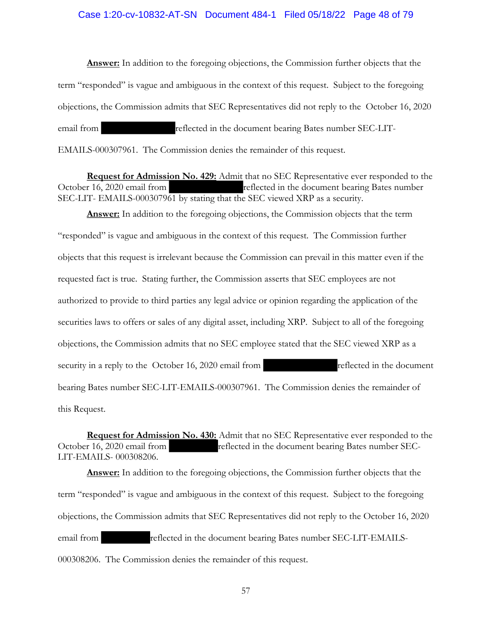#### Case 1:20-cv-10832-AT-SN Document 484-1 Filed 05/18/22 Page 48 of 79

**Answer:** In addition to the foregoing objections, the Commission further objects that the term "responded" is vague and ambiguous in the context of this request. Subject to the foregoing objections, the Commission admits that SEC Representatives did not reply to the October 16, 2020 email from reflected in the document bearing Bates number SEC-LIT-EMAILS-000307961. The Commission denies the remainder of this request.

**Request for Admission No. 429:** Admit that no SEC Representative ever responded to the October 16, 2020 email from reflected in the document bearing Bates number SEC-LIT- EMAILS-000307961 by stating that the SEC viewed XRP as a security.

**Answer:** In addition to the foregoing objections, the Commission objects that the term "responded" is vague and ambiguous in the context of this request. The Commission further objects that this request is irrelevant because the Commission can prevail in this matter even if the requested fact is true. Stating further, the Commission asserts that SEC employees are not authorized to provide to third parties any legal advice or opinion regarding the application of the securities laws to offers or sales of any digital asset, including XRP. Subject to all of the foregoing objections, the Commission admits that no SEC employee stated that the SEC viewed XRP as a security in a reply to the October 16, 2020 email from reflected in the document bearing Bates number SEC-LIT-EMAILS-000307961. The Commission denies the remainder of this Request.

**Request for Admission No. 430:** Admit that no SEC Representative ever responded to the October 16, 2020 email from reflected in the document bearing Bates number SEC-LIT-EMAILS- 000308206.

**Answer:** In addition to the foregoing objections, the Commission further objects that the term "responded" is vague and ambiguous in the context of this request. Subject to the foregoing objections, the Commission admits that SEC Representatives did not reply to the October 16, 2020 email from reflected in the document bearing Bates number SEC-LIT-EMAILS-000308206. The Commission denies the remainder of this request.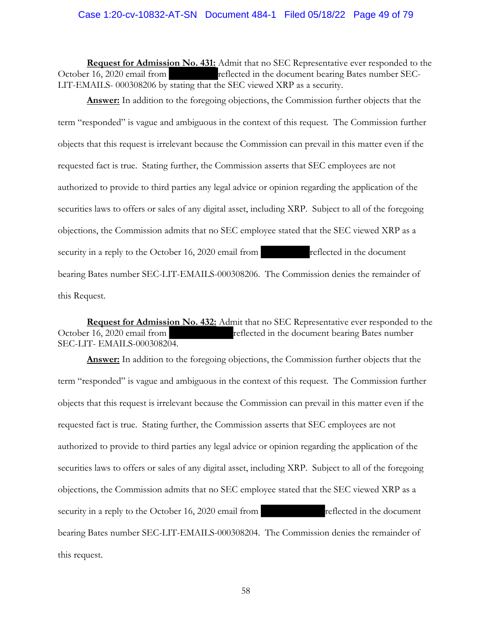#### Case 1:20-cv-10832-AT-SN Document 484-1 Filed 05/18/22 Page 49 of 79

**Request for Admission No. 431:** Admit that no SEC Representative ever responded to the October 16, 2020 email from reflected in the document bearing Bates number SEC-LIT-EMAILS- 000308206 by stating that the SEC viewed XRP as a security.

**Answer:** In addition to the foregoing objections, the Commission further objects that the term "responded" is vague and ambiguous in the context of this request. The Commission further objects that this request is irrelevant because the Commission can prevail in this matter even if the requested fact is true. Stating further, the Commission asserts that SEC employees are not authorized to provide to third parties any legal advice or opinion regarding the application of the securities laws to offers or sales of any digital asset, including XRP. Subject to all of the foregoing objections, the Commission admits that no SEC employee stated that the SEC viewed XRP as a security in a reply to the October 16, 2020 email from reflected in the document bearing Bates number SEC-LIT-EMAILS-000308206. The Commission denies the remainder of this Request.

**Request for Admission No. 432:** Admit that no SEC Representative ever responded to the October 16, 2020 email from reflected in the document bearing Bates number SEC-LIT- EMAILS-000308204.

**Answer:** In addition to the foregoing objections, the Commission further objects that the term "responded" is vague and ambiguous in the context of this request. The Commission further objects that this request is irrelevant because the Commission can prevail in this matter even if the requested fact is true. Stating further, the Commission asserts that SEC employees are not authorized to provide to third parties any legal advice or opinion regarding the application of the securities laws to offers or sales of any digital asset, including XRP. Subject to all of the foregoing objections, the Commission admits that no SEC employee stated that the SEC viewed XRP as a security in a reply to the October 16, 2020 email from reflected in the document bearing Bates number SEC-LIT-EMAILS-000308204. The Commission denies the remainder of this request.

58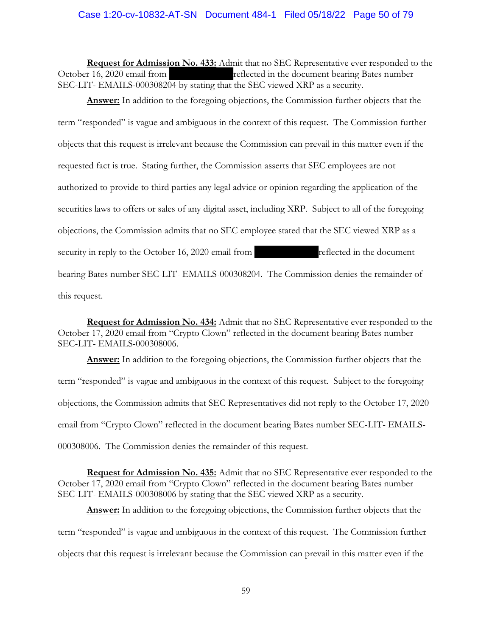### Case 1:20-cv-10832-AT-SN Document 484-1 Filed 05/18/22 Page 50 of 79

**Request for Admission No. 433:** Admit that no SEC Representative ever responded to the October 16, 2020 email from reflected in the document bearing Bates number SEC-LIT- EMAILS-000308204 by stating that the SEC viewed XRP as a security.

**Answer:** In addition to the foregoing objections, the Commission further objects that the term "responded" is vague and ambiguous in the context of this request. The Commission further objects that this request is irrelevant because the Commission can prevail in this matter even if the requested fact is true. Stating further, the Commission asserts that SEC employees are not authorized to provide to third parties any legal advice or opinion regarding the application of the securities laws to offers or sales of any digital asset, including XRP. Subject to all of the foregoing objections, the Commission admits that no SEC employee stated that the SEC viewed XRP as a security in reply to the October 16, 2020 email from reflected in the document bearing Bates number SEC-LIT- EMAILS-000308204. The Commission denies the remainder of this request.

**Request for Admission No. 434:** Admit that no SEC Representative ever responded to the October 17, 2020 email from "Crypto Clown" reflected in the document bearing Bates number SEC-LIT- EMAILS-000308006.

**Answer:** In addition to the foregoing objections, the Commission further objects that the term "responded" is vague and ambiguous in the context of this request. Subject to the foregoing objections, the Commission admits that SEC Representatives did not reply to the October 17, 2020 email from "Crypto Clown" reflected in the document bearing Bates number SEC-LIT- EMAILS-000308006. The Commission denies the remainder of this request.

**Request for Admission No. 435:** Admit that no SEC Representative ever responded to the October 17, 2020 email from "Crypto Clown" reflected in the document bearing Bates number SEC-LIT- EMAILS-000308006 by stating that the SEC viewed XRP as a security.

**Answer:** In addition to the foregoing objections, the Commission further objects that the term "responded" is vague and ambiguous in the context of this request. The Commission further objects that this request is irrelevant because the Commission can prevail in this matter even if the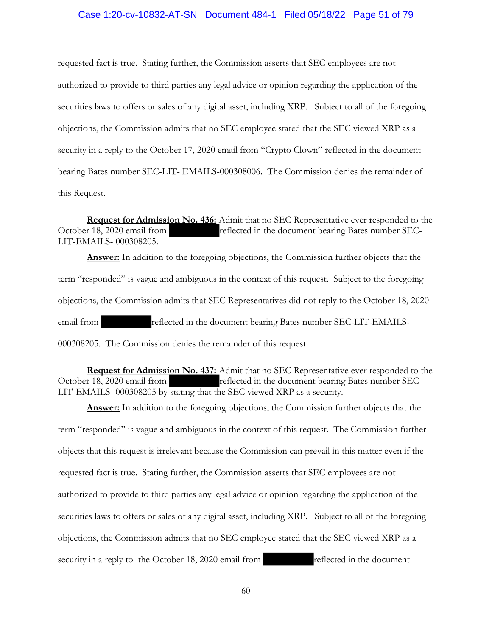#### Case 1:20-cv-10832-AT-SN Document 484-1 Filed 05/18/22 Page 51 of 79

requested fact is true. Stating further, the Commission asserts that SEC employees are not authorized to provide to third parties any legal advice or opinion regarding the application of the securities laws to offers or sales of any digital asset, including XRP. Subject to all of the foregoing objections, the Commission admits that no SEC employee stated that the SEC viewed XRP as a security in a reply to the October 17, 2020 email from "Crypto Clown" reflected in the document bearing Bates number SEC-LIT- EMAILS-000308006. The Commission denies the remainder of this Request.

**Request for Admission No. 436:** Admit that no SEC Representative ever responded to the October 18, 2020 email from reflected in the document bearing Bates number SEC-LIT-EMAILS- 000308205.

**Answer:** In addition to the foregoing objections, the Commission further objects that the term "responded" is vague and ambiguous in the context of this request. Subject to the foregoing objections, the Commission admits that SEC Representatives did not reply to the October 18, 2020 email from reflected in the document bearing Bates number SEC-LIT-EMAILS-000308205. The Commission denies the remainder of this request.

**Request for Admission No. 437:** Admit that no SEC Representative ever responded to the October 18, 2020 email from reflected in the document bearing Bates number SEC-LIT-EMAILS- 000308205 by stating that the SEC viewed XRP as a security.

**Answer:** In addition to the foregoing objections, the Commission further objects that the term "responded" is vague and ambiguous in the context of this request. The Commission further objects that this request is irrelevant because the Commission can prevail in this matter even if the requested fact is true. Stating further, the Commission asserts that SEC employees are not authorized to provide to third parties any legal advice or opinion regarding the application of the securities laws to offers or sales of any digital asset, including XRP. Subject to all of the foregoing objections, the Commission admits that no SEC employee stated that the SEC viewed XRP as a security in a reply to the October 18, 2020 email from reflected in the document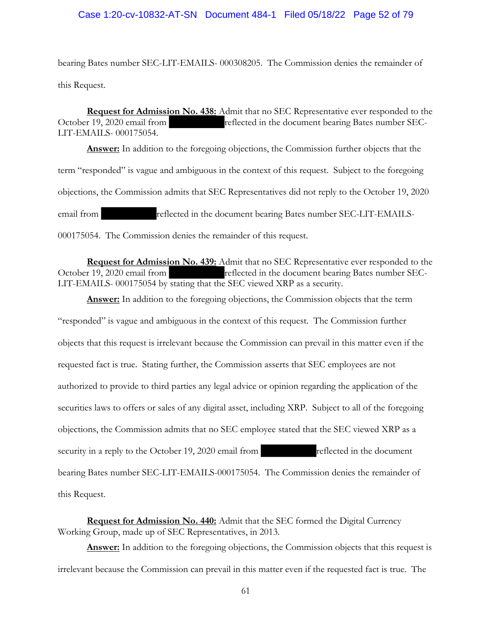bearing Bates number SEC-LIT-EMAILS- 000308205. The Commission denies the remainder of this Request.

**Request for Admission No. 438:** Admit that no SEC Representative ever responded to the October 19, 2020 email from reflected in the document bearing Bates number SEC-LIT-EMAILS- 000175054.

**Answer:** In addition to the foregoing objections, the Commission further objects that the term "responded" is vague and ambiguous in the context of this request. Subject to the foregoing objections, the Commission admits that SEC Representatives did not reply to the October 19, 2020 email from reflected in the document bearing Bates number SEC-LIT-EMAILS-000175054. The Commission denies the remainder of this request.

**Request for Admission No. 439:** Admit that no SEC Representative ever responded to the October 19, 2020 email from reflected in the document bearing Bates number SEC-LIT-EMAILS- 000175054 by stating that the SEC viewed XRP as a security.

**Answer:** In addition to the foregoing objections, the Commission objects that the term "responded" is vague and ambiguous in the context of this request. The Commission further objects that this request is irrelevant because the Commission can prevail in this matter even if the requested fact is true. Stating further, the Commission asserts that SEC employees are not authorized to provide to third parties any legal advice or opinion regarding the application of the securities laws to offers or sales of any digital asset, including XRP. Subject to all of the foregoing objections, the Commission admits that no SEC employee stated that the SEC viewed XRP as a security in a reply to the October 19, 2020 email from reflected in the document bearing Bates number SEC-LIT-EMAILS-000175054. The Commission denies the remainder of this Request.

**Request for Admission No. 440:** Admit that the SEC formed the Digital Currency Working Group, made up of SEC Representatives, in 2013.

Answer: In addition to the foregoing objections, the Commission objects that this request is irrelevant because the Commission can prevail in this matter even if the requested fact is true. The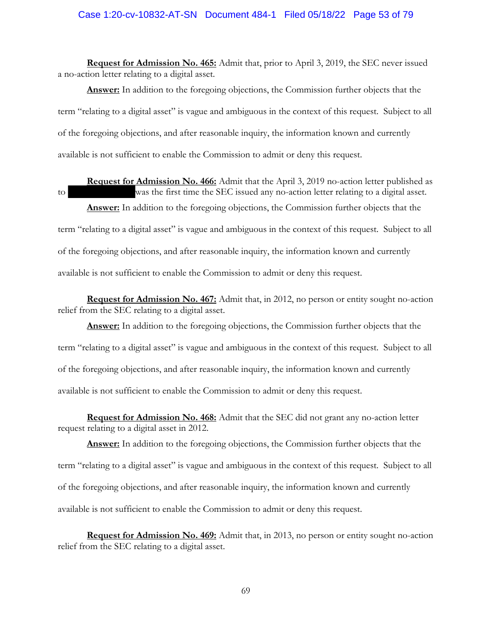**Request for Admission No. 465:** Admit that, prior to April 3, 2019, the SEC never issued a no-action letter relating to a digital asset.

**Answer:** In addition to the foregoing objections, the Commission further objects that the term "relating to a digital asset" is vague and ambiguous in the context of this request. Subject to all of the foregoing objections, and after reasonable inquiry, the information known and currently available is not sufficient to enable the Commission to admit or deny this request.

**Request for Admission No. 466:** Admit that the April 3, 2019 no-action letter published as to was the first time the SEC issued any no-action letter relating to a digital asset.

**Answer:** In addition to the foregoing objections, the Commission further objects that the term "relating to a digital asset" is vague and ambiguous in the context of this request. Subject to all of the foregoing objections, and after reasonable inquiry, the information known and currently available is not sufficient to enable the Commission to admit or deny this request.

**Request for Admission No. 467:** Admit that, in 2012, no person or entity sought no-action relief from the SEC relating to a digital asset.

**Answer:** In addition to the foregoing objections, the Commission further objects that the term "relating to a digital asset" is vague and ambiguous in the context of this request. Subject to all of the foregoing objections, and after reasonable inquiry, the information known and currently available is not sufficient to enable the Commission to admit or deny this request.

**Request for Admission No. 468:** Admit that the SEC did not grant any no-action letter request relating to a digital asset in 2012.

**Answer:** In addition to the foregoing objections, the Commission further objects that the term "relating to a digital asset" is vague and ambiguous in the context of this request. Subject to all of the foregoing objections, and after reasonable inquiry, the information known and currently available is not sufficient to enable the Commission to admit or deny this request.

**Request for Admission No. 469:** Admit that, in 2013, no person or entity sought no-action relief from the SEC relating to a digital asset.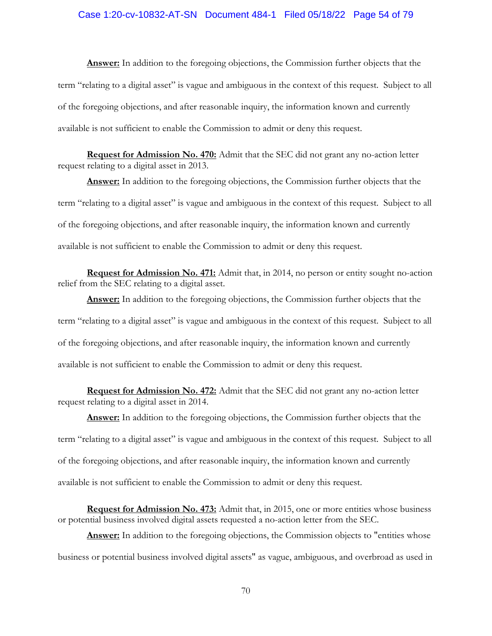#### Case 1:20-cv-10832-AT-SN Document 484-1 Filed 05/18/22 Page 54 of 79

**Answer:** In addition to the foregoing objections, the Commission further objects that the term "relating to a digital asset" is vague and ambiguous in the context of this request. Subject to all of the foregoing objections, and after reasonable inquiry, the information known and currently available is not sufficient to enable the Commission to admit or deny this request.

**Request for Admission No. 470:** Admit that the SEC did not grant any no-action letter request relating to a digital asset in 2013.

**Answer:** In addition to the foregoing objections, the Commission further objects that the term "relating to a digital asset" is vague and ambiguous in the context of this request. Subject to all of the foregoing objections, and after reasonable inquiry, the information known and currently available is not sufficient to enable the Commission to admit or deny this request.

**Request for Admission No. 471:** Admit that, in 2014, no person or entity sought no-action relief from the SEC relating to a digital asset.

**Answer:** In addition to the foregoing objections, the Commission further objects that the term "relating to a digital asset" is vague and ambiguous in the context of this request. Subject to all of the foregoing objections, and after reasonable inquiry, the information known and currently available is not sufficient to enable the Commission to admit or deny this request.

**Request for Admission No. 472:** Admit that the SEC did not grant any no-action letter request relating to a digital asset in 2014.

**Answer:** In addition to the foregoing objections, the Commission further objects that the term "relating to a digital asset" is vague and ambiguous in the context of this request. Subject to all of the foregoing objections, and after reasonable inquiry, the information known and currently available is not sufficient to enable the Commission to admit or deny this request.

**Request for Admission No. 473:** Admit that, in 2015, one or more entities whose business or potential business involved digital assets requested a no-action letter from the SEC.

Answer: In addition to the foregoing objections, the Commission objects to "entities whose business or potential business involved digital assets" as vague, ambiguous, and overbroad as used in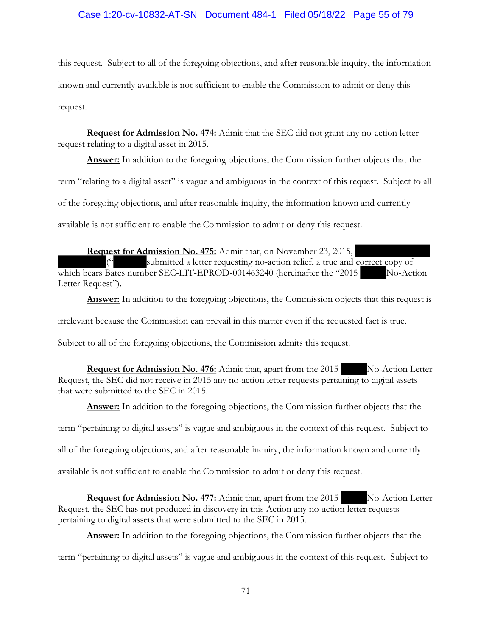# Case 1:20-cv-10832-AT-SN Document 484-1 Filed 05/18/22 Page 55 of 79

this request. Subject to all of the foregoing objections, and after reasonable inquiry, the information known and currently available is not sufficient to enable the Commission to admit or deny this request.

**Request for Admission No. 474:** Admit that the SEC did not grant any no-action letter request relating to a digital asset in 2015.

**Answer:** In addition to the foregoing objections, the Commission further objects that the term "relating to a digital asset" is vague and ambiguous in the context of this request. Subject to all of the foregoing objections, and after reasonable inquiry, the information known and currently available is not sufficient to enable the Commission to admit or deny this request.

**Request for Admission No. 475:** Admit that, on November 23, 2015, submitted a letter requesting no-action relief, a true and correct copy of which bears Bates number SEC-LIT-EPROD-001463240 (hereinafter the "2015 No-Action Letter Request").

**Answer:** In addition to the foregoing objections, the Commission objects that this request is

irrelevant because the Commission can prevail in this matter even if the requested fact is true.

Subject to all of the foregoing objections, the Commission admits this request.

**Request for Admission No. 476:** Admit that, apart from the 2015 No-Action Letter Request, the SEC did not receive in 2015 any no-action letter requests pertaining to digital assets that were submitted to the SEC in 2015.

**Answer:** In addition to the foregoing objections, the Commission further objects that the

term "pertaining to digital assets" is vague and ambiguous in the context of this request. Subject to

all of the foregoing objections, and after reasonable inquiry, the information known and currently

available is not sufficient to enable the Commission to admit or deny this request.

**Request for Admission No. 477:** Admit that, apart from the 2015 No-Action Letter Request, the SEC has not produced in discovery in this Action any no-action letter requests pertaining to digital assets that were submitted to the SEC in 2015.

**Answer:** In addition to the foregoing objections, the Commission further objects that the

term "pertaining to digital assets" is vague and ambiguous in the context of this request. Subject to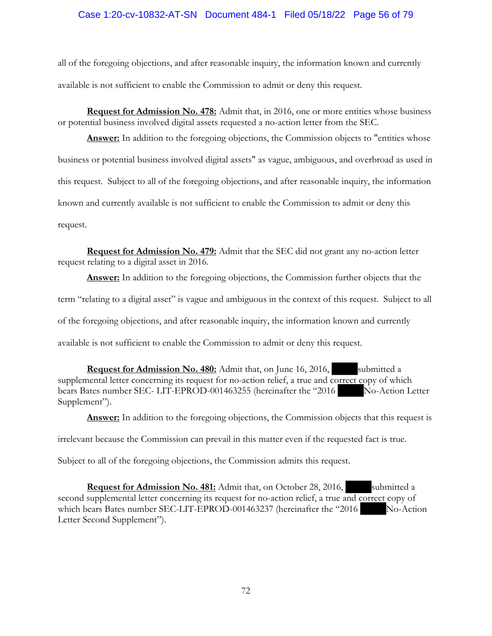## Case 1:20-cv-10832-AT-SN Document 484-1 Filed 05/18/22 Page 56 of 79

all of the foregoing objections, and after reasonable inquiry, the information known and currently available is not sufficient to enable the Commission to admit or deny this request.

**Request for Admission No. 478:** Admit that, in 2016, one or more entities whose business or potential business involved digital assets requested a no-action letter from the SEC.

**Answer:** In addition to the foregoing objections, the Commission objects to "entities whose business or potential business involved digital assets" as vague, ambiguous, and overbroad as used in this request. Subject to all of the foregoing objections, and after reasonable inquiry, the information known and currently available is not sufficient to enable the Commission to admit or deny this request.

**Request for Admission No. 479:** Admit that the SEC did not grant any no-action letter request relating to a digital asset in 2016.

**Answer:** In addition to the foregoing objections, the Commission further objects that the term "relating to a digital asset" is vague and ambiguous in the context of this request. Subject to all of the foregoing objections, and after reasonable inquiry, the information known and currently available is not sufficient to enable the Commission to admit or deny this request.

**Request for Admission No. 480:** Admit that, on June 16, 2016, submitted a supplemental letter concerning its request for no-action relief, a true and correct copy of which bears Bates number SEC- LIT-EPROD-001463255 (hereinafter the "2016 No-Action Letter Supplement").

**Answer:** In addition to the foregoing objections, the Commission objects that this request is

irrelevant because the Commission can prevail in this matter even if the requested fact is true.

Subject to all of the foregoing objections, the Commission admits this request.

**Request for Admission No. 481:** Admit that, on October 28, 2016, submitted a second supplemental letter concerning its request for no-action relief, a true and correct copy of which bears Bates number SEC-LIT-EPROD-001463237 (hereinafter the "2016 No-Action Letter Second Supplement").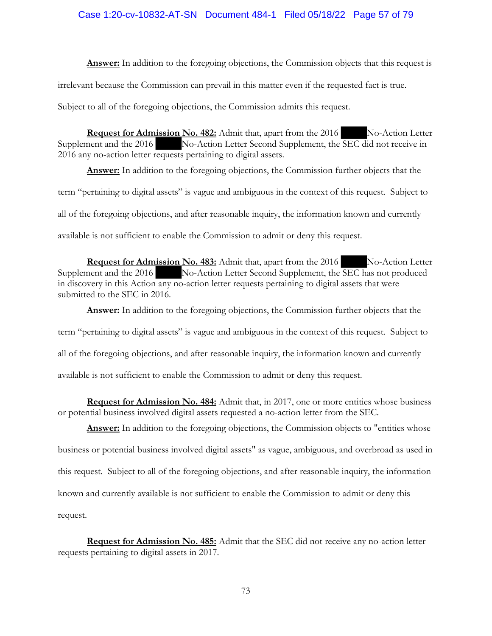## Case 1:20-cv-10832-AT-SN Document 484-1 Filed 05/18/22 Page 57 of 79

**Answer:** In addition to the foregoing objections, the Commission objects that this request is irrelevant because the Commission can prevail in this matter even if the requested fact is true.

Subject to all of the foregoing objections, the Commission admits this request.

**Request for Admission No. 482:** Admit that, apart from the 2016 No-Action Letter Supplement and the 2016 No-Action Letter Second Supplement, the SEC did not receive in 2016 any no-action letter requests pertaining to digital assets.

**Answer:** In addition to the foregoing objections, the Commission further objects that the term "pertaining to digital assets" is vague and ambiguous in the context of this request. Subject to all of the foregoing objections, and after reasonable inquiry, the information known and currently available is not sufficient to enable the Commission to admit or deny this request.

**Request for Admission No. 483:** Admit that, apart from the 2016 No-Action Letter Supplement and the 2016 No-Action Letter Second Supplement, the SEC has not produced in discovery in this Action any no-action letter requests pertaining to digital assets that were submitted to the SEC in 2016.

**Answer:** In addition to the foregoing objections, the Commission further objects that the term "pertaining to digital assets" is vague and ambiguous in the context of this request. Subject to all of the foregoing objections, and after reasonable inquiry, the information known and currently available is not sufficient to enable the Commission to admit or deny this request.

**Request for Admission No. 484:** Admit that, in 2017, one or more entities whose business or potential business involved digital assets requested a no-action letter from the SEC.

Answer: In addition to the foregoing objections, the Commission objects to "entities whose business or potential business involved digital assets" as vague, ambiguous, and overbroad as used in this request. Subject to all of the foregoing objections, and after reasonable inquiry, the information known and currently available is not sufficient to enable the Commission to admit or deny this request.

**Request for Admission No. 485:** Admit that the SEC did not receive any no-action letter requests pertaining to digital assets in 2017.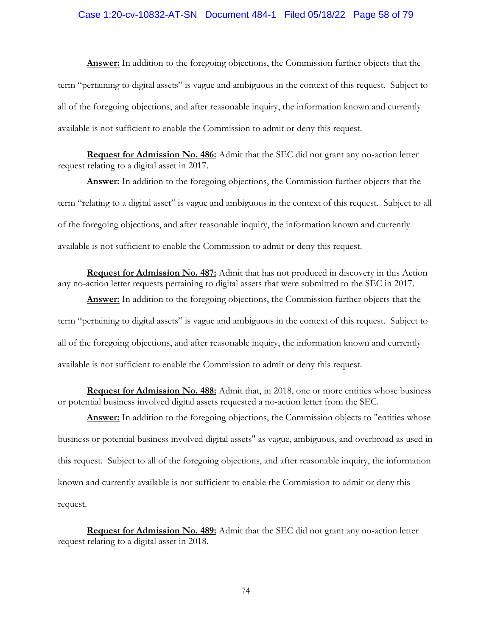#### Case 1:20-cv-10832-AT-SN Document 484-1 Filed 05/18/22 Page 58 of 79

**Answer:** In addition to the foregoing objections, the Commission further objects that the term "pertaining to digital assets" is vague and ambiguous in the context of this request. Subject to all of the foregoing objections, and after reasonable inquiry, the information known and currently available is not sufficient to enable the Commission to admit or deny this request.

**Request for Admission No. 486:** Admit that the SEC did not grant any no-action letter request relating to a digital asset in 2017.

**Answer:** In addition to the foregoing objections, the Commission further objects that the term "relating to a digital asset" is vague and ambiguous in the context of this request. Subject to all of the foregoing objections, and after reasonable inquiry, the information known and currently available is not sufficient to enable the Commission to admit or deny this request.

**Request for Admission No. 487:** Admit that has not produced in discovery in this Action any no-action letter requests pertaining to digital assets that were submitted to the SEC in 2017.

**Answer:** In addition to the foregoing objections, the Commission further objects that the term "pertaining to digital assets" is vague and ambiguous in the context of this request. Subject to all of the foregoing objections, and after reasonable inquiry, the information known and currently available is not sufficient to enable the Commission to admit or deny this request.

**Request for Admission No. 488:** Admit that, in 2018, one or more entities whose business or potential business involved digital assets requested a no-action letter from the SEC.

Answer: In addition to the foregoing objections, the Commission objects to "entities whose business or potential business involved digital assets" as vague, ambiguous, and overbroad as used in this request. Subject to all of the foregoing objections, and after reasonable inquiry, the information known and currently available is not sufficient to enable the Commission to admit or deny this request.

**Request for Admission No. 489:** Admit that the SEC did not grant any no-action letter request relating to a digital asset in 2018.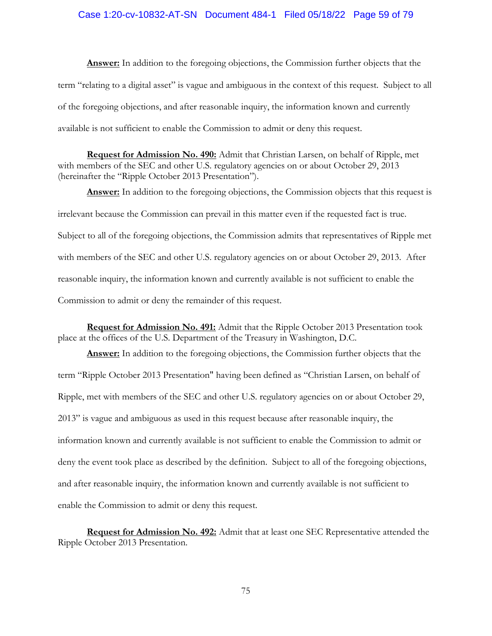### Case 1:20-cv-10832-AT-SN Document 484-1 Filed 05/18/22 Page 59 of 79

**Answer:** In addition to the foregoing objections, the Commission further objects that the term "relating to a digital asset" is vague and ambiguous in the context of this request. Subject to all of the foregoing objections, and after reasonable inquiry, the information known and currently available is not sufficient to enable the Commission to admit or deny this request.

**Request for Admission No. 490:** Admit that Christian Larsen, on behalf of Ripple, met with members of the SEC and other U.S. regulatory agencies on or about October 29, 2013 (hereinafter the "Ripple October 2013 Presentation").

Answer: In addition to the foregoing objections, the Commission objects that this request is irrelevant because the Commission can prevail in this matter even if the requested fact is true. Subject to all of the foregoing objections, the Commission admits that representatives of Ripple met with members of the SEC and other U.S. regulatory agencies on or about October 29, 2013. After reasonable inquiry, the information known and currently available is not sufficient to enable the Commission to admit or deny the remainder of this request.

**Request for Admission No. 491:** Admit that the Ripple October 2013 Presentation took place at the offices of the U.S. Department of the Treasury in Washington, D.C.

**Answer:** In addition to the foregoing objections, the Commission further objects that the term "Ripple October 2013 Presentation" having been defined as "Christian Larsen, on behalf of Ripple, met with members of the SEC and other U.S. regulatory agencies on or about October 29, 2013" is vague and ambiguous as used in this request because after reasonable inquiry, the information known and currently available is not sufficient to enable the Commission to admit or deny the event took place as described by the definition. Subject to all of the foregoing objections, and after reasonable inquiry, the information known and currently available is not sufficient to enable the Commission to admit or deny this request.

**Request for Admission No. 492:** Admit that at least one SEC Representative attended the Ripple October 2013 Presentation.

75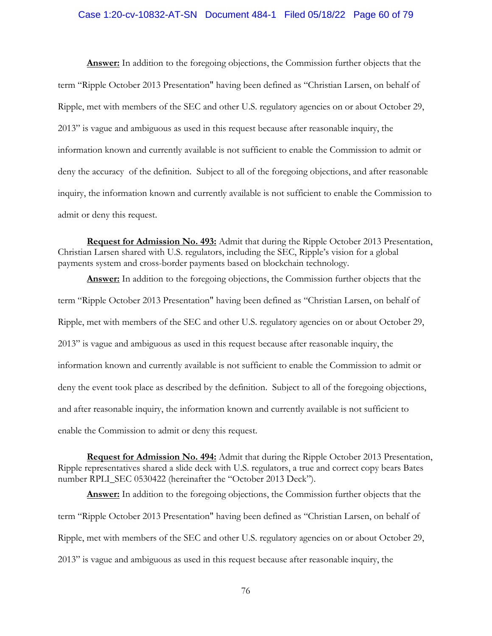#### Case 1:20-cv-10832-AT-SN Document 484-1 Filed 05/18/22 Page 60 of 79

**Answer:** In addition to the foregoing objections, the Commission further objects that the term "Ripple October 2013 Presentation" having been defined as "Christian Larsen, on behalf of Ripple, met with members of the SEC and other U.S. regulatory agencies on or about October 29, 2013" is vague and ambiguous as used in this request because after reasonable inquiry, the information known and currently available is not sufficient to enable the Commission to admit or deny the accuracy of the definition. Subject to all of the foregoing objections, and after reasonable inquiry, the information known and currently available is not sufficient to enable the Commission to admit or deny this request.

**Request for Admission No. 493:** Admit that during the Ripple October 2013 Presentation, Christian Larsen shared with U.S. regulators, including the SEC, Ripple's vision for a global payments system and cross-border payments based on blockchain technology.

**Answer:** In addition to the foregoing objections, the Commission further objects that the term "Ripple October 2013 Presentation" having been defined as "Christian Larsen, on behalf of Ripple, met with members of the SEC and other U.S. regulatory agencies on or about October 29, 2013" is vague and ambiguous as used in this request because after reasonable inquiry, the information known and currently available is not sufficient to enable the Commission to admit or deny the event took place as described by the definition. Subject to all of the foregoing objections, and after reasonable inquiry, the information known and currently available is not sufficient to enable the Commission to admit or deny this request.

**Request for Admission No. 494:** Admit that during the Ripple October 2013 Presentation, Ripple representatives shared a slide deck with U.S. regulators, a true and correct copy bears Bates number RPLI\_SEC 0530422 (hereinafter the "October 2013 Deck").

**Answer:** In addition to the foregoing objections, the Commission further objects that the term "Ripple October 2013 Presentation" having been defined as "Christian Larsen, on behalf of Ripple, met with members of the SEC and other U.S. regulatory agencies on or about October 29, 2013" is vague and ambiguous as used in this request because after reasonable inquiry, the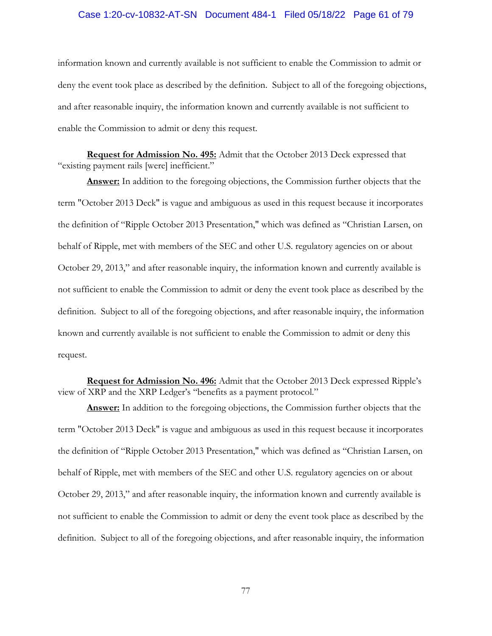#### Case 1:20-cv-10832-AT-SN Document 484-1 Filed 05/18/22 Page 61 of 79

information known and currently available is not sufficient to enable the Commission to admit or deny the event took place as described by the definition. Subject to all of the foregoing objections, and after reasonable inquiry, the information known and currently available is not sufficient to enable the Commission to admit or deny this request.

**Request for Admission No. 495:** Admit that the October 2013 Deck expressed that "existing payment rails [were] inefficient."

**Answer:** In addition to the foregoing objections, the Commission further objects that the term "October 2013 Deck" is vague and ambiguous as used in this request because it incorporates the definition of "Ripple October 2013 Presentation," which was defined as "Christian Larsen, on behalf of Ripple, met with members of the SEC and other U.S. regulatory agencies on or about October 29, 2013," and after reasonable inquiry, the information known and currently available is not sufficient to enable the Commission to admit or deny the event took place as described by the definition. Subject to all of the foregoing objections, and after reasonable inquiry, the information known and currently available is not sufficient to enable the Commission to admit or deny this request.

**Request for Admission No. 496:** Admit that the October 2013 Deck expressed Ripple's view of XRP and the XRP Ledger's "benefits as a payment protocol."

**Answer:** In addition to the foregoing objections, the Commission further objects that the term "October 2013 Deck" is vague and ambiguous as used in this request because it incorporates the definition of "Ripple October 2013 Presentation," which was defined as "Christian Larsen, on behalf of Ripple, met with members of the SEC and other U.S. regulatory agencies on or about October 29, 2013," and after reasonable inquiry, the information known and currently available is not sufficient to enable the Commission to admit or deny the event took place as described by the definition. Subject to all of the foregoing objections, and after reasonable inquiry, the information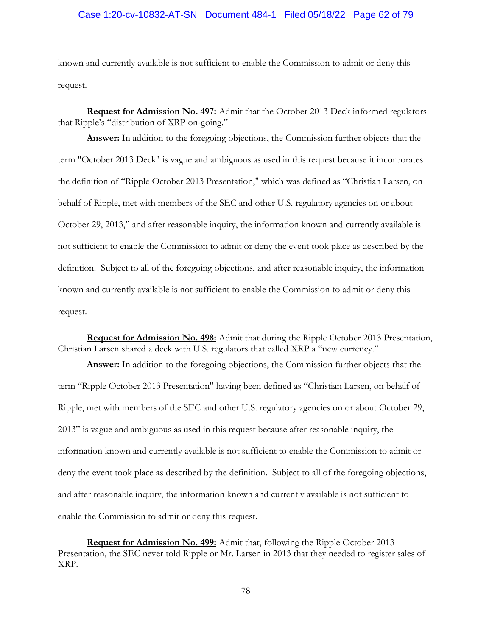### Case 1:20-cv-10832-AT-SN Document 484-1 Filed 05/18/22 Page 62 of 79

known and currently available is not sufficient to enable the Commission to admit or deny this request.

**Request for Admission No. 497:** Admit that the October 2013 Deck informed regulators that Ripple's "distribution of XRP on-going."

**Answer:** In addition to the foregoing objections, the Commission further objects that the term "October 2013 Deck" is vague and ambiguous as used in this request because it incorporates the definition of "Ripple October 2013 Presentation," which was defined as "Christian Larsen, on behalf of Ripple, met with members of the SEC and other U.S. regulatory agencies on or about October 29, 2013," and after reasonable inquiry, the information known and currently available is not sufficient to enable the Commission to admit or deny the event took place as described by the definition. Subject to all of the foregoing objections, and after reasonable inquiry, the information known and currently available is not sufficient to enable the Commission to admit or deny this request.

**Request for Admission No. 498:** Admit that during the Ripple October 2013 Presentation, Christian Larsen shared a deck with U.S. regulators that called XRP a "new currency."

**Answer:** In addition to the foregoing objections, the Commission further objects that the term "Ripple October 2013 Presentation" having been defined as "Christian Larsen, on behalf of Ripple, met with members of the SEC and other U.S. regulatory agencies on or about October 29, 2013" is vague and ambiguous as used in this request because after reasonable inquiry, the information known and currently available is not sufficient to enable the Commission to admit or deny the event took place as described by the definition. Subject to all of the foregoing objections, and after reasonable inquiry, the information known and currently available is not sufficient to enable the Commission to admit or deny this request.

**Request for Admission No. 499:** Admit that, following the Ripple October 2013 Presentation, the SEC never told Ripple or Mr. Larsen in 2013 that they needed to register sales of XRP.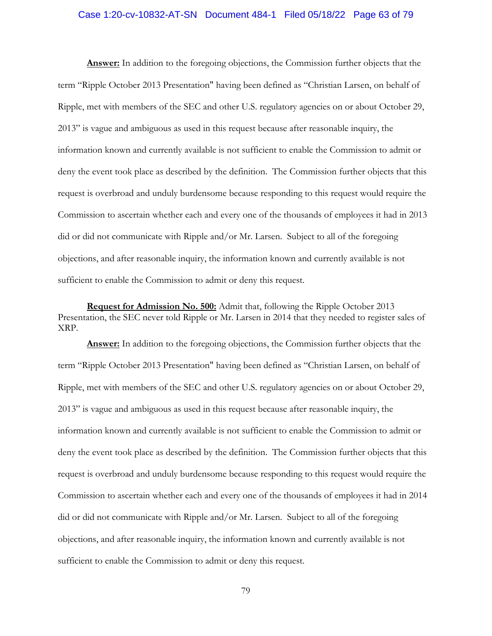#### Case 1:20-cv-10832-AT-SN Document 484-1 Filed 05/18/22 Page 63 of 79

**Answer:** In addition to the foregoing objections, the Commission further objects that the term "Ripple October 2013 Presentation" having been defined as "Christian Larsen, on behalf of Ripple, met with members of the SEC and other U.S. regulatory agencies on or about October 29, 2013" is vague and ambiguous as used in this request because after reasonable inquiry, the information known and currently available is not sufficient to enable the Commission to admit or deny the event took place as described by the definition. The Commission further objects that this request is overbroad and unduly burdensome because responding to this request would require the Commission to ascertain whether each and every one of the thousands of employees it had in 2013 did or did not communicate with Ripple and/or Mr. Larsen. Subject to all of the foregoing objections, and after reasonable inquiry, the information known and currently available is not sufficient to enable the Commission to admit or deny this request.

**Request for Admission No. 500:** Admit that, following the Ripple October 2013 Presentation, the SEC never told Ripple or Mr. Larsen in 2014 that they needed to register sales of XRP.

**Answer:** In addition to the foregoing objections, the Commission further objects that the term "Ripple October 2013 Presentation" having been defined as "Christian Larsen, on behalf of Ripple, met with members of the SEC and other U.S. regulatory agencies on or about October 29, 2013" is vague and ambiguous as used in this request because after reasonable inquiry, the information known and currently available is not sufficient to enable the Commission to admit or deny the event took place as described by the definition. The Commission further objects that this request is overbroad and unduly burdensome because responding to this request would require the Commission to ascertain whether each and every one of the thousands of employees it had in 2014 did or did not communicate with Ripple and/or Mr. Larsen. Subject to all of the foregoing objections, and after reasonable inquiry, the information known and currently available is not sufficient to enable the Commission to admit or deny this request.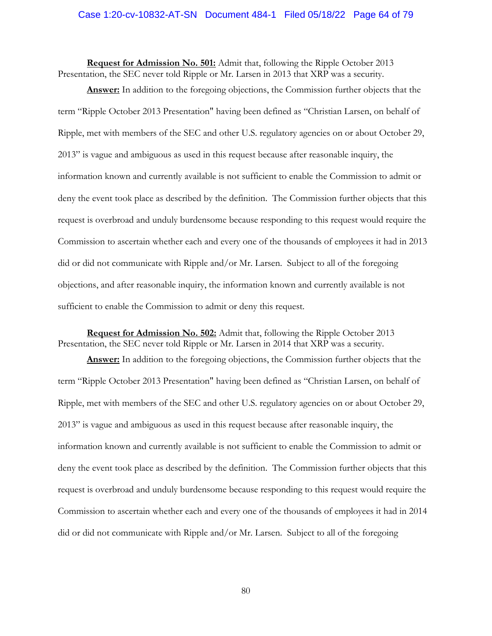#### Case 1:20-cv-10832-AT-SN Document 484-1 Filed 05/18/22 Page 64 of 79

**Request for Admission No. 501:** Admit that, following the Ripple October 2013 Presentation, the SEC never told Ripple or Mr. Larsen in 2013 that XRP was a security.

**Answer:** In addition to the foregoing objections, the Commission further objects that the term "Ripple October 2013 Presentation" having been defined as "Christian Larsen, on behalf of Ripple, met with members of the SEC and other U.S. regulatory agencies on or about October 29, 2013" is vague and ambiguous as used in this request because after reasonable inquiry, the information known and currently available is not sufficient to enable the Commission to admit or deny the event took place as described by the definition. The Commission further objects that this request is overbroad and unduly burdensome because responding to this request would require the Commission to ascertain whether each and every one of the thousands of employees it had in 2013 did or did not communicate with Ripple and/or Mr. Larsen. Subject to all of the foregoing objections, and after reasonable inquiry, the information known and currently available is not sufficient to enable the Commission to admit or deny this request.

**Request for Admission No. 502:** Admit that, following the Ripple October 2013 Presentation, the SEC never told Ripple or Mr. Larsen in 2014 that XRP was a security.

**Answer:** In addition to the foregoing objections, the Commission further objects that the term "Ripple October 2013 Presentation" having been defined as "Christian Larsen, on behalf of Ripple, met with members of the SEC and other U.S. regulatory agencies on or about October 29, 2013" is vague and ambiguous as used in this request because after reasonable inquiry, the information known and currently available is not sufficient to enable the Commission to admit or deny the event took place as described by the definition. The Commission further objects that this request is overbroad and unduly burdensome because responding to this request would require the Commission to ascertain whether each and every one of the thousands of employees it had in 2014 did or did not communicate with Ripple and/or Mr. Larsen. Subject to all of the foregoing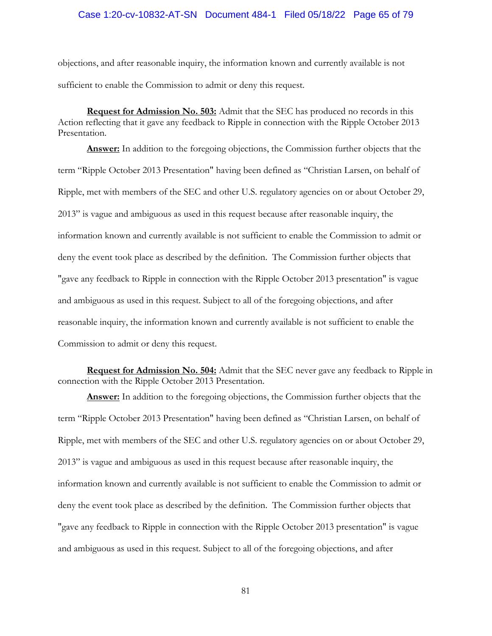#### Case 1:20-cv-10832-AT-SN Document 484-1 Filed 05/18/22 Page 65 of 79

objections, and after reasonable inquiry, the information known and currently available is not sufficient to enable the Commission to admit or deny this request.

**Request for Admission No. 503:** Admit that the SEC has produced no records in this Action reflecting that it gave any feedback to Ripple in connection with the Ripple October 2013 Presentation.

**Answer:** In addition to the foregoing objections, the Commission further objects that the term "Ripple October 2013 Presentation" having been defined as "Christian Larsen, on behalf of Ripple, met with members of the SEC and other U.S. regulatory agencies on or about October 29, 2013" is vague and ambiguous as used in this request because after reasonable inquiry, the information known and currently available is not sufficient to enable the Commission to admit or deny the event took place as described by the definition. The Commission further objects that "gave any feedback to Ripple in connection with the Ripple October 2013 presentation" is vague and ambiguous as used in this request. Subject to all of the foregoing objections, and after reasonable inquiry, the information known and currently available is not sufficient to enable the Commission to admit or deny this request.

**Request for Admission No. 504:** Admit that the SEC never gave any feedback to Ripple in connection with the Ripple October 2013 Presentation.

**Answer:** In addition to the foregoing objections, the Commission further objects that the term "Ripple October 2013 Presentation" having been defined as "Christian Larsen, on behalf of Ripple, met with members of the SEC and other U.S. regulatory agencies on or about October 29, 2013" is vague and ambiguous as used in this request because after reasonable inquiry, the information known and currently available is not sufficient to enable the Commission to admit or deny the event took place as described by the definition. The Commission further objects that "gave any feedback to Ripple in connection with the Ripple October 2013 presentation" is vague and ambiguous as used in this request. Subject to all of the foregoing objections, and after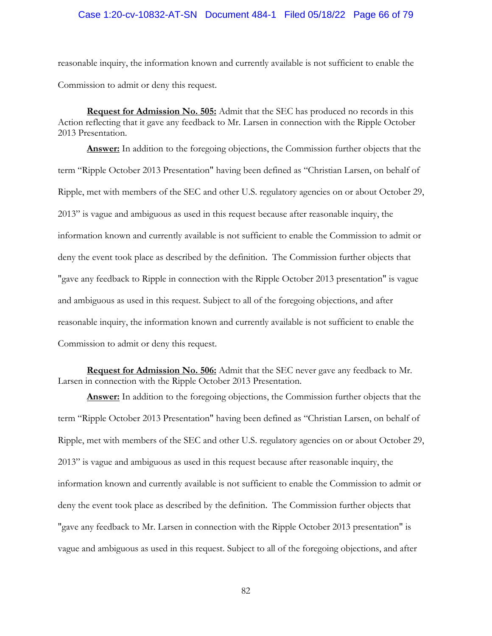#### Case 1:20-cv-10832-AT-SN Document 484-1 Filed 05/18/22 Page 66 of 79

reasonable inquiry, the information known and currently available is not sufficient to enable the Commission to admit or deny this request.

**Request for Admission No. 505:** Admit that the SEC has produced no records in this Action reflecting that it gave any feedback to Mr. Larsen in connection with the Ripple October 2013 Presentation.

**Answer:** In addition to the foregoing objections, the Commission further objects that the term "Ripple October 2013 Presentation" having been defined as "Christian Larsen, on behalf of Ripple, met with members of the SEC and other U.S. regulatory agencies on or about October 29, 2013" is vague and ambiguous as used in this request because after reasonable inquiry, the information known and currently available is not sufficient to enable the Commission to admit or deny the event took place as described by the definition. The Commission further objects that "gave any feedback to Ripple in connection with the Ripple October 2013 presentation" is vague and ambiguous as used in this request. Subject to all of the foregoing objections, and after reasonable inquiry, the information known and currently available is not sufficient to enable the Commission to admit or deny this request.

**Request for Admission No. 506:** Admit that the SEC never gave any feedback to Mr. Larsen in connection with the Ripple October 2013 Presentation.

**Answer:** In addition to the foregoing objections, the Commission further objects that the term "Ripple October 2013 Presentation" having been defined as "Christian Larsen, on behalf of Ripple, met with members of the SEC and other U.S. regulatory agencies on or about October 29, 2013" is vague and ambiguous as used in this request because after reasonable inquiry, the information known and currently available is not sufficient to enable the Commission to admit or deny the event took place as described by the definition. The Commission further objects that "gave any feedback to Mr. Larsen in connection with the Ripple October 2013 presentation" is vague and ambiguous as used in this request. Subject to all of the foregoing objections, and after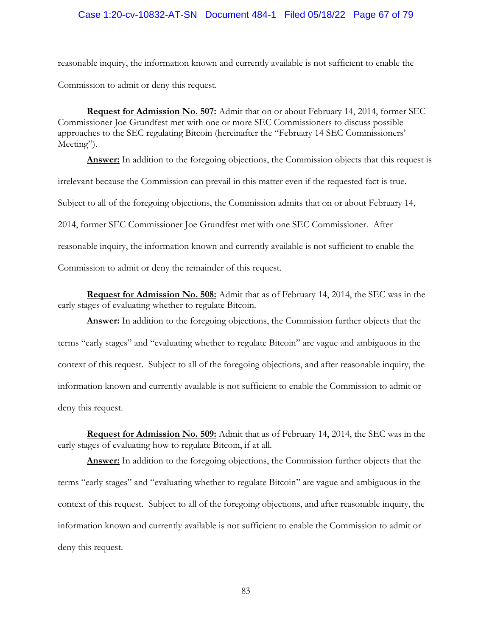## Case 1:20-cv-10832-AT-SN Document 484-1 Filed 05/18/22 Page 67 of 79

reasonable inquiry, the information known and currently available is not sufficient to enable the Commission to admit or deny this request.

**Request for Admission No. 507:** Admit that on or about February 14, 2014, former SEC Commissioner Joe Grundfest met with one or more SEC Commissioners to discuss possible approaches to the SEC regulating Bitcoin (hereinafter the "February 14 SEC Commissioners' Meeting").

Answer: In addition to the foregoing objections, the Commission objects that this request is irrelevant because the Commission can prevail in this matter even if the requested fact is true. Subject to all of the foregoing objections, the Commission admits that on or about February 14, 2014, former SEC Commissioner Joe Grundfest met with one SEC Commissioner. After reasonable inquiry, the information known and currently available is not sufficient to enable the Commission to admit or deny the remainder of this request.

**Request for Admission No. 508:** Admit that as of February 14, 2014, the SEC was in the early stages of evaluating whether to regulate Bitcoin.

**Answer:** In addition to the foregoing objections, the Commission further objects that the terms "early stages" and "evaluating whether to regulate Bitcoin" are vague and ambiguous in the context of this request. Subject to all of the foregoing objections, and after reasonable inquiry, the information known and currently available is not sufficient to enable the Commission to admit or deny this request.

**Request for Admission No. 509:** Admit that as of February 14, 2014, the SEC was in the early stages of evaluating how to regulate Bitcoin, if at all.

**Answer:** In addition to the foregoing objections, the Commission further objects that the terms "early stages" and "evaluating whether to regulate Bitcoin" are vague and ambiguous in the context of this request. Subject to all of the foregoing objections, and after reasonable inquiry, the information known and currently available is not sufficient to enable the Commission to admit or deny this request.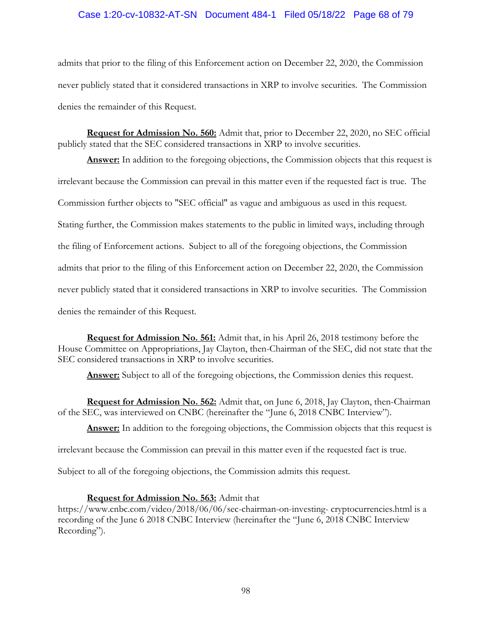## Case 1:20-cv-10832-AT-SN Document 484-1 Filed 05/18/22 Page 68 of 79

admits that prior to the filing of this Enforcement action on December 22, 2020, the Commission never publicly stated that it considered transactions in XRP to involve securities. The Commission denies the remainder of this Request.

**Request for Admission No. 560:** Admit that, prior to December 22, 2020, no SEC official publicly stated that the SEC considered transactions in XRP to involve securities.

**Answer:** In addition to the foregoing objections, the Commission objects that this request is irrelevant because the Commission can prevail in this matter even if the requested fact is true. The Commission further objects to "SEC official" as vague and ambiguous as used in this request. Stating further, the Commission makes statements to the public in limited ways, including through the filing of Enforcement actions. Subject to all of the foregoing objections, the Commission admits that prior to the filing of this Enforcement action on December 22, 2020, the Commission never publicly stated that it considered transactions in XRP to involve securities. The Commission denies the remainder of this Request.

**Request for Admission No. 561:** Admit that, in his April 26, 2018 testimony before the House Committee on Appropriations, Jay Clayton, then-Chairman of the SEC, did not state that the SEC considered transactions in XRP to involve securities.

Answer: Subject to all of the foregoing objections, the Commission denies this request.

**Request for Admission No. 562:** Admit that, on June 6, 2018, Jay Clayton, then-Chairman of the SEC, was interviewed on CNBC (hereinafter the "June 6, 2018 CNBC Interview").

**Answer:** In addition to the foregoing objections, the Commission objects that this request is

irrelevant because the Commission can prevail in this matter even if the requested fact is true.

Subject to all of the foregoing objections, the Commission admits this request.

## **Request for Admission No. 563:** Admit that

https://www.cnbc.com/video/2018/06/06/sec-chairman-on-investing- cryptocurrencies.html is a recording of the June 6 2018 CNBC Interview (hereinafter the "June 6, 2018 CNBC Interview Recording").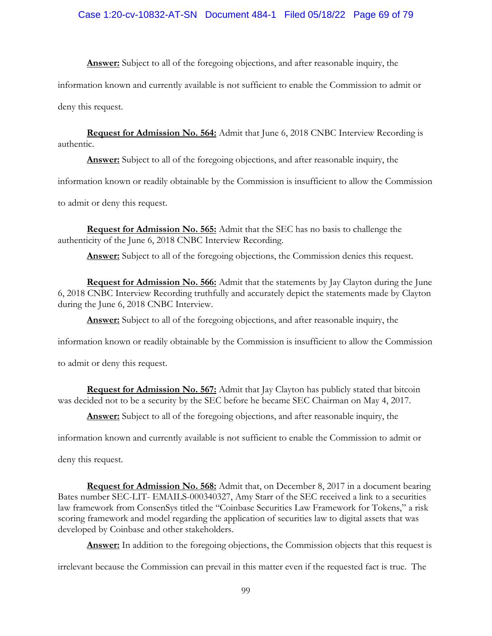## Case 1:20-cv-10832-AT-SN Document 484-1 Filed 05/18/22 Page 69 of 79

**Answer:** Subject to all of the foregoing objections, and after reasonable inquiry, the

information known and currently available is not sufficient to enable the Commission to admit or

deny this request.

**Request for Admission No. 564:** Admit that June 6, 2018 CNBC Interview Recording is authentic.

**Answer:** Subject to all of the foregoing objections, and after reasonable inquiry, the

information known or readily obtainable by the Commission is insufficient to allow the Commission

to admit or deny this request.

**Request for Admission No. 565:** Admit that the SEC has no basis to challenge the authenticity of the June 6, 2018 CNBC Interview Recording.

Answer: Subject to all of the foregoing objections, the Commission denies this request.

**Request for Admission No. 566:** Admit that the statements by Jay Clayton during the June 6, 2018 CNBC Interview Recording truthfully and accurately depict the statements made by Clayton during the June 6, 2018 CNBC Interview.

**Answer:** Subject to all of the foregoing objections, and after reasonable inquiry, the

information known or readily obtainable by the Commission is insufficient to allow the Commission

to admit or deny this request.

**Request for Admission No. 567:** Admit that Jay Clayton has publicly stated that bitcoin was decided not to be a security by the SEC before he became SEC Chairman on May 4, 2017.

**Answer:** Subject to all of the foregoing objections, and after reasonable inquiry, the

information known and currently available is not sufficient to enable the Commission to admit or

deny this request.

**Request for Admission No. 568:** Admit that, on December 8, 2017 in a document bearing Bates number SEC-LIT- EMAILS-000340327, Amy Starr of the SEC received a link to a securities law framework from ConsenSys titled the "Coinbase Securities Law Framework for Tokens," a risk scoring framework and model regarding the application of securities law to digital assets that was developed by Coinbase and other stakeholders.

**Answer:** In addition to the foregoing objections, the Commission objects that this request is

irrelevant because the Commission can prevail in this matter even if the requested fact is true. The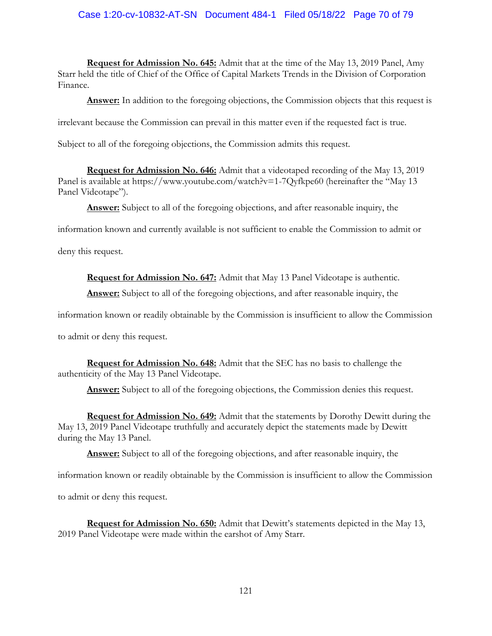# Case 1:20-cv-10832-AT-SN Document 484-1 Filed 05/18/22 Page 70 of 79

**Request for Admission No. 645:** Admit that at the time of the May 13, 2019 Panel, Amy Starr held the title of Chief of the Office of Capital Markets Trends in the Division of Corporation Finance.

Answer: In addition to the foregoing objections, the Commission objects that this request is

irrelevant because the Commission can prevail in this matter even if the requested fact is true.

Subject to all of the foregoing objections, the Commission admits this request.

**Request for Admission No. 646:** Admit that a videotaped recording of the May 13, 2019 Panel is available at https://www.youtube.com/watch?v=1-7Qyfkpe60 (hereinafter the "May 13 Panel Videotape").

**Answer:** Subject to all of the foregoing objections, and after reasonable inquiry, the

information known and currently available is not sufficient to enable the Commission to admit or

deny this request.

**Request for Admission No. 647:** Admit that May 13 Panel Videotape is authentic.

**Answer:** Subject to all of the foregoing objections, and after reasonable inquiry, the

information known or readily obtainable by the Commission is insufficient to allow the Commission

to admit or deny this request.

**Request for Admission No. 648:** Admit that the SEC has no basis to challenge the authenticity of the May 13 Panel Videotape.

**Answer:** Subject to all of the foregoing objections, the Commission denies this request.

**Request for Admission No. 649:** Admit that the statements by Dorothy Dewitt during the May 13, 2019 Panel Videotape truthfully and accurately depict the statements made by Dewitt during the May 13 Panel.

**Answer:** Subject to all of the foregoing objections, and after reasonable inquiry, the

information known or readily obtainable by the Commission is insufficient to allow the Commission

to admit or deny this request.

**Request for Admission No. 650:** Admit that Dewitt's statements depicted in the May 13, 2019 Panel Videotape were made within the earshot of Amy Starr.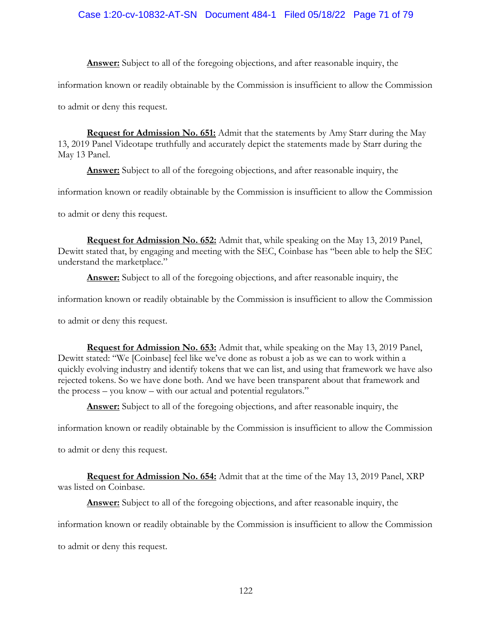# Case 1:20-cv-10832-AT-SN Document 484-1 Filed 05/18/22 Page 71 of 79

**Answer:** Subject to all of the foregoing objections, and after reasonable inquiry, the

information known or readily obtainable by the Commission is insufficient to allow the Commission

to admit or deny this request.

**Request for Admission No. 651:** Admit that the statements by Amy Starr during the May 13, 2019 Panel Videotape truthfully and accurately depict the statements made by Starr during the May 13 Panel.

**Answer:** Subject to all of the foregoing objections, and after reasonable inquiry, the

information known or readily obtainable by the Commission is insufficient to allow the Commission

to admit or deny this request.

**Request for Admission No. 652:** Admit that, while speaking on the May 13, 2019 Panel, Dewitt stated that, by engaging and meeting with the SEC, Coinbase has "been able to help the SEC understand the marketplace."

**Answer:** Subject to all of the foregoing objections, and after reasonable inquiry, the

information known or readily obtainable by the Commission is insufficient to allow the Commission

to admit or deny this request.

**Request for Admission No. 653:** Admit that, while speaking on the May 13, 2019 Panel, Dewitt stated: "We [Coinbase] feel like we've done as robust a job as we can to work within a quickly evolving industry and identify tokens that we can list, and using that framework we have also rejected tokens. So we have done both. And we have been transparent about that framework and the process – you know – with our actual and potential regulators."

**Answer:** Subject to all of the foregoing objections, and after reasonable inquiry, the

information known or readily obtainable by the Commission is insufficient to allow the Commission

to admit or deny this request.

**Request for Admission No. 654:** Admit that at the time of the May 13, 2019 Panel, XRP was listed on Coinbase.

**Answer:** Subject to all of the foregoing objections, and after reasonable inquiry, the

information known or readily obtainable by the Commission is insufficient to allow the Commission

to admit or deny this request.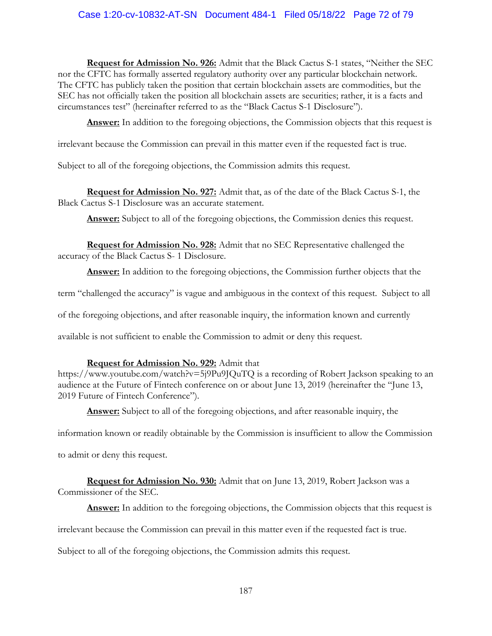# Case 1:20-cv-10832-AT-SN Document 484-1 Filed 05/18/22 Page 72 of 79

**Request for Admission No. 926:** Admit that the Black Cactus S-1 states, "Neither the SEC nor the CFTC has formally asserted regulatory authority over any particular blockchain network. The CFTC has publicly taken the position that certain blockchain assets are commodities, but the SEC has not officially taken the position all blockchain assets are securities; rather, it is a facts and circumstances test" (hereinafter referred to as the "Black Cactus S-1 Disclosure").

**Answer:** In addition to the foregoing objections, the Commission objects that this request is

irrelevant because the Commission can prevail in this matter even if the requested fact is true.

Subject to all of the foregoing objections, the Commission admits this request.

**Request for Admission No. 927:** Admit that, as of the date of the Black Cactus S-1, the Black Cactus S-1 Disclosure was an accurate statement.

**Answer:** Subject to all of the foregoing objections, the Commission denies this request.

**Request for Admission No. 928:** Admit that no SEC Representative challenged the accuracy of the Black Cactus S- 1 Disclosure.

**Answer:** In addition to the foregoing objections, the Commission further objects that the

term "challenged the accuracy" is vague and ambiguous in the context of this request. Subject to all

of the foregoing objections, and after reasonable inquiry, the information known and currently

available is not sufficient to enable the Commission to admit or deny this request.

## **Request for Admission No. 929:** Admit that

https://www.youtube.com/watch?v=5j9Pu9JQuTQ is a recording of Robert Jackson speaking to an audience at the Future of Fintech conference on or about June 13, 2019 (hereinafter the "June 13, 2019 Future of Fintech Conference").

**Answer:** Subject to all of the foregoing objections, and after reasonable inquiry, the

information known or readily obtainable by the Commission is insufficient to allow the Commission

to admit or deny this request.

**Request for Admission No. 930:** Admit that on June 13, 2019, Robert Jackson was a Commissioner of the SEC.

Answer: In addition to the foregoing objections, the Commission objects that this request is

irrelevant because the Commission can prevail in this matter even if the requested fact is true.

Subject to all of the foregoing objections, the Commission admits this request.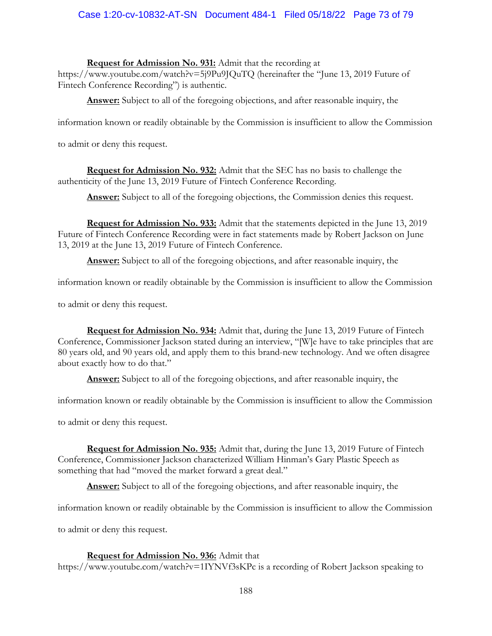# Case 1:20-cv-10832-AT-SN Document 484-1 Filed 05/18/22 Page 73 of 79

## **Request for Admission No. 931:** Admit that the recording at

https://www.youtube.com/watch?v=5j9Pu9JQuTQ (hereinafter the "June 13, 2019 Future of Fintech Conference Recording") is authentic.

**Answer:** Subject to all of the foregoing objections, and after reasonable inquiry, the

information known or readily obtainable by the Commission is insufficient to allow the Commission

to admit or deny this request.

**Request for Admission No. 932:** Admit that the SEC has no basis to challenge the authenticity of the June 13, 2019 Future of Fintech Conference Recording.

**Answer:** Subject to all of the foregoing objections, the Commission denies this request.

**Request for Admission No. 933:** Admit that the statements depicted in the June 13, 2019 Future of Fintech Conference Recording were in fact statements made by Robert Jackson on June 13, 2019 at the June 13, 2019 Future of Fintech Conference.

**Answer:** Subject to all of the foregoing objections, and after reasonable inquiry, the

information known or readily obtainable by the Commission is insufficient to allow the Commission

to admit or deny this request.

**Request for Admission No. 934:** Admit that, during the June 13, 2019 Future of Fintech Conference, Commissioner Jackson stated during an interview, "[W]e have to take principles that are 80 years old, and 90 years old, and apply them to this brand-new technology. And we often disagree about exactly how to do that."

**Answer:** Subject to all of the foregoing objections, and after reasonable inquiry, the

information known or readily obtainable by the Commission is insufficient to allow the Commission

to admit or deny this request.

**Request for Admission No. 935:** Admit that, during the June 13, 2019 Future of Fintech Conference, Commissioner Jackson characterized William Hinman's Gary Plastic Speech as something that had "moved the market forward a great deal."

**Answer:** Subject to all of the foregoing objections, and after reasonable inquiry, the

information known or readily obtainable by the Commission is insufficient to allow the Commission

to admit or deny this request.

## **Request for Admission No. 936:** Admit that

https://www.youtube.com/watch?v=1IYNVf3sKPc is a recording of Robert Jackson speaking to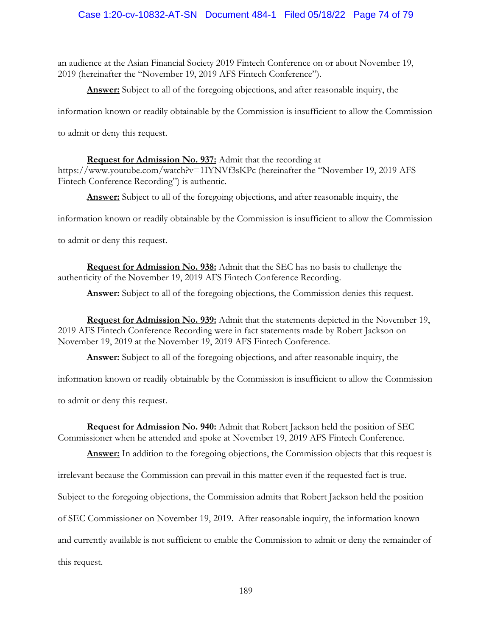# Case 1:20-cv-10832-AT-SN Document 484-1 Filed 05/18/22 Page 74 of 79

an audience at the Asian Financial Society 2019 Fintech Conference on or about November 19, 2019 (hereinafter the "November 19, 2019 AFS Fintech Conference").

**Answer:** Subject to all of the foregoing objections, and after reasonable inquiry, the

information known or readily obtainable by the Commission is insufficient to allow the Commission

to admit or deny this request.

#### **Request for Admission No. 937:** Admit that the recording at

https://www.youtube.com/watch?v=1IYNVf3sKPc (hereinafter the "November 19, 2019 AFS Fintech Conference Recording") is authentic.

**Answer:** Subject to all of the foregoing objections, and after reasonable inquiry, the

information known or readily obtainable by the Commission is insufficient to allow the Commission

to admit or deny this request.

**Request for Admission No. 938:** Admit that the SEC has no basis to challenge the authenticity of the November 19, 2019 AFS Fintech Conference Recording.

Answer: Subject to all of the foregoing objections, the Commission denies this request.

**Request for Admission No. 939:** Admit that the statements depicted in the November 19, 2019 AFS Fintech Conference Recording were in fact statements made by Robert Jackson on November 19, 2019 at the November 19, 2019 AFS Fintech Conference.

**Answer:** Subject to all of the foregoing objections, and after reasonable inquiry, the

information known or readily obtainable by the Commission is insufficient to allow the Commission

to admit or deny this request.

**Request for Admission No. 940:** Admit that Robert Jackson held the position of SEC Commissioner when he attended and spoke at November 19, 2019 AFS Fintech Conference.

**Answer:** In addition to the foregoing objections, the Commission objects that this request is

irrelevant because the Commission can prevail in this matter even if the requested fact is true.

Subject to the foregoing objections, the Commission admits that Robert Jackson held the position

of SEC Commissioner on November 19, 2019. After reasonable inquiry, the information known

and currently available is not sufficient to enable the Commission to admit or deny the remainder of

this request.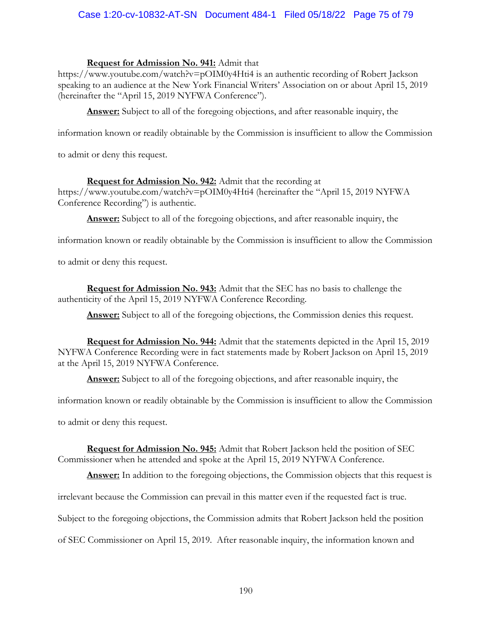# Case 1:20-cv-10832-AT-SN Document 484-1 Filed 05/18/22 Page 75 of 79

## **Request for Admission No. 941:** Admit that

https://www.youtube.com/watch?v=pOIM0y4Hti4 is an authentic recording of Robert Jackson speaking to an audience at the New York Financial Writers' Association on or about April 15, 2019 (hereinafter the "April 15, 2019 NYFWA Conference").

**Answer:** Subject to all of the foregoing objections, and after reasonable inquiry, the

information known or readily obtainable by the Commission is insufficient to allow the Commission

to admit or deny this request.

# **Request for Admission No. 942:** Admit that the recording at

https://www.youtube.com/watch?v=pOIM0y4Hti4 (hereinafter the "April 15, 2019 NYFWA Conference Recording") is authentic.

**Answer:** Subject to all of the foregoing objections, and after reasonable inquiry, the

information known or readily obtainable by the Commission is insufficient to allow the Commission

to admit or deny this request.

**Request for Admission No. 943:** Admit that the SEC has no basis to challenge the authenticity of the April 15, 2019 NYFWA Conference Recording.

Answer: Subject to all of the foregoing objections, the Commission denies this request.

**Request for Admission No. 944:** Admit that the statements depicted in the April 15, 2019 NYFWA Conference Recording were in fact statements made by Robert Jackson on April 15, 2019 at the April 15, 2019 NYFWA Conference.

**Answer:** Subject to all of the foregoing objections, and after reasonable inquiry, the

information known or readily obtainable by the Commission is insufficient to allow the Commission

to admit or deny this request.

**Request for Admission No. 945:** Admit that Robert Jackson held the position of SEC Commissioner when he attended and spoke at the April 15, 2019 NYFWA Conference.

Answer: In addition to the foregoing objections, the Commission objects that this request is

irrelevant because the Commission can prevail in this matter even if the requested fact is true.

Subject to the foregoing objections, the Commission admits that Robert Jackson held the position

of SEC Commissioner on April 15, 2019. After reasonable inquiry, the information known and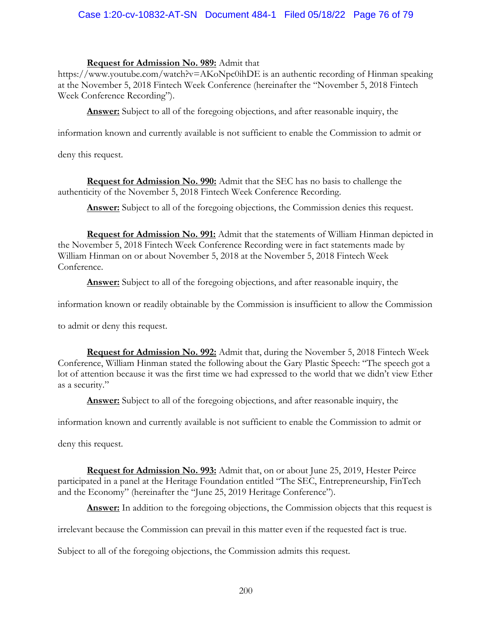# Case 1:20-cv-10832-AT-SN Document 484-1 Filed 05/18/22 Page 76 of 79

## **Request for Admission No. 989:** Admit that

https://www.youtube.com/watch?v=AKoNpc0ihDE is an authentic recording of Hinman speaking at the November 5, 2018 Fintech Week Conference (hereinafter the "November 5, 2018 Fintech Week Conference Recording").

**Answer:** Subject to all of the foregoing objections, and after reasonable inquiry, the

information known and currently available is not sufficient to enable the Commission to admit or

deny this request.

**Request for Admission No. 990:** Admit that the SEC has no basis to challenge the authenticity of the November 5, 2018 Fintech Week Conference Recording.

Answer: Subject to all of the foregoing objections, the Commission denies this request.

**Request for Admission No. 991:** Admit that the statements of William Hinman depicted in the November 5, 2018 Fintech Week Conference Recording were in fact statements made by William Hinman on or about November 5, 2018 at the November 5, 2018 Fintech Week Conference.

**Answer:** Subject to all of the foregoing objections, and after reasonable inquiry, the

information known or readily obtainable by the Commission is insufficient to allow the Commission

to admit or deny this request.

**Request for Admission No. 992:** Admit that, during the November 5, 2018 Fintech Week Conference, William Hinman stated the following about the Gary Plastic Speech: "The speech got a lot of attention because it was the first time we had expressed to the world that we didn't view Ether as a security."

**Answer:** Subject to all of the foregoing objections, and after reasonable inquiry, the

information known and currently available is not sufficient to enable the Commission to admit or

deny this request.

**Request for Admission No. 993:** Admit that, on or about June 25, 2019, Hester Peirce participated in a panel at the Heritage Foundation entitled "The SEC, Entrepreneurship, FinTech and the Economy" (hereinafter the "June 25, 2019 Heritage Conference").

Answer: In addition to the foregoing objections, the Commission objects that this request is

irrelevant because the Commission can prevail in this matter even if the requested fact is true.

Subject to all of the foregoing objections, the Commission admits this request.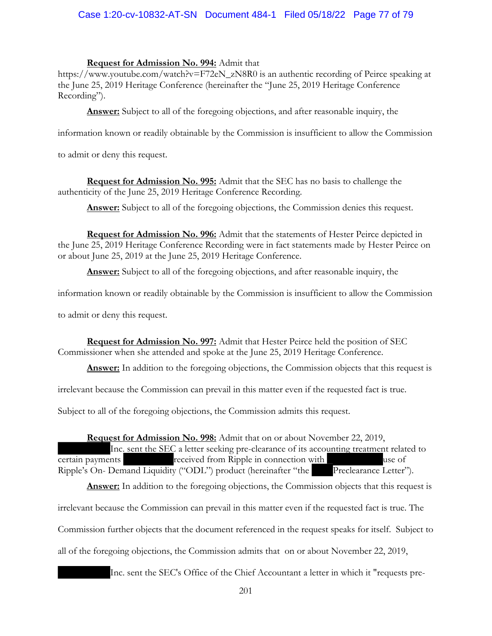# Case 1:20-cv-10832-AT-SN Document 484-1 Filed 05/18/22 Page 77 of 79

## **Request for Admission No. 994:** Admit that

https://www.youtube.com/watch?v=F72eN\_zN8R0 is an authentic recording of Peirce speaking at the June 25, 2019 Heritage Conference (hereinafter the "June 25, 2019 Heritage Conference Recording").

**Answer:** Subject to all of the foregoing objections, and after reasonable inquiry, the

information known or readily obtainable by the Commission is insufficient to allow the Commission

to admit or deny this request.

**Request for Admission No. 995:** Admit that the SEC has no basis to challenge the authenticity of the June 25, 2019 Heritage Conference Recording.

Answer: Subject to all of the foregoing objections, the Commission denies this request.

**Request for Admission No. 996:** Admit that the statements of Hester Peirce depicted in the June 25, 2019 Heritage Conference Recording were in fact statements made by Hester Peirce on or about June 25, 2019 at the June 25, 2019 Heritage Conference.

**Answer:** Subject to all of the foregoing objections, and after reasonable inquiry, the

information known or readily obtainable by the Commission is insufficient to allow the Commission

to admit or deny this request.

**Request for Admission No. 997:** Admit that Hester Peirce held the position of SEC Commissioner when she attended and spoke at the June 25, 2019 Heritage Conference.

Answer: In addition to the foregoing objections, the Commission objects that this request is

irrelevant because the Commission can prevail in this matter even if the requested fact is true.

Subject to all of the foregoing objections, the Commission admits this request.

## **Request for Admission No. 998:** Admit that on or about November 22, 2019,

Inc. sent the SEC a letter seeking pre-clearance of its accounting treatment related to **CERT CONTERNATE:** received from Ripple in connection with use of Ripple's On- Demand Liquidity ("ODL") product (hereinafter "the Preclearance Letter").

Answer: In addition to the foregoing objections, the Commission objects that this request is irrelevant because the Commission can prevail in this matter even if the requested fact is true. The

Commission further objects that the document referenced in the request speaks for itself. Subject to

all of the foregoing objections, the Commission admits that on or about November 22, 2019,

Inc. sent the SEC's Office of the Chief Accountant a letter in which it "requests pre-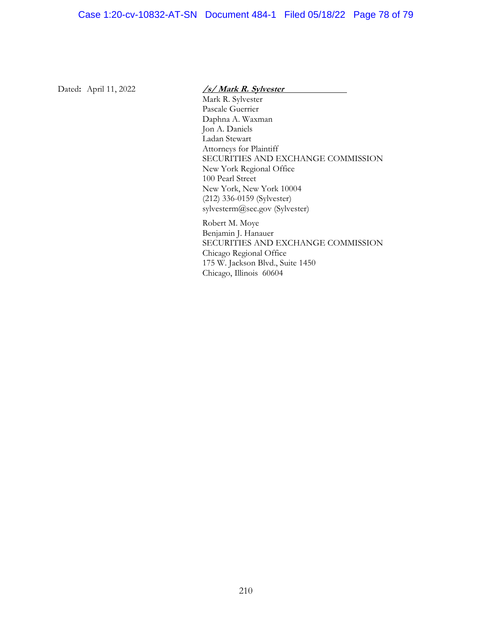#### Dated**:** April 11, 2022 **/s/ Mark R. Sylvester**

Mark R. Sylvester Pascale Guerrier Daphna A. Waxman Jon A. Daniels Ladan Stewart Attorneys for Plaintiff SECURITIES AND EXCHANGE COMMISSION New York Regional Office 100 Pearl Street New York, New York 10004 (212) 336-0159 (Sylvester) sylvesterm@sec.gov (Sylvester)

Robert M. Moye Benjamin J. Hanauer SECURITIES AND EXCHANGE COMMISSION Chicago Regional Office 175 W. Jackson Blvd., Suite 1450 Chicago, Illinois 60604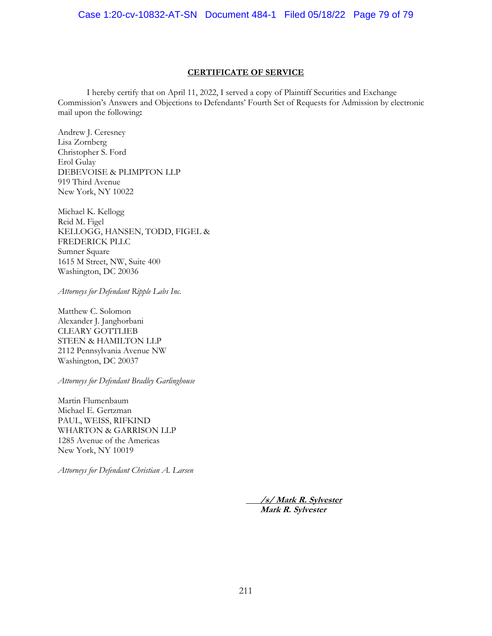#### **CERTIFICATE OF SERVICE**

I hereby certify that on April 11, 2022, I served a copy of Plaintiff Securities and Exchange Commission's Answers and Objections to Defendants' Fourth Set of Requests for Admission by electronic mail upon the following**:**

Andrew J. Ceresney Lisa Zornberg Christopher S. Ford Erol Gulay DEBEVOISE & PLIMPTON LLP 919 Third Avenue New York, NY 10022

Michael K. Kellogg Reid M. Figel KELLOGG, HANSEN, TODD, FIGEL & FREDERICK PLLC Sumner Square 1615 M Street, NW, Suite 400 Washington, DC 20036

*Attorneys for Defendant Ripple Labs Inc.*

Matthew C. Solomon Alexander J. Janghorbani CLEARY GOTTLIEB STEEN & HAMILTON LLP 2112 Pennsylvania Avenue NW Washington, DC 20037

*Attorneys for Defendant Bradley Garlinghouse* 

Martin Flumenbaum Michael E. Gertzman PAUL, WEISS, RIFKIND WHARTON & GARRISON LLP 1285 Avenue of the Americas New York, NY 10019

*Attorneys for Defendant Christian A. Larsen*

**/s/ Mark R. Sylvester Mark R. Sylvester**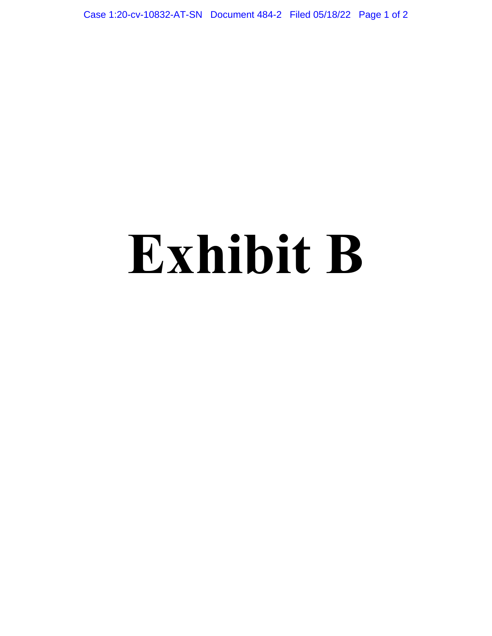Case 1:20-cv-10832-AT-SN Document 484-2 Filed 05/18/22 Page 1 of 2

# **Exhibit B**